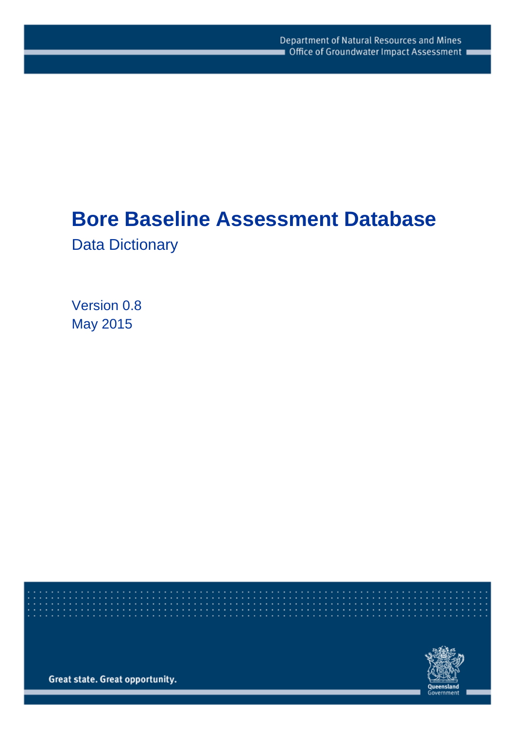# **Bore Baseline Assessment Database**

Data Dictionary

Version 0.8 May 2015

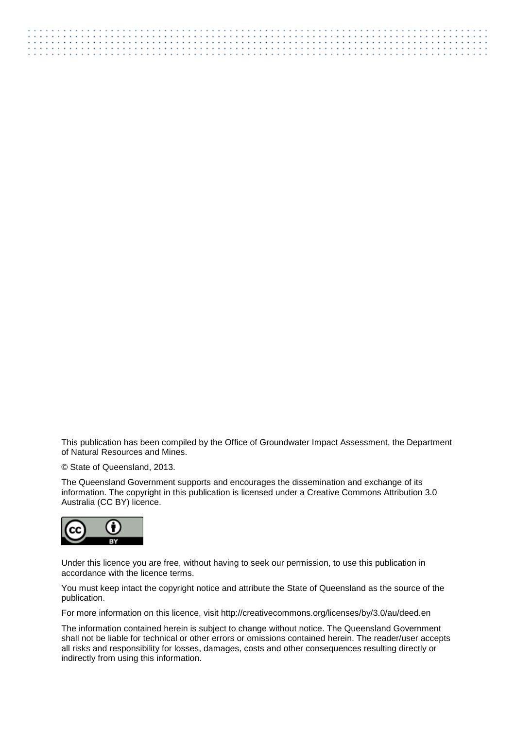This publication has been compiled by the Office of Groundwater Impact Assessment, the Department of Natural Resources and Mines.

© State of Queensland, 2013.

The Queensland Government supports and encourages the dissemination and exchange of its information. The copyright in this publication is licensed under a Creative Commons Attribution 3.0 Australia (CC BY) licence.



Under this licence you are free, without having to seek our permission, to use this publication in accordance with the licence terms.

You must keep intact the copyright notice and attribute the State of Queensland as the source of the publication.

For more information on this licence, visit http://creativecommons.org/licenses/by/3.0/au/deed.en

The information contained herein is subject to change without notice. The Queensland Government shall not be liable for technical or other errors or omissions contained herein. The reader/user accepts all risks and responsibility for losses, damages, costs and other consequences resulting directly or indirectly from using this information.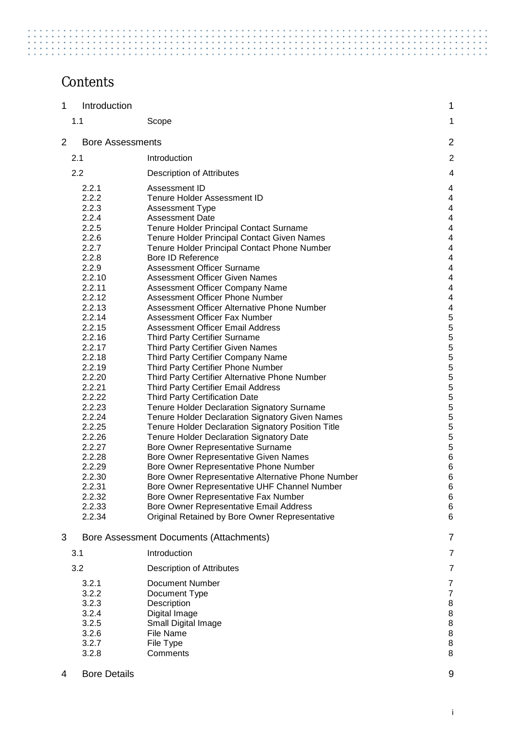# **Contents**

| 1              | Introduction            |                                                                                       | 1                       |
|----------------|-------------------------|---------------------------------------------------------------------------------------|-------------------------|
|                | 1.1                     | Scope                                                                                 | 1                       |
| $\overline{2}$ | <b>Bore Assessments</b> |                                                                                       | 2                       |
|                | 2.1                     | Introduction                                                                          | $\overline{c}$          |
|                | 2.2                     | <b>Description of Attributes</b>                                                      | 4                       |
|                | 2.2.1                   | Assessment ID                                                                         | 4                       |
|                | 2.2.2                   | Tenure Holder Assessment ID                                                           | 4                       |
|                | 2.2.3                   | Assessment Type                                                                       | $\overline{4}$          |
|                | 2.2.4                   | <b>Assessment Date</b>                                                                | 4                       |
|                | 2.2.5                   | Tenure Holder Principal Contact Surname                                               | $\overline{\mathbf{4}}$ |
|                | 2.2.6                   | <b>Tenure Holder Principal Contact Given Names</b>                                    | 4                       |
|                | 2.2.7                   | Tenure Holder Principal Contact Phone Number                                          | 4                       |
|                | 2.2.8<br>2.2.9          | <b>Bore ID Reference</b><br><b>Assessment Officer Surname</b>                         | 4<br>4                  |
|                | 2.2.10                  | <b>Assessment Officer Given Names</b>                                                 | 4                       |
|                | 2.2.11                  | Assessment Officer Company Name                                                       | 4                       |
|                | 2.2.12                  | Assessment Officer Phone Number                                                       | 4                       |
|                | 2.2.13                  | Assessment Officer Alternative Phone Number                                           | 4                       |
|                | 2.2.14                  | Assessment Officer Fax Number                                                         | $\frac{5}{5}$           |
|                | 2.2.15                  | <b>Assessment Officer Email Address</b>                                               |                         |
|                | 2.2.16                  | <b>Third Party Certifier Surname</b>                                                  | 5                       |
|                | 2.2.17                  | <b>Third Party Certifier Given Names</b>                                              | 5                       |
|                | 2.2.18                  | Third Party Certifier Company Name                                                    | 5                       |
|                | 2.2.19<br>2.2.20        | Third Party Certifier Phone Number                                                    | 5<br>5                  |
|                | 2.2.21                  | Third Party Certifier Alternative Phone Number<br>Third Party Certifier Email Address | 5                       |
|                | 2.2.22                  | <b>Third Party Certification Date</b>                                                 | 5                       |
|                | 2.2.23                  | Tenure Holder Declaration Signatory Surname                                           | 5                       |
|                | 2.2.24                  | Tenure Holder Declaration Signatory Given Names                                       | 5                       |
|                | 2.2.25                  | Tenure Holder Declaration Signatory Position Title                                    | 5                       |
|                | 2.2.26                  | <b>Tenure Holder Declaration Signatory Date</b>                                       | 5                       |
|                | 2.2.27                  | Bore Owner Representative Surname                                                     | 5                       |
|                | 2.2.28                  | Bore Owner Representative Given Names                                                 | $\,6$                   |
|                | 2.2.29                  | Bore Owner Representative Phone Number                                                | $\,6$                   |
|                | 2.2.30<br>2.2.31        | Bore Owner Representative Alternative Phone Number                                    | 6<br>6                  |
|                | 2.2.32                  | Bore Owner Representative UHF Channel Number<br>Bore Owner Representative Fax Number  | 6                       |
|                | 2.2.33                  | Bore Owner Representative Email Address                                               | 6                       |
|                | 2.2.34                  | Original Retained by Bore Owner Representative                                        | 6                       |
| 3              |                         | Bore Assessment Documents (Attachments)                                               | $\overline{7}$          |
|                | 3.1                     | Introduction                                                                          | $\overline{7}$          |
|                | 3.2                     | <b>Description of Attributes</b>                                                      | $\overline{7}$          |
|                |                         |                                                                                       |                         |
|                | 3.2.1<br>3.2.2          | <b>Document Number</b><br>Document Type                                               | 7<br>$\overline{7}$     |
|                | 3.2.3                   | Description                                                                           | 8                       |
|                | 3.2.4                   | Digital Image                                                                         | 8                       |
|                | 3.2.5                   | Small Digital Image                                                                   | $\,8\,$                 |
|                | 3.2.6                   | File Name                                                                             | $\,8\,$                 |
|                | 3.2.7                   | File Type                                                                             | $\bf 8$                 |
|                | 3.2.8                   | Comments                                                                              | 8                       |
| 4              | <b>Bore Details</b>     |                                                                                       | 9                       |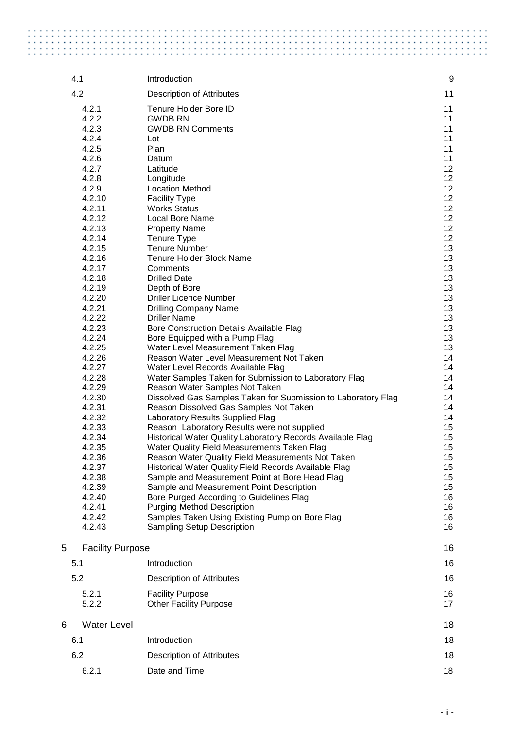|   | 4.1                                                                                                                                                                                                                                                                                                                                                                                       | Introduction                                                                                                                                                                                                                                                                                                                                                                                                                                                                                                                                                                                                                                                                                                                                                                                                                                                                                                                                                                                                                                                                                                                                                                                                                                                                          | 9                                                                                                                                                                                                                                      |
|---|-------------------------------------------------------------------------------------------------------------------------------------------------------------------------------------------------------------------------------------------------------------------------------------------------------------------------------------------------------------------------------------------|---------------------------------------------------------------------------------------------------------------------------------------------------------------------------------------------------------------------------------------------------------------------------------------------------------------------------------------------------------------------------------------------------------------------------------------------------------------------------------------------------------------------------------------------------------------------------------------------------------------------------------------------------------------------------------------------------------------------------------------------------------------------------------------------------------------------------------------------------------------------------------------------------------------------------------------------------------------------------------------------------------------------------------------------------------------------------------------------------------------------------------------------------------------------------------------------------------------------------------------------------------------------------------------|----------------------------------------------------------------------------------------------------------------------------------------------------------------------------------------------------------------------------------------|
|   | 4.2                                                                                                                                                                                                                                                                                                                                                                                       | <b>Description of Attributes</b>                                                                                                                                                                                                                                                                                                                                                                                                                                                                                                                                                                                                                                                                                                                                                                                                                                                                                                                                                                                                                                                                                                                                                                                                                                                      | 11                                                                                                                                                                                                                                     |
|   | 4.2.1<br>4.2.2<br>4.2.3<br>4.2.4<br>4.2.5<br>4.2.6<br>4.2.7<br>4.2.8<br>4.2.9<br>4.2.10<br>4.2.11<br>4.2.12<br>4.2.13<br>4.2.14<br>4.2.15<br>4.2.16<br>4.2.17<br>4.2.18<br>4.2.19<br>4.2.20<br>4.2.21<br>4.2.22<br>4.2.23<br>4.2.24<br>4.2.25<br>4.2.26<br>4.2.27<br>4.2.28<br>4.2.29<br>4.2.30<br>4.2.31<br>4.2.32<br>4.2.33<br>4.2.34<br>4.2.35<br>4.2.36<br>4.2.37<br>4.2.38<br>4.2.39 | Tenure Holder Bore ID<br><b>GWDB RN</b><br><b>GWDB RN Comments</b><br>Lot<br>Plan<br>Datum<br>Latitude<br>Longitude<br><b>Location Method</b><br><b>Facility Type</b><br><b>Works Status</b><br><b>Local Bore Name</b><br><b>Property Name</b><br>Tenure Type<br><b>Tenure Number</b><br>Tenure Holder Block Name<br>Comments<br><b>Drilled Date</b><br>Depth of Bore<br><b>Driller Licence Number</b><br><b>Drilling Company Name</b><br><b>Driller Name</b><br>Bore Construction Details Available Flag<br>Bore Equipped with a Pump Flag<br>Water Level Measurement Taken Flag<br>Reason Water Level Measurement Not Taken<br>Water Level Records Available Flag<br>Water Samples Taken for Submission to Laboratory Flag<br>Reason Water Samples Not Taken<br>Dissolved Gas Samples Taken for Submission to Laboratory Flag<br>Reason Dissolved Gas Samples Not Taken<br>Laboratory Results Supplied Flag<br>Reason Laboratory Results were not supplied<br>Historical Water Quality Laboratory Records Available Flag<br>Water Quality Field Measurements Taken Flag<br>Reason Water Quality Field Measurements Not Taken<br>Historical Water Quality Field Records Available Flag<br>Sample and Measurement Point at Bore Head Flag<br>Sample and Measurement Point Description | 11<br>11<br>11<br>11<br>11<br>11<br>12<br>12<br>12<br>12<br>12<br>12<br>12<br>12<br>13<br>13<br>13<br>13<br>13<br>13<br>13<br>13<br>13<br>13<br>13<br>14<br>14<br>14<br>14<br>14<br>14<br>14<br>15<br>15<br>15<br>15<br>15<br>15<br>15 |
|   | 4.2.40<br>4.2.41<br>4.2.42                                                                                                                                                                                                                                                                                                                                                                | Bore Purged According to Guidelines Flag<br><b>Purging Method Description</b><br>Samples Taken Using Existing Pump on Bore Flag                                                                                                                                                                                                                                                                                                                                                                                                                                                                                                                                                                                                                                                                                                                                                                                                                                                                                                                                                                                                                                                                                                                                                       | 16<br>16                                                                                                                                                                                                                               |
|   | 4.2.43                                                                                                                                                                                                                                                                                                                                                                                    | <b>Sampling Setup Description</b>                                                                                                                                                                                                                                                                                                                                                                                                                                                                                                                                                                                                                                                                                                                                                                                                                                                                                                                                                                                                                                                                                                                                                                                                                                                     | 16<br>16                                                                                                                                                                                                                               |
| 5 | <b>Facility Purpose</b>                                                                                                                                                                                                                                                                                                                                                                   |                                                                                                                                                                                                                                                                                                                                                                                                                                                                                                                                                                                                                                                                                                                                                                                                                                                                                                                                                                                                                                                                                                                                                                                                                                                                                       | 16                                                                                                                                                                                                                                     |
|   | 5.1                                                                                                                                                                                                                                                                                                                                                                                       | Introduction                                                                                                                                                                                                                                                                                                                                                                                                                                                                                                                                                                                                                                                                                                                                                                                                                                                                                                                                                                                                                                                                                                                                                                                                                                                                          | 16                                                                                                                                                                                                                                     |
|   | 5.2                                                                                                                                                                                                                                                                                                                                                                                       | <b>Description of Attributes</b>                                                                                                                                                                                                                                                                                                                                                                                                                                                                                                                                                                                                                                                                                                                                                                                                                                                                                                                                                                                                                                                                                                                                                                                                                                                      | 16                                                                                                                                                                                                                                     |
|   | 5.2.1                                                                                                                                                                                                                                                                                                                                                                                     | <b>Facility Purpose</b>                                                                                                                                                                                                                                                                                                                                                                                                                                                                                                                                                                                                                                                                                                                                                                                                                                                                                                                                                                                                                                                                                                                                                                                                                                                               | 16                                                                                                                                                                                                                                     |
|   | 5.2.2                                                                                                                                                                                                                                                                                                                                                                                     | <b>Other Facility Purpose</b>                                                                                                                                                                                                                                                                                                                                                                                                                                                                                                                                                                                                                                                                                                                                                                                                                                                                                                                                                                                                                                                                                                                                                                                                                                                         | 17                                                                                                                                                                                                                                     |
| 6 | <b>Water Level</b>                                                                                                                                                                                                                                                                                                                                                                        |                                                                                                                                                                                                                                                                                                                                                                                                                                                                                                                                                                                                                                                                                                                                                                                                                                                                                                                                                                                                                                                                                                                                                                                                                                                                                       | 18                                                                                                                                                                                                                                     |
|   | 6.1                                                                                                                                                                                                                                                                                                                                                                                       | Introduction                                                                                                                                                                                                                                                                                                                                                                                                                                                                                                                                                                                                                                                                                                                                                                                                                                                                                                                                                                                                                                                                                                                                                                                                                                                                          | 18                                                                                                                                                                                                                                     |
|   | 6.2                                                                                                                                                                                                                                                                                                                                                                                       | <b>Description of Attributes</b>                                                                                                                                                                                                                                                                                                                                                                                                                                                                                                                                                                                                                                                                                                                                                                                                                                                                                                                                                                                                                                                                                                                                                                                                                                                      | 18                                                                                                                                                                                                                                     |
|   | 6.2.1                                                                                                                                                                                                                                                                                                                                                                                     | Date and Time                                                                                                                                                                                                                                                                                                                                                                                                                                                                                                                                                                                                                                                                                                                                                                                                                                                                                                                                                                                                                                                                                                                                                                                                                                                                         | 18                                                                                                                                                                                                                                     |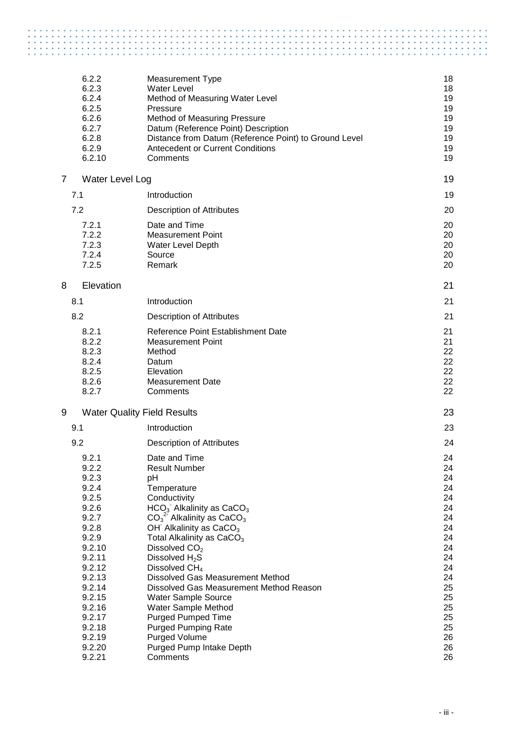|                | 6.2.2           | <b>Measurement Type</b>                                                                    | 18       |
|----------------|-----------------|--------------------------------------------------------------------------------------------|----------|
|                | 6.2.3           | <b>Water Level</b>                                                                         | 18       |
|                | 6.2.4           | Method of Measuring Water Level                                                            | 19       |
|                | 6.2.5           | Pressure                                                                                   | 19       |
|                | 6.2.6           | Method of Measuring Pressure                                                               | 19       |
|                | 6.2.7           | Datum (Reference Point) Description                                                        | 19       |
|                | 6.2.8           | Distance from Datum (Reference Point) to Ground Level                                      | 19       |
|                | 6.2.9           | <b>Antecedent or Current Conditions</b>                                                    | 19       |
|                | 6.2.10          | Comments                                                                                   | 19       |
| $\overline{7}$ | Water Level Log |                                                                                            | 19       |
| 7.1            |                 | Introduction                                                                               | 19       |
| 7.2            |                 | <b>Description of Attributes</b>                                                           | 20       |
|                | 7.2.1           | Date and Time                                                                              | 20       |
|                | 7.2.2           | <b>Measurement Point</b>                                                                   | 20       |
|                | 7.2.3           | Water Level Depth                                                                          | 20       |
|                | 7.2.4           | Source                                                                                     | 20       |
|                | 7.2.5           | Remark                                                                                     | 20       |
| 8              | Elevation       |                                                                                            | 21       |
| 8.1            |                 | Introduction                                                                               | 21       |
| 8.2            |                 | <b>Description of Attributes</b>                                                           | 21       |
|                | 8.2.1           | Reference Point Establishment Date                                                         | 21       |
|                | 8.2.2           | <b>Measurement Point</b>                                                                   | 21       |
|                | 8.2.3           | Method                                                                                     | 22       |
|                | 8.2.4           | Datum                                                                                      | 22       |
|                | 8.2.5           | Elevation                                                                                  | 22       |
|                | 8.2.6           | <b>Measurement Date</b>                                                                    | 22       |
|                | 8.2.7           | Comments                                                                                   | 22       |
| 9              |                 | <b>Water Quality Field Results</b>                                                         | 23       |
| 9.1            |                 | Introduction                                                                               | 23       |
| 9.2            |                 | <b>Description of Attributes</b>                                                           | 24       |
|                | 9.2.1           | Date and Time                                                                              | 24       |
|                | 9.2.2           | <b>Result Number</b>                                                                       | 24       |
|                | 9.2.3           | pH                                                                                         | 24       |
|                | 9.2.4           | Temperature                                                                                | 24       |
|                | 9.2.5           | Conductivity                                                                               | 24       |
|                | 9.2.6<br>9.2.7  | HCO <sub>3</sub> Alkalinity as CaCO <sub>3</sub><br>$CO32$ Alkalinity as CaCO <sub>3</sub> | 24<br>24 |
|                | 9.2.8           | OH <sup>-</sup> Alkalinity as CaCO <sub>3</sub>                                            | 24       |
|                | 9.2.9           | Total Alkalinity as CaCO <sub>3</sub>                                                      | 24       |
|                | 9.2.10          | Dissolved CO <sub>2</sub>                                                                  | 24       |
|                | 9.2.11          | Dissolved H <sub>2</sub> S                                                                 | 24       |
|                | 9.2.12          | Dissolved $CH4$                                                                            | 24       |
|                | 9.2.13          | <b>Dissolved Gas Measurement Method</b>                                                    | 24       |
|                | 9.2.14          | Dissolved Gas Measurement Method Reason                                                    | 25       |
|                | 9.2.15          | Water Sample Source                                                                        | 25       |
|                | 9.2.16          | Water Sample Method                                                                        | 25       |
|                | 9.2.17          | <b>Purged Pumped Time</b>                                                                  | 25       |
|                | 9.2.18          | <b>Purged Pumping Rate</b>                                                                 | 25       |
|                | 9.2.19          | Purged Volume                                                                              | 26       |
|                | 9.2.20          | Purged Pump Intake Depth                                                                   | 26       |
|                | 9.2.21          | Comments                                                                                   | 26       |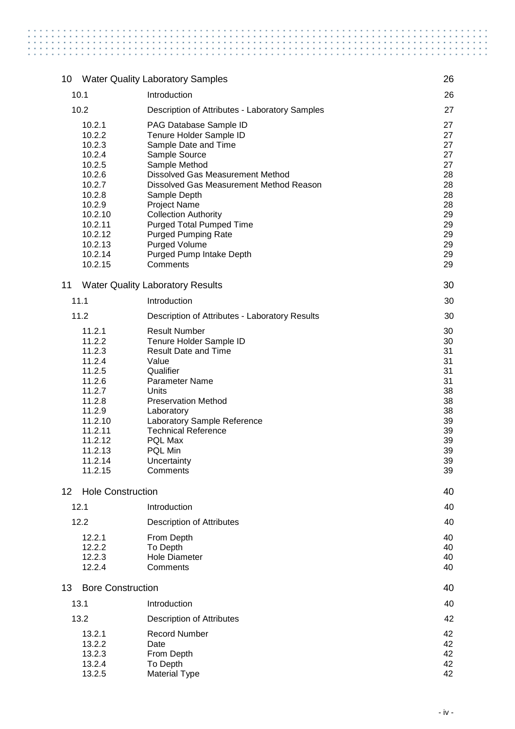| 10              |                          | <b>Water Quality Laboratory Samples</b>                        | 26       |
|-----------------|--------------------------|----------------------------------------------------------------|----------|
|                 | 10.1                     | Introduction                                                   | 26       |
|                 | 10.2                     | Description of Attributes - Laboratory Samples                 | 27       |
|                 | 10.2.1                   | PAG Database Sample ID                                         | 27       |
|                 | 10.2.2                   | Tenure Holder Sample ID                                        | 27       |
|                 | 10.2.3                   | Sample Date and Time                                           | 27       |
|                 | 10.2.4                   | Sample Source                                                  | 27       |
|                 | 10.2.5                   | Sample Method                                                  | 27       |
|                 | 10.2.6                   | Dissolved Gas Measurement Method                               | 28       |
|                 | 10.2.7                   | Dissolved Gas Measurement Method Reason                        | 28       |
|                 | 10.2.8                   | Sample Depth                                                   | 28       |
|                 | 10.2.9                   | <b>Project Name</b>                                            | 28       |
|                 | 10.2.10<br>10.2.11       | <b>Collection Authority</b><br><b>Purged Total Pumped Time</b> | 29<br>29 |
|                 | 10.2.12                  | <b>Purged Pumping Rate</b>                                     | 29       |
|                 | 10.2.13                  | Purged Volume                                                  | 29       |
|                 | 10.2.14                  | Purged Pump Intake Depth                                       | 29       |
|                 | 10.2.15                  | Comments                                                       | 29       |
| 11              |                          | <b>Water Quality Laboratory Results</b>                        | 30       |
|                 | 11.1                     | Introduction                                                   | 30       |
|                 | 11.2                     | Description of Attributes - Laboratory Results                 | 30       |
|                 | 11.2.1                   | <b>Result Number</b>                                           | 30       |
|                 | 11.2.2                   | Tenure Holder Sample ID                                        | 30       |
|                 | 11.2.3                   | <b>Result Date and Time</b>                                    | 31       |
|                 | 11.2.4<br>11.2.5         | Value<br>Qualifier                                             | 31<br>31 |
|                 | 11.2.6                   | Parameter Name                                                 | 31       |
|                 | 11.2.7                   | Units                                                          | 38       |
|                 | 11.2.8                   | <b>Preservation Method</b>                                     | 38       |
|                 | 11.2.9                   | Laboratory                                                     | 38       |
|                 | 11.2.10                  | Laboratory Sample Reference                                    | 39       |
|                 | 11.2.11                  | <b>Technical Reference</b>                                     | 39       |
|                 | 11.2.12                  | PQL Max                                                        | 39       |
|                 | 11.2.13<br>11.2.14       | PQL Min<br>Uncertainty                                         | 39<br>39 |
|                 | 11.2.15                  | Comments                                                       | 39       |
|                 |                          |                                                                |          |
| 12 <sup>2</sup> | <b>Hole Construction</b> |                                                                | 40       |
|                 | 12.1<br>12.2             | Introduction<br><b>Description of Attributes</b>               | 40<br>40 |
|                 |                          |                                                                |          |
|                 | 12.2.1                   | From Depth                                                     | 40       |
|                 | 12.2.2<br>12.2.3         | To Depth<br><b>Hole Diameter</b>                               | 40<br>40 |
|                 | 12.2.4                   | Comments                                                       | 40       |
|                 |                          |                                                                |          |
| 13              | <b>Bore Construction</b> |                                                                | 40       |
|                 | 13.1                     | Introduction                                                   | 40       |
|                 | 13.2<br>13.2.1           | Description of Attributes<br><b>Record Number</b>              | 42<br>42 |
|                 | 13.2.2                   | Date                                                           | 42       |
|                 | 13.2.3                   | From Depth                                                     | 42       |
|                 | 13.2.4                   | To Depth                                                       | 42       |

 $\frac{1}{2}$ 

 $\frac{1}{2}$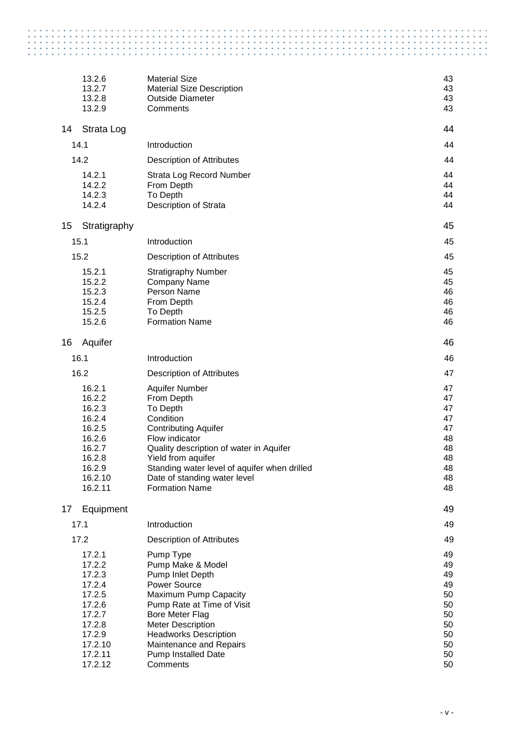| 13.2.6<br><b>Material Size</b><br>13.2.7<br><b>Material Size Description</b><br>13.2.8<br><b>Outside Diameter</b><br>13.2.9<br>Comments<br>Strata Log<br>14<br>14.1<br>Introduction<br>14.2<br><b>Description of Attributes</b><br>14.2.1<br>Strata Log Record Number<br>14.2.2<br>From Depth<br>14.2.3<br>To Depth<br>14.2.4<br>Description of Strata<br>Stratigraphy<br>15<br>15.1<br>Introduction<br>15.2<br><b>Description of Attributes</b><br>15.2.1<br><b>Stratigraphy Number</b><br>15.2.2<br><b>Company Name</b><br>15.2.3<br>Person Name<br>15.2.4<br>From Depth<br>15.2.5<br>To Depth<br>15.2.6<br><b>Formation Name</b><br>Aquifer<br>16<br>16.1<br>Introduction<br>16.2<br><b>Description of Attributes</b><br>16.2.1<br><b>Aquifer Number</b><br>16.2.2<br>From Depth<br>16.2.3<br>To Depth<br>16.2.4<br>Condition<br>16.2.5<br><b>Contributing Aquifer</b><br>16.2.6<br>Flow indicator<br>16.2.7<br>Quality description of water in Aquifer<br>16.2.8<br>Yield from aquifer<br>16.2.9<br>Standing water level of aquifer when drilled<br>16.2.10<br>Date of standing water level<br>16.2.11<br><b>Formation Name</b><br>Equipment<br>17<br>17.1<br>Introduction<br>17.2<br><b>Description of Attributes</b><br>17.2.1<br>Pump Type<br>17.2.2<br>Pump Make & Model<br>17.2.3<br>Pump Inlet Depth<br>17.2.4<br><b>Power Source</b><br>17.2.5<br>Maximum Pump Capacity | 43<br>43 |
|------------------------------------------------------------------------------------------------------------------------------------------------------------------------------------------------------------------------------------------------------------------------------------------------------------------------------------------------------------------------------------------------------------------------------------------------------------------------------------------------------------------------------------------------------------------------------------------------------------------------------------------------------------------------------------------------------------------------------------------------------------------------------------------------------------------------------------------------------------------------------------------------------------------------------------------------------------------------------------------------------------------------------------------------------------------------------------------------------------------------------------------------------------------------------------------------------------------------------------------------------------------------------------------------------------------------------------------------------------------------------------|----------|
|                                                                                                                                                                                                                                                                                                                                                                                                                                                                                                                                                                                                                                                                                                                                                                                                                                                                                                                                                                                                                                                                                                                                                                                                                                                                                                                                                                                    |          |
|                                                                                                                                                                                                                                                                                                                                                                                                                                                                                                                                                                                                                                                                                                                                                                                                                                                                                                                                                                                                                                                                                                                                                                                                                                                                                                                                                                                    |          |
|                                                                                                                                                                                                                                                                                                                                                                                                                                                                                                                                                                                                                                                                                                                                                                                                                                                                                                                                                                                                                                                                                                                                                                                                                                                                                                                                                                                    | 43       |
|                                                                                                                                                                                                                                                                                                                                                                                                                                                                                                                                                                                                                                                                                                                                                                                                                                                                                                                                                                                                                                                                                                                                                                                                                                                                                                                                                                                    | 43       |
|                                                                                                                                                                                                                                                                                                                                                                                                                                                                                                                                                                                                                                                                                                                                                                                                                                                                                                                                                                                                                                                                                                                                                                                                                                                                                                                                                                                    | 44       |
|                                                                                                                                                                                                                                                                                                                                                                                                                                                                                                                                                                                                                                                                                                                                                                                                                                                                                                                                                                                                                                                                                                                                                                                                                                                                                                                                                                                    | 44       |
|                                                                                                                                                                                                                                                                                                                                                                                                                                                                                                                                                                                                                                                                                                                                                                                                                                                                                                                                                                                                                                                                                                                                                                                                                                                                                                                                                                                    | 44       |
|                                                                                                                                                                                                                                                                                                                                                                                                                                                                                                                                                                                                                                                                                                                                                                                                                                                                                                                                                                                                                                                                                                                                                                                                                                                                                                                                                                                    | 44       |
|                                                                                                                                                                                                                                                                                                                                                                                                                                                                                                                                                                                                                                                                                                                                                                                                                                                                                                                                                                                                                                                                                                                                                                                                                                                                                                                                                                                    | 44       |
|                                                                                                                                                                                                                                                                                                                                                                                                                                                                                                                                                                                                                                                                                                                                                                                                                                                                                                                                                                                                                                                                                                                                                                                                                                                                                                                                                                                    | 44       |
|                                                                                                                                                                                                                                                                                                                                                                                                                                                                                                                                                                                                                                                                                                                                                                                                                                                                                                                                                                                                                                                                                                                                                                                                                                                                                                                                                                                    | 44       |
|                                                                                                                                                                                                                                                                                                                                                                                                                                                                                                                                                                                                                                                                                                                                                                                                                                                                                                                                                                                                                                                                                                                                                                                                                                                                                                                                                                                    | 45       |
|                                                                                                                                                                                                                                                                                                                                                                                                                                                                                                                                                                                                                                                                                                                                                                                                                                                                                                                                                                                                                                                                                                                                                                                                                                                                                                                                                                                    | 45       |
|                                                                                                                                                                                                                                                                                                                                                                                                                                                                                                                                                                                                                                                                                                                                                                                                                                                                                                                                                                                                                                                                                                                                                                                                                                                                                                                                                                                    | 45       |
|                                                                                                                                                                                                                                                                                                                                                                                                                                                                                                                                                                                                                                                                                                                                                                                                                                                                                                                                                                                                                                                                                                                                                                                                                                                                                                                                                                                    | 45       |
|                                                                                                                                                                                                                                                                                                                                                                                                                                                                                                                                                                                                                                                                                                                                                                                                                                                                                                                                                                                                                                                                                                                                                                                                                                                                                                                                                                                    | 45       |
|                                                                                                                                                                                                                                                                                                                                                                                                                                                                                                                                                                                                                                                                                                                                                                                                                                                                                                                                                                                                                                                                                                                                                                                                                                                                                                                                                                                    | 46       |
|                                                                                                                                                                                                                                                                                                                                                                                                                                                                                                                                                                                                                                                                                                                                                                                                                                                                                                                                                                                                                                                                                                                                                                                                                                                                                                                                                                                    | 46       |
|                                                                                                                                                                                                                                                                                                                                                                                                                                                                                                                                                                                                                                                                                                                                                                                                                                                                                                                                                                                                                                                                                                                                                                                                                                                                                                                                                                                    | 46       |
|                                                                                                                                                                                                                                                                                                                                                                                                                                                                                                                                                                                                                                                                                                                                                                                                                                                                                                                                                                                                                                                                                                                                                                                                                                                                                                                                                                                    | 46       |
|                                                                                                                                                                                                                                                                                                                                                                                                                                                                                                                                                                                                                                                                                                                                                                                                                                                                                                                                                                                                                                                                                                                                                                                                                                                                                                                                                                                    | 46       |
|                                                                                                                                                                                                                                                                                                                                                                                                                                                                                                                                                                                                                                                                                                                                                                                                                                                                                                                                                                                                                                                                                                                                                                                                                                                                                                                                                                                    | 46       |
|                                                                                                                                                                                                                                                                                                                                                                                                                                                                                                                                                                                                                                                                                                                                                                                                                                                                                                                                                                                                                                                                                                                                                                                                                                                                                                                                                                                    | 47       |
|                                                                                                                                                                                                                                                                                                                                                                                                                                                                                                                                                                                                                                                                                                                                                                                                                                                                                                                                                                                                                                                                                                                                                                                                                                                                                                                                                                                    | 47       |
|                                                                                                                                                                                                                                                                                                                                                                                                                                                                                                                                                                                                                                                                                                                                                                                                                                                                                                                                                                                                                                                                                                                                                                                                                                                                                                                                                                                    | 47       |
|                                                                                                                                                                                                                                                                                                                                                                                                                                                                                                                                                                                                                                                                                                                                                                                                                                                                                                                                                                                                                                                                                                                                                                                                                                                                                                                                                                                    | 47       |
|                                                                                                                                                                                                                                                                                                                                                                                                                                                                                                                                                                                                                                                                                                                                                                                                                                                                                                                                                                                                                                                                                                                                                                                                                                                                                                                                                                                    | 47       |
|                                                                                                                                                                                                                                                                                                                                                                                                                                                                                                                                                                                                                                                                                                                                                                                                                                                                                                                                                                                                                                                                                                                                                                                                                                                                                                                                                                                    | 47       |
|                                                                                                                                                                                                                                                                                                                                                                                                                                                                                                                                                                                                                                                                                                                                                                                                                                                                                                                                                                                                                                                                                                                                                                                                                                                                                                                                                                                    | 48       |
|                                                                                                                                                                                                                                                                                                                                                                                                                                                                                                                                                                                                                                                                                                                                                                                                                                                                                                                                                                                                                                                                                                                                                                                                                                                                                                                                                                                    | 48       |
|                                                                                                                                                                                                                                                                                                                                                                                                                                                                                                                                                                                                                                                                                                                                                                                                                                                                                                                                                                                                                                                                                                                                                                                                                                                                                                                                                                                    | 48<br>48 |
|                                                                                                                                                                                                                                                                                                                                                                                                                                                                                                                                                                                                                                                                                                                                                                                                                                                                                                                                                                                                                                                                                                                                                                                                                                                                                                                                                                                    | 48       |
|                                                                                                                                                                                                                                                                                                                                                                                                                                                                                                                                                                                                                                                                                                                                                                                                                                                                                                                                                                                                                                                                                                                                                                                                                                                                                                                                                                                    | 48       |
|                                                                                                                                                                                                                                                                                                                                                                                                                                                                                                                                                                                                                                                                                                                                                                                                                                                                                                                                                                                                                                                                                                                                                                                                                                                                                                                                                                                    | 49       |
|                                                                                                                                                                                                                                                                                                                                                                                                                                                                                                                                                                                                                                                                                                                                                                                                                                                                                                                                                                                                                                                                                                                                                                                                                                                                                                                                                                                    | 49       |
|                                                                                                                                                                                                                                                                                                                                                                                                                                                                                                                                                                                                                                                                                                                                                                                                                                                                                                                                                                                                                                                                                                                                                                                                                                                                                                                                                                                    | 49       |
|                                                                                                                                                                                                                                                                                                                                                                                                                                                                                                                                                                                                                                                                                                                                                                                                                                                                                                                                                                                                                                                                                                                                                                                                                                                                                                                                                                                    | 49       |
|                                                                                                                                                                                                                                                                                                                                                                                                                                                                                                                                                                                                                                                                                                                                                                                                                                                                                                                                                                                                                                                                                                                                                                                                                                                                                                                                                                                    | 49       |
|                                                                                                                                                                                                                                                                                                                                                                                                                                                                                                                                                                                                                                                                                                                                                                                                                                                                                                                                                                                                                                                                                                                                                                                                                                                                                                                                                                                    | 49       |
|                                                                                                                                                                                                                                                                                                                                                                                                                                                                                                                                                                                                                                                                                                                                                                                                                                                                                                                                                                                                                                                                                                                                                                                                                                                                                                                                                                                    | 49       |
|                                                                                                                                                                                                                                                                                                                                                                                                                                                                                                                                                                                                                                                                                                                                                                                                                                                                                                                                                                                                                                                                                                                                                                                                                                                                                                                                                                                    | 50       |
| 17.2.6<br>Pump Rate at Time of Visit                                                                                                                                                                                                                                                                                                                                                                                                                                                                                                                                                                                                                                                                                                                                                                                                                                                                                                                                                                                                                                                                                                                                                                                                                                                                                                                                               | 50       |
| 17.2.7<br><b>Bore Meter Flag</b>                                                                                                                                                                                                                                                                                                                                                                                                                                                                                                                                                                                                                                                                                                                                                                                                                                                                                                                                                                                                                                                                                                                                                                                                                                                                                                                                                   | 50       |
| 17.2.8<br><b>Meter Description</b>                                                                                                                                                                                                                                                                                                                                                                                                                                                                                                                                                                                                                                                                                                                                                                                                                                                                                                                                                                                                                                                                                                                                                                                                                                                                                                                                                 | 50       |
| 17.2.9<br><b>Headworks Description</b>                                                                                                                                                                                                                                                                                                                                                                                                                                                                                                                                                                                                                                                                                                                                                                                                                                                                                                                                                                                                                                                                                                                                                                                                                                                                                                                                             | 50<br>50 |
| 17.2.10<br>Maintenance and Repairs<br>17.2.11<br>Pump Installed Date                                                                                                                                                                                                                                                                                                                                                                                                                                                                                                                                                                                                                                                                                                                                                                                                                                                                                                                                                                                                                                                                                                                                                                                                                                                                                                               |          |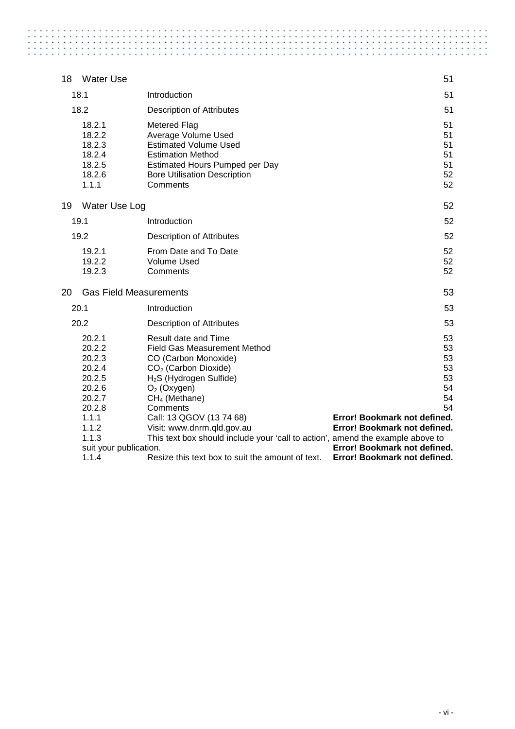| <b>Water Use</b><br>18                                                                                                                     |                                                                                                                                                                                                                                                                                                                                                                                                                                 | 51                                                                                                                                                                           |
|--------------------------------------------------------------------------------------------------------------------------------------------|---------------------------------------------------------------------------------------------------------------------------------------------------------------------------------------------------------------------------------------------------------------------------------------------------------------------------------------------------------------------------------------------------------------------------------|------------------------------------------------------------------------------------------------------------------------------------------------------------------------------|
| 18.1                                                                                                                                       | Introduction                                                                                                                                                                                                                                                                                                                                                                                                                    | 51                                                                                                                                                                           |
| 18.2                                                                                                                                       | <b>Description of Attributes</b>                                                                                                                                                                                                                                                                                                                                                                                                | 51                                                                                                                                                                           |
| 18.2.1<br>18.2.2<br>18.2.3<br>18.2.4<br>18.2.5<br>18.2.6<br>1.1.1                                                                          | <b>Metered Flag</b><br>Average Volume Used<br><b>Estimated Volume Used</b><br><b>Estimation Method</b><br><b>Estimated Hours Pumped per Day</b><br><b>Bore Utilisation Description</b><br>Comments                                                                                                                                                                                                                              | 51<br>51<br>51<br>51<br>51<br>52<br>52                                                                                                                                       |
| 19<br>Water Use Log                                                                                                                        |                                                                                                                                                                                                                                                                                                                                                                                                                                 | 52                                                                                                                                                                           |
| 19.1                                                                                                                                       | Introduction                                                                                                                                                                                                                                                                                                                                                                                                                    | 52                                                                                                                                                                           |
| 19.2                                                                                                                                       | <b>Description of Attributes</b>                                                                                                                                                                                                                                                                                                                                                                                                | 52                                                                                                                                                                           |
| 19.2.1<br>19.2.2<br>19.2.3                                                                                                                 | From Date and To Date<br><b>Volume Used</b><br>Comments                                                                                                                                                                                                                                                                                                                                                                         | 52<br>52<br>52                                                                                                                                                               |
| <b>Gas Field Measurements</b><br>20                                                                                                        |                                                                                                                                                                                                                                                                                                                                                                                                                                 | 53                                                                                                                                                                           |
| 20.1                                                                                                                                       | Introduction                                                                                                                                                                                                                                                                                                                                                                                                                    | 53                                                                                                                                                                           |
| 20.2                                                                                                                                       | <b>Description of Attributes</b>                                                                                                                                                                                                                                                                                                                                                                                                | 53                                                                                                                                                                           |
| 20.2.1<br>20.2.2<br>20.2.3<br>20.2.4<br>20.2.5<br>20.2.6<br>20.2.7<br>20.2.8<br>1.1.1<br>1.1.2<br>1.1.3<br>suit your publication.<br>1.1.4 | <b>Result date and Time</b><br><b>Field Gas Measurement Method</b><br>CO (Carbon Monoxide)<br>CO <sub>2</sub> (Carbon Dioxide)<br>H <sub>2</sub> S (Hydrogen Sulfide)<br>$O2$ (Oxygen)<br>CH <sub>4</sub> (Methane)<br>Comments<br>Call: 13 QGOV (13 74 68)<br>Visit: www.dnrm.qld.gov.au<br>This text box should include your 'call to action', amend the example above to<br>Resize this text box to suit the amount of text. | 53<br>53<br>53<br>53<br>53<br>54<br>54<br>54<br>Error! Bookmark not defined.<br>Error! Bookmark not defined.<br>Error! Bookmark not defined.<br>Error! Bookmark not defined. |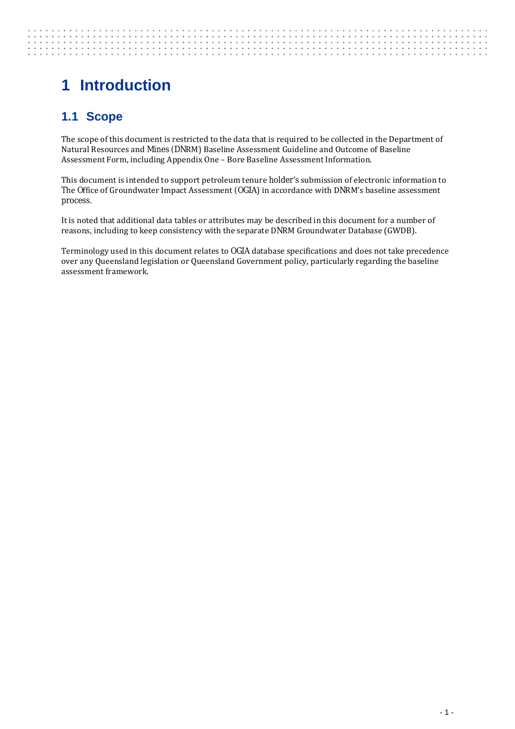# <span id="page-8-0"></span>**1 Introduction**

# <span id="page-8-1"></span>**1.1 Scope**

The scope of this document is restricted to the data that is required to be collected in the Department of Natural Resources and Mines (DNRM) Baseline Assessment Guideline and Outcome of Baseline Assessment Form, including Appendix One – Bore Baseline Assessment Information.

This document is intended to support petroleum tenure holder's submission of electronic information to The Office of Groundwater Impact Assessment (OGIA) in accordance with DNRM's baseline assessment process.

It is noted that additional data tables or attributes may be described in this document for a number of reasons, including to keep consistency with the separate DNRM Groundwater Database (GWDB).

Terminology used in this document relates to OGIA database specifications and does not take precedence over any Queensland legislation or Queensland Government policy, particularly regarding the baseline assessment framework.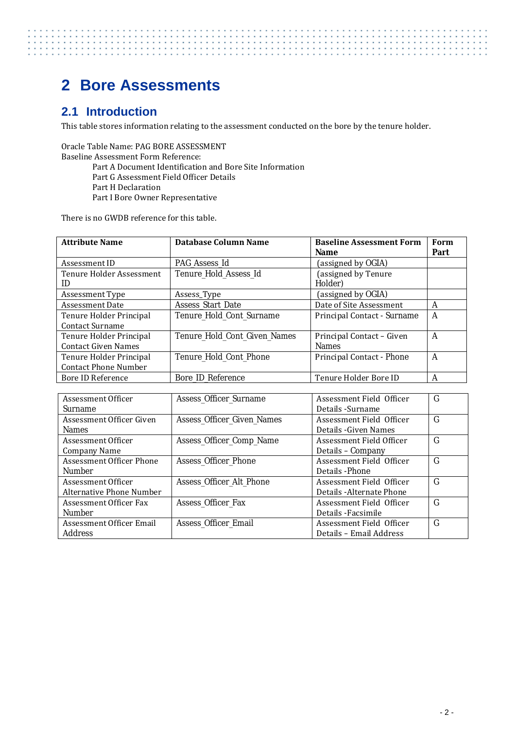# <span id="page-9-0"></span>**2 Bore Assessments**

## <span id="page-9-1"></span>**2.1 Introduction**

This table stores information relating to the assessment conducted on the bore by the tenure holder.

. . . . . . .

Oracle Table Name: PAG BORE ASSESSMENT Baseline Assessment Form Reference: Part A Document Identification and Bore Site Information Part G Assessment Field Officer Details Part H Declaration Part I Bore Owner Representative

There is no GWDB reference for this table.

| <b>Attribute Name</b>                                  | Database Column Name            | <b>Baseline Assessment Form</b><br><b>Name</b> | Form<br>Part |
|--------------------------------------------------------|---------------------------------|------------------------------------------------|--------------|
| Assessment ID                                          | PAG Assess Id                   | (assigned by OGIA)                             |              |
| Tenure Holder Assessment<br>ID                         | Tenure_Hold_Assess_Id           | (assigned by Tenure<br>Holder)                 |              |
| Assessment Type                                        | Assess_Type                     | (assigned by OGIA)                             |              |
| Assessment Date                                        | Assess_Start_Date               | Date of Site Assessment                        | A            |
| Tenure Holder Principal<br>Contact Surname             | <b>Tenure Hold Cont Surname</b> | Principal Contact - Surname                    | A            |
| Tenure Holder Principal<br><b>Contact Given Names</b>  | Tenure_Hold_Cont_Given_Names    | Principal Contact - Given<br><b>Names</b>      | A            |
| Tenure Holder Principal<br><b>Contact Phone Number</b> | Tenure_Hold_Cont_Phone          | Principal Contact - Phone                      | A            |
| Bore ID Reference                                      | Bore ID Reference               | Tenure Holder Bore ID                          | A            |

| Assessment Officer       | Assess_Officer_Surname      | Assessment Field Officer  | G |
|--------------------------|-----------------------------|---------------------------|---|
| <b>Surname</b>           |                             | Details - Surname         |   |
| Assessment Officer Given | Assess_Officer_Given_Names  | Assessment Field Officer  | G |
| <b>Names</b>             |                             | Details - Given Names     |   |
| Assessment Officer       | Assess_Officer_Comp_Name    | Assessment Field Officer  | G |
| Company Name             |                             | Details – Company         |   |
| Assessment Officer Phone | Assess_Officer_Phone        | Assessment Field Officer  | G |
| <b>Number</b>            |                             | Details - Phone           |   |
| Assessment Officer       | Assess_Officer_Alt_Phone    | Assessment Field Officer  | G |
| Alternative Phone Number |                             | Details - Alternate Phone |   |
| Assessment Officer Fax   | <b>Assess Officer Fax</b>   | Assessment Field Officer  | G |
| <b>Number</b>            |                             | Details - Facsimile       |   |
| Assessment Officer Email | <b>Assess Officer Email</b> | Assessment Field Officer  | G |
| <b>Address</b>           |                             | Details – Email Address   |   |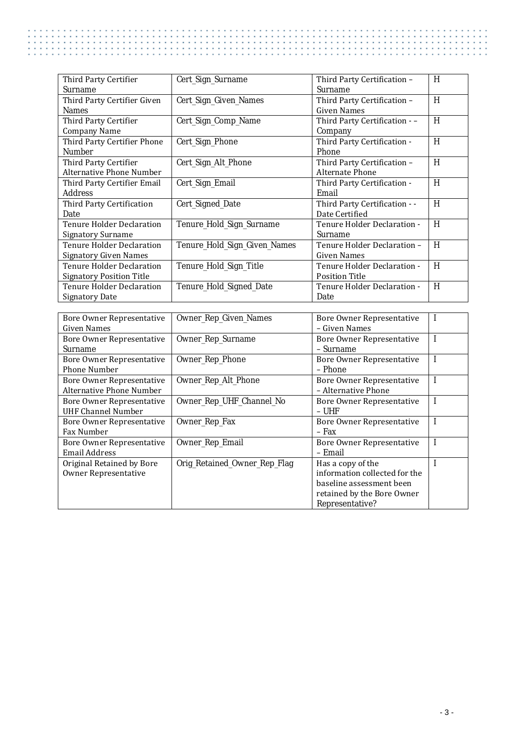| Third Party Certifier            | Cert_Sign_Surname            | Third Party Certification -   | H |
|----------------------------------|------------------------------|-------------------------------|---|
| Surname                          |                              | Surname                       |   |
| Third Party Certifier Given      | Cert_Sign_Given_Names        | Third Party Certification -   | H |
| <b>Names</b>                     |                              | Given Names                   |   |
| Third Party Certifier            | Cert_Sign_Comp_Name          | Third Party Certification - - | H |
| <b>Company Name</b>              |                              | Company                       |   |
| Third Party Certifier Phone      | Cert_Sign_Phone              | Third Party Certification -   | H |
| <b>Number</b>                    |                              | Phone                         |   |
| Third Party Certifier            | Cert_Sign_Alt_Phone          | Third Party Certification -   | H |
| Alternative Phone Number         |                              | Alternate Phone               |   |
| Third Party Certifier Email      | Cert_Sign_Email              | Third Party Certification -   | H |
| <b>Address</b>                   |                              | Email                         |   |
| Third Party Certification        | Cert_Signed_Date             | Third Party Certification - - | H |
| Date                             |                              | Date Certified                |   |
| Tenure Holder Declaration        | Tenure_Hold_Sign_Surname     | Tenure Holder Declaration -   | H |
| <b>Signatory Surname</b>         |                              | <b>Surname</b>                |   |
| Tenure Holder Declaration        | Tenure_Hold_Sign_Given_Names | Tenure Holder Declaration -   | H |
| <b>Signatory Given Names</b>     |                              | Given Names                   |   |
| <b>Tenure Holder Declaration</b> | Tenure_Hold_Sign_Title       | Tenure Holder Declaration -   | H |
| <b>Signatory Position Title</b>  |                              | <b>Position Title</b>         |   |
| <b>Tenure Holder Declaration</b> | Tenure_Hold_Signed_Date      | Tenure Holder Declaration -   | H |
| <b>Signatory Date</b>            |                              | Date                          |   |

| Bore Owner Representative        | Owner_Rep_Given_Names        | Bore Owner Representative     |   |
|----------------------------------|------------------------------|-------------------------------|---|
| Given Names                      |                              | – Given Names                 |   |
| <b>Bore Owner Representative</b> | Owner_Rep_Surname            | Bore Owner Representative     | I |
| <b>Surname</b>                   |                              | - Surname                     |   |
| Bore Owner Representative        | Owner_Rep_Phone              | Bore Owner Representative     | I |
| <b>Phone Number</b>              |                              | – Phone                       |   |
| Bore Owner Representative        | Owner_Rep_Alt_Phone          | Bore Owner Representative     | I |
| Alternative Phone Number         |                              | - Alternative Phone           |   |
| Bore Owner Representative        | Owner_Rep_UHF_Channel_No     | Bore Owner Representative     |   |
| <b>UHF Channel Number</b>        |                              | – UHF                         |   |
| Bore Owner Representative        | Owner_Rep_Fax                | Bore Owner Representative     |   |
| Fax Number                       |                              | $-$ Fax                       |   |
| Bore Owner Representative        | Owner_Rep_Email              | Bore Owner Representative     |   |
| <b>Email Address</b>             |                              | – Email                       |   |
| Original Retained by Bore        | Orig_Retained_Owner_Rep_Flag | Has a copy of the             |   |
| <b>Owner Representative</b>      |                              | information collected for the |   |
|                                  |                              | baseline assessment been      |   |
|                                  |                              | retained by the Bore Owner    |   |
|                                  |                              | Representative?               |   |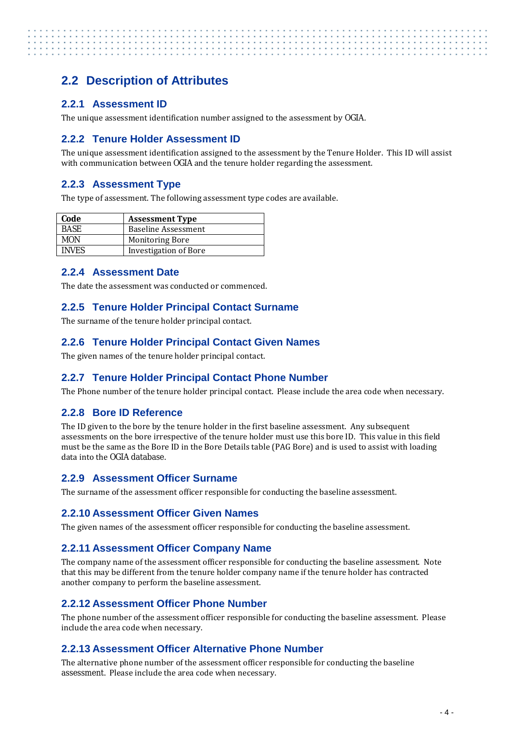# <span id="page-11-0"></span>**2.2 Description of Attributes**

#### <span id="page-11-1"></span>**2.2.1 Assessment ID**

The unique assessment identification number assigned to the assessment by OGIA.

#### <span id="page-11-2"></span>**2.2.2 Tenure Holder Assessment ID**

The unique assessment identification assigned to the assessment by the Tenure Holder. This ID will assist with communication between OGIA and the tenure holder regarding the assessment.

#### <span id="page-11-3"></span>**2.2.3 Assessment Type**

The type of assessment. The following assessment type codes are available.

| Code         | <b>Assessment Type</b>       |
|--------------|------------------------------|
| <b>BASE</b>  | <b>Baseline Assessment</b>   |
| MON          | <b>Monitoring Bore</b>       |
| <b>INVES</b> | <b>Investigation of Bore</b> |

#### <span id="page-11-4"></span>**2.2.4 Assessment Date**

<span id="page-11-5"></span>The date the assessment was conducted or commenced.

#### **2.2.5 Tenure Holder Principal Contact Surname**

The surname of the tenure holder principal contact.

#### <span id="page-11-6"></span>**2.2.6 Tenure Holder Principal Contact Given Names**

<span id="page-11-7"></span>The given names of the tenure holder principal contact.

#### **2.2.7 Tenure Holder Principal Contact Phone Number**

<span id="page-11-8"></span>The Phone number of the tenure holder principal contact. Please include the area code when necessary.

#### **2.2.8 Bore ID Reference**

The ID given to the bore by the tenure holder in the first baseline assessment. Any subsequent assessments on the bore irrespective of the tenure holder must use this bore ID. This value in this field must be the same as the Bore ID in the Bore Details table (PAG Bore) and is used to assist with loading data into the OGIA database.

#### <span id="page-11-9"></span>**2.2.9 Assessment Officer Surname**

<span id="page-11-10"></span>The surname of the assessment officer responsible for conducting the baseline assessment.

#### **2.2.10 Assessment Officer Given Names**

<span id="page-11-11"></span>The given names of the assessment officer responsible for conducting the baseline assessment.

#### **2.2.11 Assessment Officer Company Name**

The company name of the assessment officer responsible for conducting the baseline assessment. Note that this may be different from the tenure holder company name if the tenure holder has contracted another company to perform the baseline assessment.

#### <span id="page-11-12"></span>**2.2.12 Assessment Officer Phone Number**

The phone number of the assessment officer responsible for conducting the baseline assessment. Please include the area code when necessary.

#### <span id="page-11-13"></span>**2.2.13 Assessment Officer Alternative Phone Number**

The alternative phone number of the assessment officer responsible for conducting the baseline assessment. Please include the area code when necessary.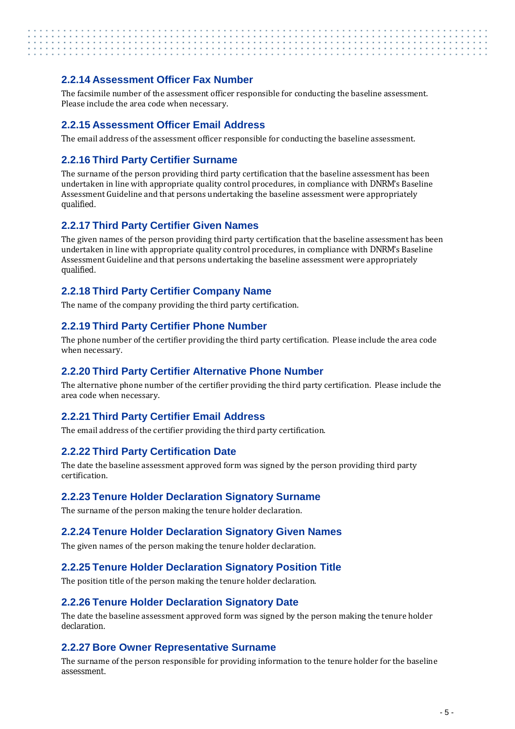#### <span id="page-12-0"></span>**2.2.14 Assessment Officer Fax Number**

The facsimile number of the assessment officer responsible for conducting the baseline assessment. Please include the area code when necessary.

#### <span id="page-12-1"></span>**2.2.15 Assessment Officer Email Address**

The email address of the assessment officer responsible for conducting the baseline assessment.

#### <span id="page-12-2"></span>**2.2.16 Third Party Certifier Surname**

The surname of the person providing third party certification that the baseline assessment has been undertaken in line with appropriate quality control procedures, in compliance with DNRM's Baseline Assessment Guideline and that persons undertaking the baseline assessment were appropriately qualified.

#### <span id="page-12-3"></span>**2.2.17 Third Party Certifier Given Names**

The given names of the person providing third party certification that the baseline assessment has been undertaken in line with appropriate quality control procedures, in compliance with DNRM's Baseline Assessment Guideline and that persons undertaking the baseline assessment were appropriately qualified.

#### <span id="page-12-4"></span>**2.2.18 Third Party Certifier Company Name**

<span id="page-12-5"></span>The name of the company providing the third party certification.

#### **2.2.19 Third Party Certifier Phone Number**

The phone number of the certifier providing the third party certification. Please include the area code when necessary.

#### <span id="page-12-6"></span>**2.2.20 Third Party Certifier Alternative Phone Number**

The alternative phone number of the certifier providing the third party certification. Please include the area code when necessary.

#### <span id="page-12-7"></span>**2.2.21 Third Party Certifier Email Address**

<span id="page-12-8"></span>The email address of the certifier providing the third party certification.

#### **2.2.22 Third Party Certification Date**

The date the baseline assessment approved form was signed by the person providing third party certification.

#### <span id="page-12-9"></span>**2.2.23 Tenure Holder Declaration Signatory Surname**

<span id="page-12-10"></span>The surname of the person making the tenure holder declaration.

#### **2.2.24 Tenure Holder Declaration Signatory Given Names**

<span id="page-12-11"></span>The given names of the person making the tenure holder declaration.

#### **2.2.25 Tenure Holder Declaration Signatory Position Title**

<span id="page-12-12"></span>The position title of the person making the tenure holder declaration.

#### **2.2.26 Tenure Holder Declaration Signatory Date**

The date the baseline assessment approved form was signed by the person making the tenure holder declaration.

#### <span id="page-12-13"></span>**2.2.27 Bore Owner Representative Surname**

The surname of the person responsible for providing information to the tenure holder for the baseline assessment.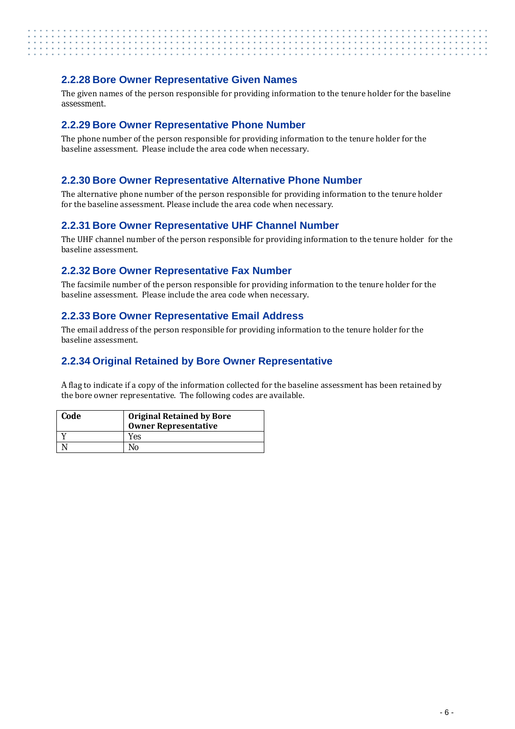#### <span id="page-13-0"></span>**2.2.28 Bore Owner Representative Given Names**

The given names of the person responsible for providing information to the tenure holder for the baseline assessment.

#### <span id="page-13-1"></span>**2.2.29 Bore Owner Representative Phone Number**

The phone number of the person responsible for providing information to the tenure holder for the baseline assessment. Please include the area code when necessary.

#### <span id="page-13-2"></span>**2.2.30 Bore Owner Representative Alternative Phone Number**

The alternative phone number of the person responsible for providing information to the tenure holder for the baseline assessment. Please include the area code when necessary.

#### <span id="page-13-3"></span>**2.2.31 Bore Owner Representative UHF Channel Number**

The UHF channel number of the person responsible for providing information to the tenure holder for the baseline assessment.

#### <span id="page-13-4"></span>**2.2.32 Bore Owner Representative Fax Number**

The facsimile number of the person responsible for providing information to the tenure holder for the baseline assessment. Please include the area code when necessary.

#### <span id="page-13-5"></span>**2.2.33 Bore Owner Representative Email Address**

The email address of the person responsible for providing information to the tenure holder for the baseline assessment.

#### <span id="page-13-6"></span>**2.2.34 Original Retained by Bore Owner Representative**

A flag to indicate if a copy of the information collected for the baseline assessment has been retained by the bore owner representative. The following codes are available.

| Code | <b>Original Retained by Bore</b><br><b>Owner Representative</b> |
|------|-----------------------------------------------------------------|
|      | Yes                                                             |
|      | N٥                                                              |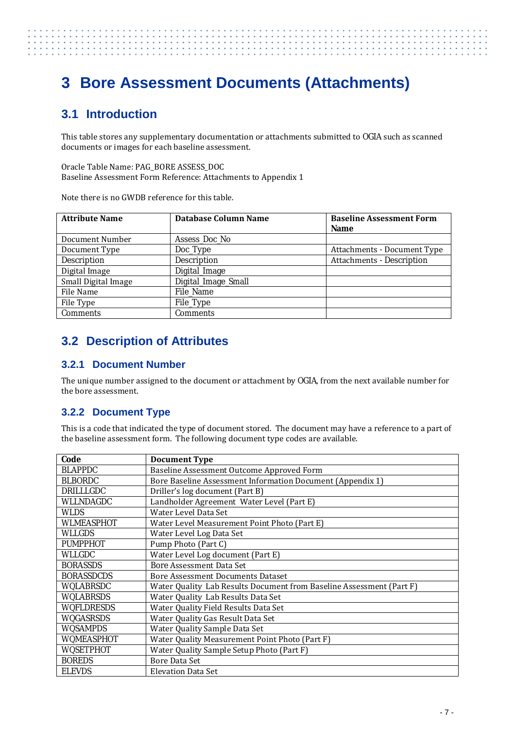# . . . . . . . . . . . . . .

# <span id="page-14-0"></span>**3 Bore Assessment Documents (Attachments)**

# <span id="page-14-1"></span>**3.1 Introduction**

This table stores any supplementary documentation or attachments submitted to OGIA such as scanned documents or images for each baseline assessment.

Oracle Table Name: PAG\_BORE ASSESS\_DOC Baseline Assessment Form Reference: Attachments to Appendix 1

Note there is no GWDB reference for this table.

| <b>Attribute Name</b> | <b>Database Column Name</b> | <b>Baseline Assessment Form</b><br>Name |
|-----------------------|-----------------------------|-----------------------------------------|
| Document Number       | Assess_Doc_No               |                                         |
| Document Type         | Doc_Type                    | Attachments - Document Type             |
| <b>Description</b>    | Description                 | <b>Attachments - Description</b>        |
| Digital Image         | Digital_Image               |                                         |
| Small Digital Image   | Digital_Image_Small         |                                         |
| File Name             | File Name                   |                                         |
| File Type             | File_Type                   |                                         |
| <b>Comments</b>       | Comments                    |                                         |

# <span id="page-14-2"></span>**3.2 Description of Attributes**

#### <span id="page-14-3"></span>**3.2.1 Document Number**

The unique number assigned to the document or attachment by OGIA, from the next available number for the bore assessment.

#### <span id="page-14-4"></span>**3.2.2 Document Type**

This is a code that indicated the type of document stored. The document may have a reference to a part of the baseline assessment form. The following document type codes are available.

| Code              | <b>Document Type</b>                                                 |
|-------------------|----------------------------------------------------------------------|
| <b>BLAPPDC</b>    | Baseline Assessment Outcome Approved Form                            |
| <b>BLBORDC</b>    | Bore Baseline Assessment Information Document (Appendix 1)           |
| DRILLLGDC         | Driller's log document (Part B)                                      |
| WLLNDAGDC         | Landholder Agreement Water Level (Part E)                            |
| WLDS              | Water Level Data Set                                                 |
| <b>WLMEASPHOT</b> | Water Level Measurement Point Photo (Part E)                         |
| WLLGDS            | Water Level Log Data Set                                             |
| <b>PUMPPHOT</b>   | Pump Photo (Part C)                                                  |
| WLLGDC            | Water Level Log document (Part E)                                    |
| <b>BORASSDS</b>   | <b>Bore Assessment Data Set</b>                                      |
| <b>BORASSDCDS</b> | <b>Bore Assessment Documents Dataset</b>                             |
| <b>WQLABRSDC</b>  | Water Quality Lab Results Document from Baseline Assessment (Part F) |
| <b>WQLABRSDS</b>  | Water Quality Lab Results Data Set                                   |
| <b>WQFLDRESDS</b> | Water Quality Field Results Data Set                                 |
| <b>WQGASRSDS</b>  | Water Quality Gas Result Data Set                                    |
| <b>WQSAMPDS</b>   | Water Quality Sample Data Set                                        |
| <b>WQMEASPHOT</b> | Water Quality Measurement Point Photo (Part F)                       |
| <b>WQSETPHOT</b>  | Water Quality Sample Setup Photo (Part F)                            |
| <b>BOREDS</b>     | Bore Data Set                                                        |
| <b>ELEVDS</b>     | <b>Elevation Data Set</b>                                            |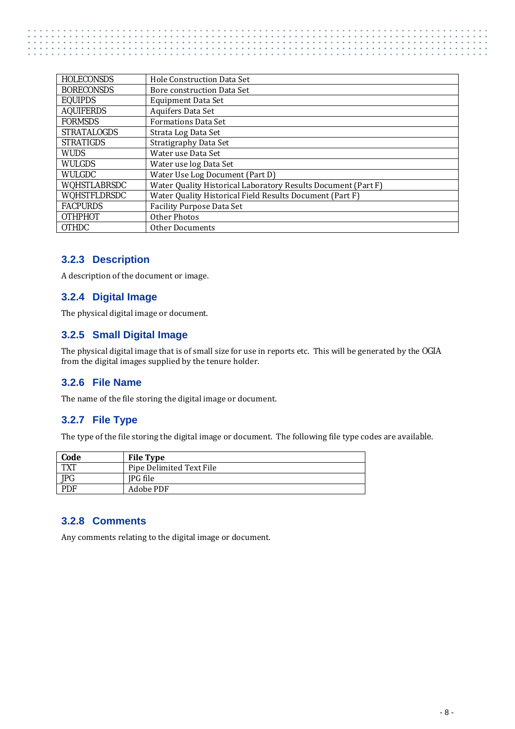| <b>HOLECONSDS</b>   | Hole Construction Data Set                                    |
|---------------------|---------------------------------------------------------------|
| <b>BORECONSDS</b>   | Bore construction Data Set                                    |
| <b>EQUIPDS</b>      | <b>Equipment Data Set</b>                                     |
| <b>AQUIFERDS</b>    | Aquifers Data Set                                             |
| <b>FORMSDS</b>      | <b>Formations Data Set</b>                                    |
| <b>STRATALOGDS</b>  | Strata Log Data Set                                           |
| <b>STRATIGDS</b>    | Stratigraphy Data Set                                         |
| <b>WUDS</b>         | Water use Data Set                                            |
| <b>WULGDS</b>       | Water use log Data Set                                        |
| <b>WULGDC</b>       | Water Use Log Document (Part D)                               |
| <b>WQHSTLABRSDC</b> | Water Quality Historical Laboratory Results Document (Part F) |
| <b>WQHSTFLDRSDC</b> | Water Quality Historical Field Results Document (Part F)      |
| <b>FACPURDS</b>     | <b>Facility Purpose Data Set</b>                              |
| <b>OTHPHOT</b>      | Other Photos                                                  |
| <b>OTHDC</b>        | Other Documents                                               |

#### <span id="page-15-0"></span>**3.2.3 Description**

<span id="page-15-1"></span>A description of the document or image.

#### **3.2.4 Digital Image**

The physical digital image or document.

#### <span id="page-15-2"></span>**3.2.5 Small Digital Image**

The physical digital image that is of small size for use in reports etc. This will be generated by the OGIA from the digital images supplied by the tenure holder.

#### <span id="page-15-3"></span>**3.2.6 File Name**

<span id="page-15-4"></span>The name of the file storing the digital image or document.

#### **3.2.7 File Type**

The type of the file storing the digital image or document. The following file type codes are available.

| Code       | <b>File Type</b>         |
|------------|--------------------------|
| <b>TXT</b> | Pipe Delimited Text File |
| <b>JPG</b> | IPG file                 |
| <b>PDF</b> | Adobe PDF                |

#### <span id="page-15-5"></span>**3.2.8 Comments**

Any comments relating to the digital image or document.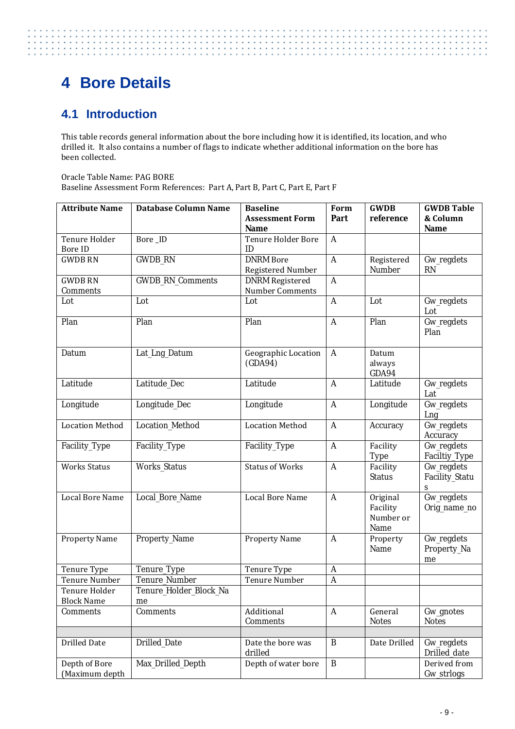# <span id="page-16-0"></span>**4 Bore Details**

# <span id="page-16-1"></span>**4.1 Introduction**

. . . . . . . . .

This table records general information about the bore including how it is identified, its location, and who drilled it. It also contains a number of flags to indicate whether additional information on the bore has been collected.

Oracle Table Name: PAG BORE Baseline Assessment Form References: Part A, Part B, Part C, Part E, Part F

| <b>Attribute Name</b>           | <b>Database Column Name</b> | <b>Baseline</b>                | Form         | <b>GWDB</b>                               | <b>GWDB Table</b>                 |
|---------------------------------|-----------------------------|--------------------------------|--------------|-------------------------------------------|-----------------------------------|
|                                 |                             | <b>Assessment Form</b>         | Part         | reference                                 | & Column                          |
|                                 |                             | Name                           |              |                                           | <b>Name</b>                       |
| Tenure Holder                   | Bore_ID                     | Tenure Holder Bore             | $\mathbf{A}$ |                                           |                                   |
| <b>Bore ID</b>                  |                             | ID                             |              |                                           |                                   |
| <b>GWDB RN</b>                  | <b>GWDB RN</b>              | <b>DNRM</b> Bore               | $\mathbf{A}$ | Registered                                | Gw_regdets                        |
|                                 |                             | Registered Number              |              | Number                                    | <b>RN</b>                         |
| <b>GWDB RN</b>                  | <b>GWDB_RN_Comments</b>     | <b>DNRM</b> Registered         | $\mathbf{A}$ |                                           |                                   |
| Comments                        |                             | Number Comments                |              |                                           |                                   |
| Lot                             | Lot                         | Lot                            | $\mathbf{A}$ | Lot                                       | Gw_regdets<br>Lot                 |
| Plan                            | Plan                        | Plan                           | $\mathbf{A}$ | Plan                                      | Gw_regdets<br>Plan                |
| Datum                           | Lat_Lng_Datum               | Geographic Location<br>(GDA94) | $\mathbf{A}$ | Datum<br>always<br>GDA94                  |                                   |
| Latitude                        | Latitude_Dec                | Latitude                       | $\mathbf{A}$ | Latitude                                  | Gw_regdets<br>Lat                 |
| Longitude                       | Longitude_Dec               | Longitude                      | $\mathbf{A}$ | Longitude                                 | Gw_regdets<br>Lng                 |
| <b>Location Method</b>          | Location_Method             | <b>Location Method</b>         | $\mathbf{A}$ | Accuracy                                  | Gw_regdets<br>Accuracy            |
| Facility_Type                   | Facility_Type               | Facility_Type                  | $\mathbf{A}$ | Facility<br><b>Type</b>                   | Gw_regdets<br>Faciltiy_Type       |
| <b>Works Status</b>             | <b>Works_Status</b>         | <b>Status of Works</b>         | $\mathbf{A}$ | Facility<br><b>Status</b>                 | Gw_regdets<br>Facility_Statu<br>S |
| <b>Local Bore Name</b>          | Local_Bore_Name             | <b>Local Bore Name</b>         | $\mathbf{A}$ | Original<br>Facility<br>Number or<br>Name | Gw_regdets<br>Orig_name_no        |
| <b>Property Name</b>            | Property_Name               | <b>Property Name</b>           | $\mathbf{A}$ | Property<br>Name                          | Gw_regdets<br>Property_Na<br>me   |
| Tenure Type                     | Tenure_Type                 | Tenure Type                    | $\mathbf{A}$ |                                           |                                   |
| Tenure Number                   | Tenure_Number               | <b>Tenure Number</b>           | $\mathbf{A}$ |                                           |                                   |
| Tenure Holder                   | Tenure_Holder_Block_Na      |                                |              |                                           |                                   |
| <b>Block Name</b>               | me                          |                                |              |                                           |                                   |
| Comments                        | Comments                    | Additional<br>Comments         | $\mathbf{A}$ | General<br><b>Notes</b>                   | Gw_gnotes<br><b>Notes</b>         |
|                                 |                             |                                |              |                                           |                                   |
| <b>Drilled Date</b>             | Drilled_Date                | Date the bore was<br>drilled   | B            | Date Drilled                              | Gw_regdets<br>Drilled_date        |
| Depth of Bore<br>(Maximum depth | Max_Drilled_Depth           | Depth of water bore            | $\, {\bf B}$ |                                           | Derived from<br>Gw_strlogs        |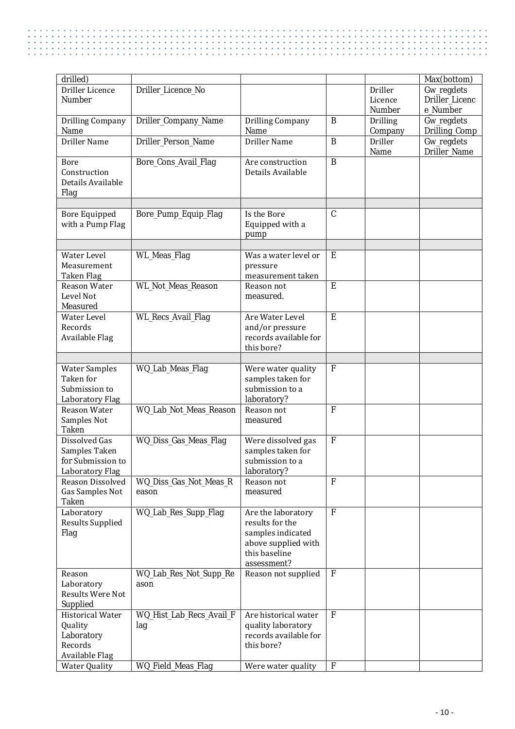| drilled)                  |                           |                                          |                |                 | Max(bottom)                |
|---------------------------|---------------------------|------------------------------------------|----------------|-----------------|----------------------------|
| Driller Licence           | Driller_Licence_No        |                                          |                | Driller         | Gw_regdets                 |
| <b>Number</b>             |                           |                                          |                | Licence         | Driller Licenc             |
|                           |                           |                                          |                | Number          | e_Number                   |
| <b>Drilling Company</b>   | Driller_Company_Name      | Drilling Company                         | $\mathbf{B}$   | <b>Drilling</b> | Gw_regdets                 |
| Name                      |                           | Name                                     |                | Company         | Drilling_Comp              |
| <b>Driller Name</b>       | Driller_Person_Name       | Driller Name                             | $\overline{B}$ | Driller<br>Name | Gw_regdets<br>Driller_Name |
| <b>Bore</b>               | Bore_Cons_Avail_Flag      | Are construction                         | $\overline{B}$ |                 |                            |
| Construction              |                           | Details Available                        |                |                 |                            |
| Details Available         |                           |                                          |                |                 |                            |
| Flag                      |                           |                                          |                |                 |                            |
|                           |                           |                                          |                |                 |                            |
| <b>Bore Equipped</b>      | Bore_Pump_Equip_Flag      | Is the Bore                              | $\overline{C}$ |                 |                            |
| with a Pump Flag          |                           | Equipped with a                          |                |                 |                            |
|                           |                           | pump                                     |                |                 |                            |
|                           |                           |                                          |                |                 |                            |
| Water Level               | WL_Meas_Flag              | Was a water level or                     | E              |                 |                            |
| Measurement               |                           | pressure                                 |                |                 |                            |
| Taken Flag                |                           | measurement taken                        | E              |                 |                            |
| Reason Water<br>Level Not | WL_Not_Meas_Reason        | Reason not                               |                |                 |                            |
| Measured                  |                           | measured.                                |                |                 |                            |
| Water Level               | <b>WL_Recs_Avail_Flag</b> | Are Water Level                          | E              |                 |                            |
| Records                   |                           | and/or pressure                          |                |                 |                            |
| Available Flag            |                           | records available for                    |                |                 |                            |
|                           |                           | this bore?                               |                |                 |                            |
|                           |                           |                                          |                |                 |                            |
| <b>Water Samples</b>      | WQ_Lab_Meas_Flag          | Were water quality                       | $\mathbf{F}$   |                 |                            |
| Taken for                 |                           | samples taken for                        |                |                 |                            |
| Submission to             |                           | submission to a                          |                |                 |                            |
| Laboratory Flag           |                           | laboratory?                              |                |                 |                            |
| Reason Water              | WQ_Lab_Not_Meas_Reason    | Reason not                               | $\mathbf{F}$   |                 |                            |
| Samples Not               |                           | measured                                 |                |                 |                            |
| <b>Taken</b>              |                           |                                          |                |                 |                            |
| Dissolved Gas             | WQ_Diss_Gas_Meas_Flag     | Were dissolved gas                       | $\mathbf{F}$   |                 |                            |
| Samples Taken             |                           | samples taken for                        |                |                 |                            |
| for Submission to         |                           | submission to a                          |                |                 |                            |
| Laboratory Flag           |                           | laboratory?                              |                |                 |                            |
| Reason Dissolved          | WQ_Diss_Gas_Not_Meas_R    | Reason not                               | $\mathbf{F}$   |                 |                            |
| Gas Samples Not           | eason                     | measured                                 |                |                 |                            |
| <b>Taken</b>              |                           |                                          |                |                 |                            |
| Laboratory                | WQ_Lab_Res_Supp_Flag      | Are the laboratory<br>results for the    | $\mathbf{F}$   |                 |                            |
| <b>Results Supplied</b>   |                           |                                          |                |                 |                            |
| Flag                      |                           | samples indicated<br>above supplied with |                |                 |                            |
|                           |                           | this baseline                            |                |                 |                            |
|                           |                           | assessment?                              |                |                 |                            |
| Reason                    | WQ_Lab_Res_Not_Supp_Re    | Reason not supplied                      | $\mathbf F$    |                 |                            |
| Laboratory                | ason                      |                                          |                |                 |                            |
| Results Were Not          |                           |                                          |                |                 |                            |
| Supplied                  |                           |                                          |                |                 |                            |
| <b>Historical Water</b>   | WQ_Hist_Lab_Recs_Avail_F  | Are historical water                     | F              |                 |                            |
| Quality                   | lag                       | quality laboratory                       |                |                 |                            |
| Laboratory                |                           | records available for                    |                |                 |                            |
| Records                   |                           | this bore?                               |                |                 |                            |
| Available Flag            |                           |                                          |                |                 |                            |
| <b>Water Quality</b>      | WQ_Field_Meas_Flag        | Were water quality                       | $\mathbf{F}$   |                 |                            |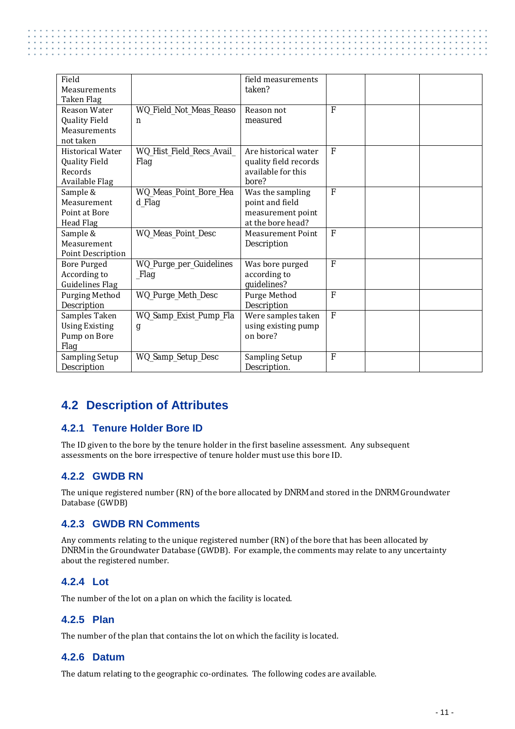| Field<br>Measurements<br>Taken Flag                                          |                                        | field measurements<br>taken?                                                  |                |  |
|------------------------------------------------------------------------------|----------------------------------------|-------------------------------------------------------------------------------|----------------|--|
| Reason Water<br><b>Quality Field</b><br>Measurements<br>not taken            | WQ_Field_Not_Meas_Reaso<br>$\mathbf n$ | Reason not<br>measured                                                        | $\mathbf{F}$   |  |
| <b>Historical Water</b><br><b>Quality Field</b><br>Records<br>Available Flag | WQ_Hist_Field_Recs_Avail_<br>Flag      | Are historical water<br>quality field records<br>available for this<br>bore?  | $\mathbf{F}$   |  |
| Sample &<br>Measurement<br>Point at Bore<br>Head Flag                        | WQ_Meas_Point_Bore_Hea<br>d_Flag       | Was the sampling<br>point and field<br>measurement point<br>at the bore head? | $\mathbf{F}$   |  |
| Sample &<br>Measurement<br>Point Description                                 | WQ_Meas_Point_Desc                     | <b>Measurement Point</b><br>Description                                       | $\mathbf{F}$   |  |
| <b>Bore Purged</b><br>According to<br><b>Guidelines Flag</b>                 | WQ_Purge_per_Guidelines<br>_Flag       | Was bore purged<br>according to<br>guidelines?                                | $\mathbf{F}$   |  |
| Purging Method<br>Description                                                | WQ_Purge_Meth_Desc                     | Purge Method<br>Description                                                   | $\overline{F}$ |  |
| Samples Taken<br><b>Using Existing</b><br>Pump on Bore<br>Flag               | WQ_Samp_Exist_Pump_Fla<br>g            | Were samples taken<br>using existing pump<br>on bore?                         | $\mathbf{F}$   |  |
| Sampling Setup<br>Description                                                | WQ_Samp_Setup_Desc                     | <b>Sampling Setup</b><br>Description.                                         | $\mathbf F$    |  |

# <span id="page-18-0"></span>**4.2 Description of Attributes**

#### <span id="page-18-1"></span>**4.2.1 Tenure Holder Bore ID**

The ID given to the bore by the tenure holder in the first baseline assessment. Any subsequent assessments on the bore irrespective of tenure holder must use this bore ID.

#### <span id="page-18-2"></span>**4.2.2 GWDB RN**

The unique registered number (RN) of the bore allocated by DNRM and stored in the DNRM Groundwater Database (GWDB)

#### <span id="page-18-3"></span>**4.2.3 GWDB RN Comments**

Any comments relating to the unique registered number (RN) of the bore that has been allocated by DNRM in the Groundwater Database (GWDB). For example, the comments may relate to any uncertainty about the registered number.

#### <span id="page-18-4"></span>**4.2.4 Lot**

<span id="page-18-5"></span>The number of the lot on a plan on which the facility is located.

#### **4.2.5 Plan**

<span id="page-18-6"></span>The number of the plan that contains the lot on which the facility is located.

#### **4.2.6 Datum**

The datum relating to the geographic co-ordinates. The following codes are available.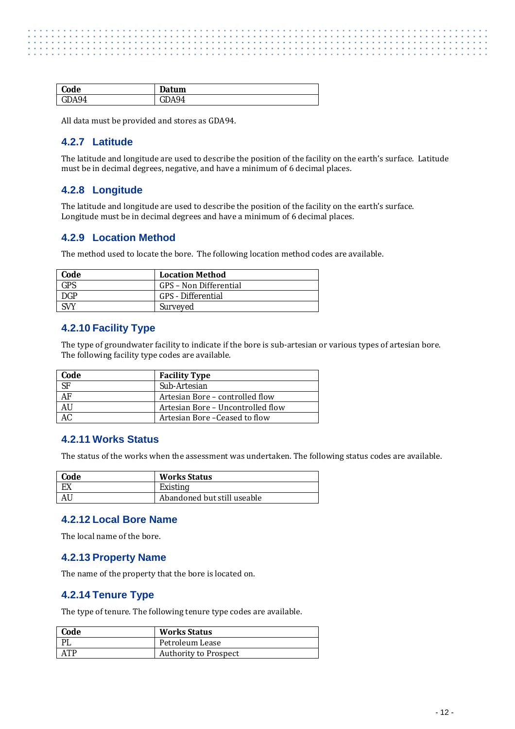| Code  | Datum |
|-------|-------|
| GDA94 | DA94  |

<span id="page-19-0"></span>All data must be provided and stores as GDA94.

#### **4.2.7 Latitude**

The latitude and longitude are used to describe the position of the facility on the earth's surface. Latitude must be in decimal degrees, negative, and have a minimum of 6 decimal places.

#### <span id="page-19-1"></span>**4.2.8 Longitude**

The latitude and longitude are used to describe the position of the facility on the earth's surface. Longitude must be in decimal degrees and have a minimum of 6 decimal places.

#### <span id="page-19-2"></span>**4.2.9 Location Method**

The method used to locate the bore. The following location method codes are available.

| Code       | <b>Location Method</b>    |
|------------|---------------------------|
| <b>GPS</b> | GPS – Non Differential    |
| <b>DGP</b> | <b>GPS</b> - Differential |
| SVY        | Surveyed                  |

#### <span id="page-19-3"></span>**4.2.10 Facility Type**

The type of groundwater facility to indicate if the bore is sub-artesian or various types of artesian bore. The following facility type codes are available.

| Code      | <b>Facility Type</b>              |
|-----------|-----------------------------------|
| <b>SF</b> | Sub-Artesian                      |
| AF        | Artesian Bore – controlled flow   |
| AU        | Artesian Bore – Uncontrolled flow |
|           | Artesian Bore – Ceased to flow    |

#### <span id="page-19-4"></span>**4.2.11 Works Status**

The status of the works when the assessment was undertaken. The following status codes are available.

| <b>Code</b> | <b>Works Status</b>         |
|-------------|-----------------------------|
| EX          | Existing                    |
| AU          | Abandoned but still useable |

#### <span id="page-19-5"></span>**4.2.12 Local Bore Name**

<span id="page-19-6"></span>The local name of the bore.

#### **4.2.13 Property Name**

<span id="page-19-7"></span>The name of the property that the bore is located on.

#### **4.2.14 Tenure Type**

The type of tenure. The following tenure type codes are available.

| Code               | <b>Works Status</b>          |
|--------------------|------------------------------|
|                    | Petroleum Lease              |
| $\Delta \text{TP}$ | <b>Authority to Prospect</b> |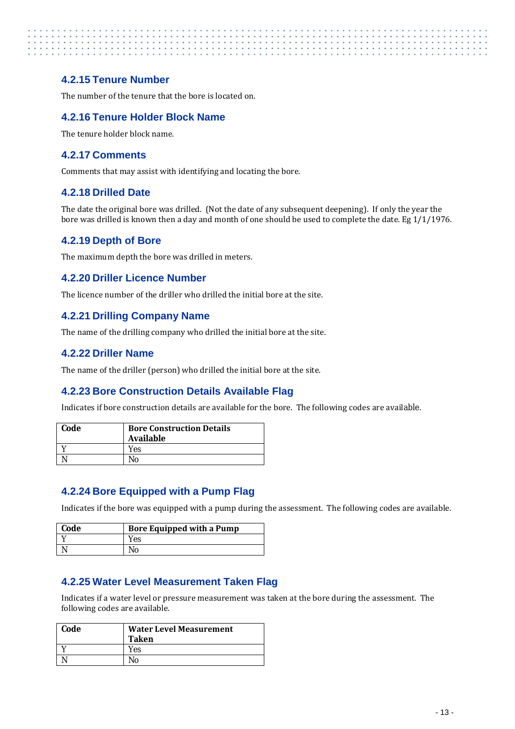#### <span id="page-20-0"></span>**4.2.15 Tenure Number**

<span id="page-20-1"></span>The number of the tenure that the bore is located on.

#### **4.2.16 Tenure Holder Block Name**

<span id="page-20-2"></span>The tenure holder block name.

#### **4.2.17 Comments**

<span id="page-20-3"></span>Comments that may assist with identifying and locating the bore.

#### **4.2.18 Drilled Date**

The date the original bore was drilled. (Not the date of any subsequent deepening). If only the year the bore was drilled is known then a day and month of one should be used to complete the date. Eg 1/1/1976.

#### <span id="page-20-4"></span>**4.2.19 Depth of Bore**

<span id="page-20-5"></span>The maximum depth the bore was drilled in meters.

#### **4.2.20 Driller Licence Number**

<span id="page-20-6"></span>The licence number of the driller who drilled the initial bore at the site.

#### **4.2.21 Drilling Company Name**

<span id="page-20-7"></span>The name of the drilling company who drilled the initial bore at the site.

#### **4.2.22 Driller Name**

<span id="page-20-8"></span>The name of the driller (person) who drilled the initial bore at the site.

#### **4.2.23 Bore Construction Details Available Flag**

Indicates if bore construction details are available for the bore. The following codes are available.

| Code | <b>Bore Construction Details</b><br><b>Available</b> |
|------|------------------------------------------------------|
|      | Yes                                                  |
|      | N٥                                                   |

#### <span id="page-20-9"></span>**4.2.24 Bore Equipped with a Pump Flag**

Indicates if the bore was equipped with a pump during the assessment. The following codes are available.

| <b>Code</b> | <b>Bore Equipped with a Pump</b> |
|-------------|----------------------------------|
|             | Yes                              |
|             |                                  |

#### <span id="page-20-10"></span>**4.2.25 Water Level Measurement Taken Flag**

Indicates if a water level or pressure measurement was taken at the bore during the assessment. The following codes are available.

| Code | <b>Water Level Measurement</b><br><b>Taken</b> |
|------|------------------------------------------------|
|      | Yes                                            |
|      | No                                             |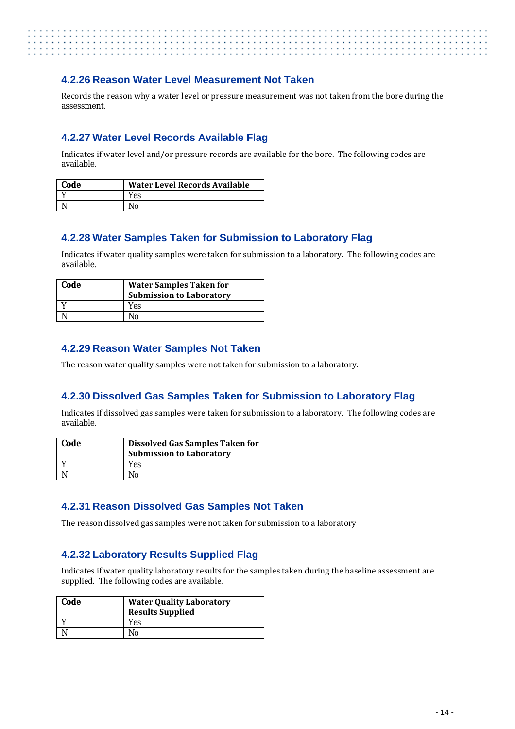#### <span id="page-21-0"></span>**4.2.26 Reason Water Level Measurement Not Taken**

Records the reason why a water level or pressure measurement was not taken from the bore during the assessment.

#### <span id="page-21-1"></span>**4.2.27 Water Level Records Available Flag**

Indicates if water level and/or pressure records are available for the bore. The following codes are available.

| <b>Code</b> | <b>Water Level Records Available</b> |
|-------------|--------------------------------------|
|             | Yes                                  |
|             |                                      |

#### <span id="page-21-2"></span>**4.2.28 Water Samples Taken for Submission to Laboratory Flag**

Indicates if water quality samples were taken for submission to a laboratory. The following codes are available.

| Code | <b>Water Samples Taken for</b><br><b>Submission to Laboratory</b> |
|------|-------------------------------------------------------------------|
|      | Yes                                                               |
|      | Nο                                                                |

#### <span id="page-21-3"></span>**4.2.29 Reason Water Samples Not Taken**

The reason water quality samples were not taken for submission to a laboratory.

#### <span id="page-21-4"></span>**4.2.30 Dissolved Gas Samples Taken for Submission to Laboratory Flag**

Indicates if dissolved gas samples were taken for submission to a laboratory. The following codes are available.

| Code | Dissolved Gas Samples Taken for |
|------|---------------------------------|
|      | <b>Submission to Laboratory</b> |
|      | Yes                             |
|      | Nο                              |

#### <span id="page-21-5"></span>**4.2.31 Reason Dissolved Gas Samples Not Taken**

The reason dissolved gas samples were not taken for submission to a laboratory

#### <span id="page-21-6"></span>**4.2.32 Laboratory Results Supplied Flag**

Indicates if water quality laboratory results for the samples taken during the baseline assessment are supplied. The following codes are available.

| Code | <b>Water Quality Laboratory</b><br><b>Results Supplied</b> |
|------|------------------------------------------------------------|
|      | Yes                                                        |
|      | Nο                                                         |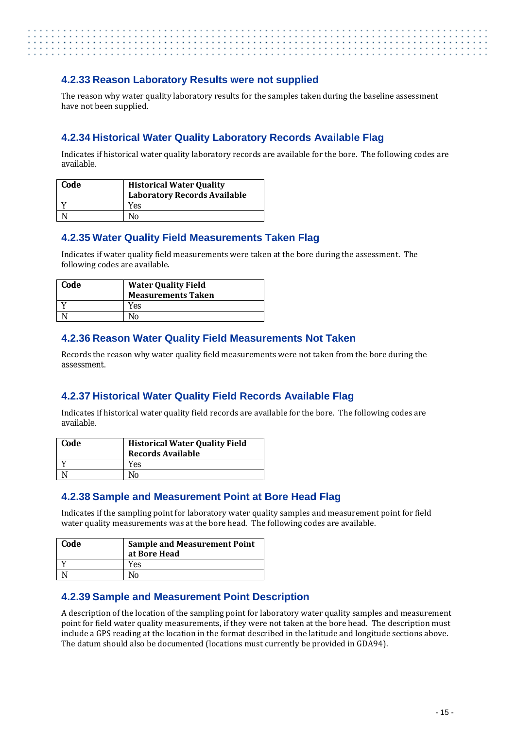#### <span id="page-22-0"></span>**4.2.33 Reason Laboratory Results were not supplied**

The reason why water quality laboratory results for the samples taken during the baseline assessment have not been supplied.

#### <span id="page-22-1"></span>**4.2.34 Historical Water Quality Laboratory Records Available Flag**

Indicates if historical water quality laboratory records are available for the bore. The following codes are available.

| Code | <b>Historical Water Quality</b><br><b>Laboratory Records Available</b> |
|------|------------------------------------------------------------------------|
|      | Yes                                                                    |
|      | N٥                                                                     |

#### <span id="page-22-2"></span>**4.2.35 Water Quality Field Measurements Taken Flag**

Indicates if water quality field measurements were taken at the bore during the assessment. The following codes are available.

| Code | <b>Water Quality Field</b><br><b>Measurements Taken</b> |
|------|---------------------------------------------------------|
|      | Yes                                                     |
|      | No                                                      |

#### <span id="page-22-3"></span>**4.2.36 Reason Water Quality Field Measurements Not Taken**

Records the reason why water quality field measurements were not taken from the bore during the assessment.

#### <span id="page-22-4"></span>**4.2.37 Historical Water Quality Field Records Available Flag**

Indicates if historical water quality field records are available for the bore. The following codes are available.

| Code | <b>Historical Water Quality Field</b><br>Records Available |
|------|------------------------------------------------------------|
|      | Yes                                                        |
|      | No                                                         |

#### <span id="page-22-5"></span>**4.2.38 Sample and Measurement Point at Bore Head Flag**

Indicates if the sampling point for laboratory water quality samples and measurement point for field water quality measurements was at the bore head. The following codes are available.

| Code | <b>Sample and Measurement Point</b><br>at Bore Head |
|------|-----------------------------------------------------|
|      | Yes                                                 |
|      | No                                                  |

#### <span id="page-22-6"></span>**4.2.39 Sample and Measurement Point Description**

A description of the location of the sampling point for laboratory water quality samples and measurement point for field water quality measurements, if they were not taken at the bore head. The description must include a GPS reading at the location in the format described in the latitude and longitude sections above. The datum should also be documented (locations must currently be provided in GDA94).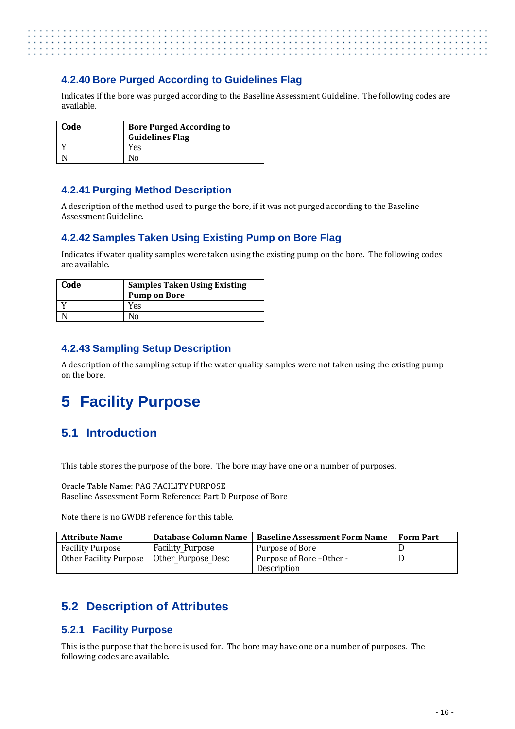#### <span id="page-23-0"></span>**4.2.40 Bore Purged According to Guidelines Flag**

Indicates if the bore was purged according to the Baseline Assessment Guideline. The following codes are available.

| Code | <b>Bore Purged According to</b><br><b>Guidelines Flag</b> |
|------|-----------------------------------------------------------|
|      | Yes                                                       |
|      | Nο                                                        |

#### <span id="page-23-1"></span>**4.2.41 Purging Method Description**

A description of the method used to purge the bore, if it was not purged according to the Baseline Assessment Guideline.

#### <span id="page-23-2"></span>**4.2.42 Samples Taken Using Existing Pump on Bore Flag**

Indicates if water quality samples were taken using the existing pump on the bore. The following codes are available.

| Code | <b>Samples Taken Using Existing</b><br><b>Pump on Bore</b> |
|------|------------------------------------------------------------|
|      | Yes                                                        |
|      | No                                                         |

#### <span id="page-23-3"></span>**4.2.43 Sampling Setup Description**

A description of the sampling setup if the water quality samples were not taken using the existing pump on the bore.

# <span id="page-23-4"></span>**5 Facility Purpose**

# <span id="page-23-5"></span>**5.1 Introduction**

This table stores the purpose of the bore. The bore may have one or a number of purposes.

Oracle Table Name: PAG FACILITY PURPOSE Baseline Assessment Form Reference: Part D Purpose of Bore

Note there is no GWDB reference for this table.

| <b>Attribute Name</b>                       | Database Column Name    | <b>Baseline Assessment Form Name</b> | <b>Form Part</b> |
|---------------------------------------------|-------------------------|--------------------------------------|------------------|
| <b>Facility Purpose</b>                     | <b>Facility Purpose</b> | Purpose of Bore                      |                  |
| Other Facility Purpose   Other_Purpose_Desc |                         | Purpose of Bore – Other -            |                  |
|                                             |                         | <b>Description</b>                   |                  |

# <span id="page-23-6"></span>**5.2 Description of Attributes**

#### <span id="page-23-7"></span>**5.2.1 Facility Purpose**

This is the purpose that the bore is used for. The bore may have one or a number of purposes. The following codes are available.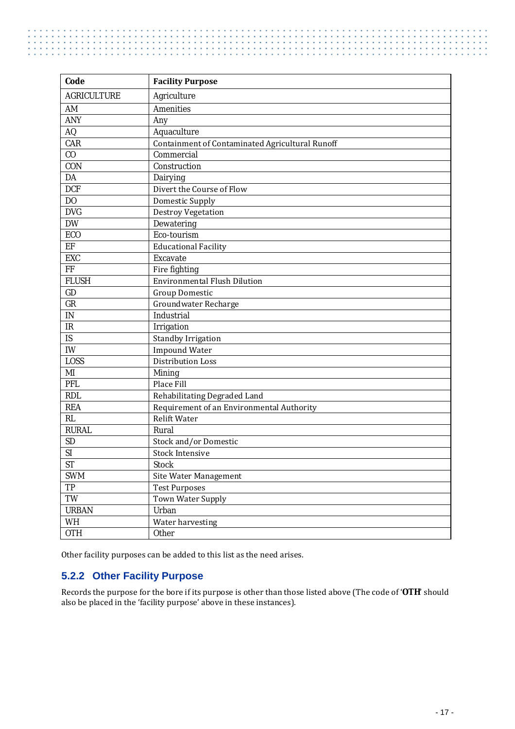| Code                              | <b>Facility Purpose</b>                         |
|-----------------------------------|-------------------------------------------------|
| <b>AGRICULTURE</b>                | Agriculture                                     |
| AM                                | <b>Amenities</b>                                |
| <b>ANY</b>                        | Any                                             |
| AQ                                | Aquaculture                                     |
| CAR                               | Containment of Contaminated Agricultural Runoff |
| C <sub>0</sub>                    | Commercial                                      |
| CON                               | Construction                                    |
| DA                                | Dairying                                        |
| <b>DCF</b>                        | Divert the Course of Flow                       |
| DO                                | Domestic Supply                                 |
| <b>DVG</b>                        | <b>Destroy Vegetation</b>                       |
| <b>DW</b>                         | Dewatering                                      |
| ECO                               | Eco-tourism                                     |
| EF                                | <b>Educational Facility</b>                     |
| <b>EXC</b>                        | Excavate                                        |
| FF                                | Fire fighting                                   |
| <b>FLUSH</b>                      | <b>Environmental Flush Dilution</b>             |
| GD                                | <b>Group Domestic</b>                           |
| GR                                | Groundwater Recharge                            |
| $\mathbf{IN}$                     | Industrial                                      |
| $\ensuremath{\mathsf{IR}}\xspace$ | Irrigation                                      |
| IS                                | Standby Irrigation                              |
| <b>IW</b>                         | Impound Water                                   |
| <b>LOSS</b>                       | <b>Distribution Loss</b>                        |
| MI                                | Mining                                          |
| <b>PFL</b>                        | Place Fill                                      |
| <b>RDL</b>                        | Rehabilitating Degraded Land                    |
| <b>REA</b>                        | Requirement of an Environmental Authority       |
| RL                                | <b>Relift Water</b>                             |
| <b>RURAL</b>                      | Rural                                           |
| <b>SD</b>                         | Stock and/or Domestic                           |
| SI                                | <b>Stock Intensive</b>                          |
| <b>ST</b>                         | <b>Stock</b>                                    |
| <b>SWM</b>                        | Site Water Management                           |
| TP                                | <b>Test Purposes</b>                            |
| TW                                | Town Water Supply                               |
| <b>URBAN</b>                      | Urban                                           |
| WH                                | Water harvesting                                |
| <b>OTH</b>                        | Other                                           |

Other facility purposes can be added to this list as the need arises.

### <span id="page-24-0"></span>**5.2.2 Other Facility Purpose**

Records the purpose for the bore if its purpose is other than those listed above (The code of '**OTH**' should also be placed in the 'facility purpose' above in these instances).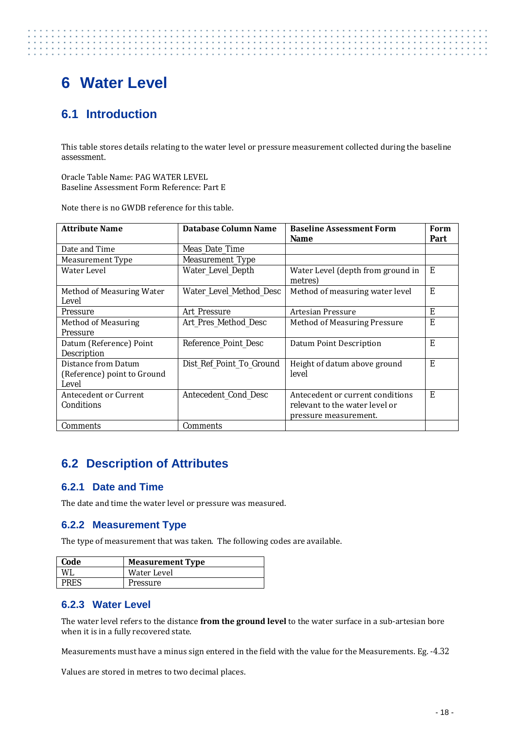# <span id="page-25-0"></span>**6 Water Level**

. . . . . . . . . . .

# <span id="page-25-1"></span>**6.1 Introduction**

This table stores details relating to the water level or pressure measurement collected during the baseline assessment.

Oracle Table Name: PAG WATER LEVEL Baseline Assessment Form Reference: Part E

Note there is no GWDB reference for this table.

| <b>Attribute Name</b>                                       | Database Column Name     | <b>Baseline Assessment Form</b><br><b>Name</b>                                              | Form<br>Part |
|-------------------------------------------------------------|--------------------------|---------------------------------------------------------------------------------------------|--------------|
| Date and Time                                               | Meas_Date_Time           |                                                                                             |              |
| Measurement Type                                            | Measurement_Type         |                                                                                             |              |
| Water Level                                                 | Water_Level_Depth        | Water Level (depth from ground in<br>metres)                                                | E            |
| Method of Measuring Water<br>Level                          | Water_Level_Method_Desc  | Method of measuring water level                                                             | E            |
| <b>Pressure</b>                                             | Art Pressure             | Artesian Pressure                                                                           | E            |
| <b>Method of Measuring</b>                                  | Art_Pres_Method_Desc     | Method of Measuring Pressure                                                                | E            |
| Pressure                                                    |                          |                                                                                             |              |
| Datum (Reference) Point<br>Description                      | Reference Point Desc     | Datum Point Description                                                                     | E            |
| Distance from Datum<br>(Reference) point to Ground<br>Level | Dist_Ref_Point_To_Ground | Height of datum above ground<br>level                                                       | E            |
| Antecedent or Current<br>Conditions                         | Antecedent Cond Desc     | Antecedent or current conditions<br>relevant to the water level or<br>pressure measurement. | E            |
| <b>Comments</b>                                             | Comments                 |                                                                                             |              |

## <span id="page-25-2"></span>**6.2 Description of Attributes**

#### <span id="page-25-3"></span>**6.2.1 Date and Time**

<span id="page-25-4"></span>The date and time the water level or pressure was measured.

#### **6.2.2 Measurement Type**

The type of measurement that was taken. The following codes are available.

| Code        | <b>Measurement Type</b> |
|-------------|-------------------------|
|             | Water Level             |
| <b>PRES</b> | Pressure                |

#### <span id="page-25-5"></span>**6.2.3 Water Level**

The water level refers to the distance **from the ground level** to the water surface in a sub-artesian bore when it is in a fully recovered state.

Measurements must have a minus sign entered in the field with the value for the Measurements. Eg. -4.32

Values are stored in metres to two decimal places.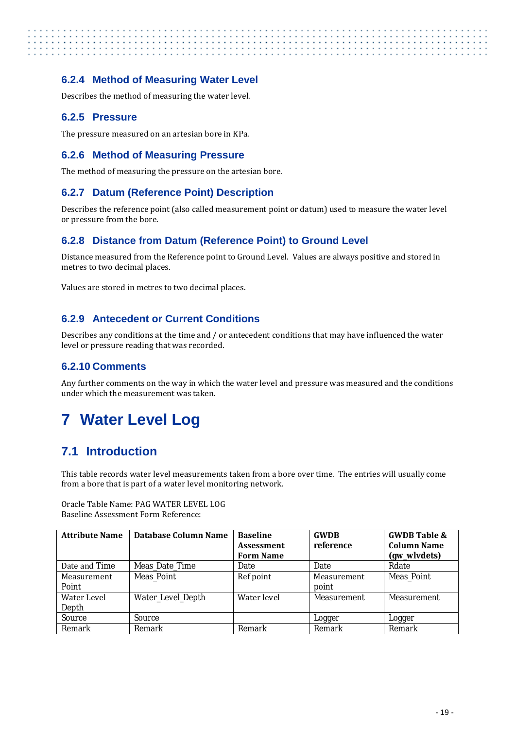#### <span id="page-26-0"></span>**6.2.4 Method of Measuring Water Level**

Describes the method of measuring the water level.

#### <span id="page-26-1"></span>**6.2.5 Pressure**

The pressure measured on an artesian bore in KPa.

#### <span id="page-26-2"></span>**6.2.6 Method of Measuring Pressure**

The method of measuring the pressure on the artesian bore.

#### <span id="page-26-3"></span>**6.2.7 Datum (Reference Point) Description**

Describes the reference point (also called measurement point or datum) used to measure the water level or pressure from the bore.

#### <span id="page-26-4"></span>**6.2.8 Distance from Datum (Reference Point) to Ground Level**

Distance measured from the Reference point to Ground Level. Values are always positive and stored in metres to two decimal places.

Values are stored in metres to two decimal places.

#### <span id="page-26-5"></span>**6.2.9 Antecedent or Current Conditions**

Describes any conditions at the time and / or antecedent conditions that may have influenced the water level or pressure reading that was recorded.

#### <span id="page-26-6"></span>**6.2.10 Comments**

Any further comments on the way in which the water level and pressure was measured and the conditions under which the measurement was taken.

# <span id="page-26-7"></span>**7 Water Level Log**

## <span id="page-26-8"></span>**7.1 Introduction**

This table records water level measurements taken from a bore over time. The entries will usually come from a bore that is part of a water level monitoring network.

Oracle Table Name: PAG WATER LEVEL LOG Baseline Assessment Form Reference:

| <b>Attribute Name</b> | <b>Database Column Name</b> | <b>Baseline</b>   | <b>GWDB</b>        | <b>GWDB Table &amp;</b> |
|-----------------------|-----------------------------|-------------------|--------------------|-------------------------|
|                       |                             | <b>Assessment</b> | reference          | <b>Column Name</b>      |
|                       |                             | <b>Form Name</b>  |                    | (gw_wlvdets)            |
| Date and Time         | Meas Date Time              | Date              | Date               | Rdate                   |
| Measurement           | <b>Meas Point</b>           | Ref point         | Measurement        | <b>Meas Point</b>       |
| Point                 |                             |                   | point              |                         |
| Water Level           | Water_Level_Depth           | Water level       | <b>Measurement</b> | <b>Measurement</b>      |
| Depth                 |                             |                   |                    |                         |
| Source                | Source                      |                   | Logger             | Logger                  |
| Remark                | Remark                      | Remark            | Remark             | Remark                  |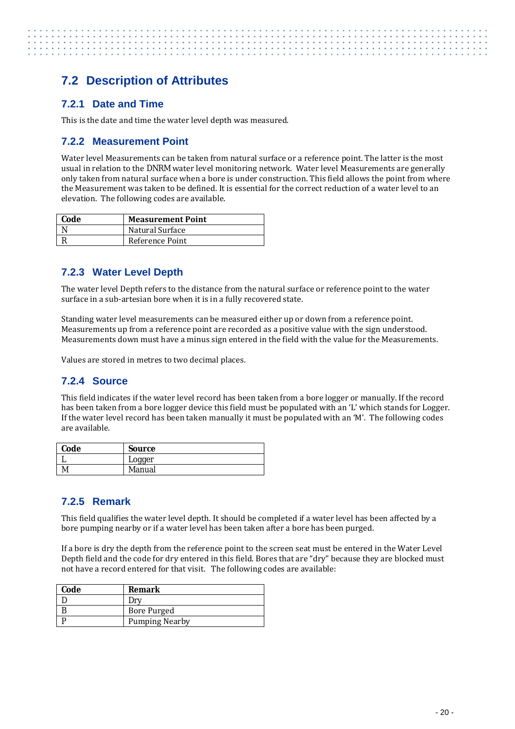# <span id="page-27-0"></span>**7.2 Description of Attributes**

#### <span id="page-27-1"></span>**7.2.1 Date and Time**

<span id="page-27-2"></span>This is the date and time the water level depth was measured.

#### **7.2.2 Measurement Point**

Water level Measurements can be taken from natural surface or a reference point. The latter is the most usual in relation to the DNRM water level monitoring network. Water level Measurements are generally only taken from natural surface when a bore is under construction. This field allows the point from where the Measurement was taken to be defined. It is essential for the correct reduction of a water level to an elevation. The following codes are available.

| Code | <b>Measurement Point</b> |
|------|--------------------------|
|      | Natural Surface          |
|      | Reference Point          |

#### <span id="page-27-3"></span>**7.2.3 Water Level Depth**

The water level Depth refers to the distance from the natural surface or reference point to the water surface in a sub-artesian bore when it is in a fully recovered state.

Standing water level measurements can be measured either up or down from a reference point. Measurements up from a reference point are recorded as a positive value with the sign understood. Measurements down must have a minus sign entered in the field with the value for the Measurements.

<span id="page-27-4"></span>Values are stored in metres to two decimal places.

#### **7.2.4 Source**

This field indicates if the water level record has been taken from a bore logger or manually. If the record has been taken from a bore logger device this field must be populated with an 'L' which stands for Logger. If the water level record has been taken manually it must be populated with an 'M'. The following codes are available.

| Code | Source |
|------|--------|
|      | Logger |
|      | Manual |

#### <span id="page-27-5"></span>**7.2.5 Remark**

This field qualifies the water level depth. It should be completed if a water level has been affected by a bore pumping nearby or if a water level has been taken after a bore has been purged.

If a bore is dry the depth from the reference point to the screen seat must be entered in the Water Level Depth field and the code for dry entered in this field. Bores that are "dry" because they are blocked must not have a record entered for that visit. The following codes are available:

| Code | Remark                |
|------|-----------------------|
|      |                       |
|      | Bore Purged           |
|      | <b>Pumping Nearby</b> |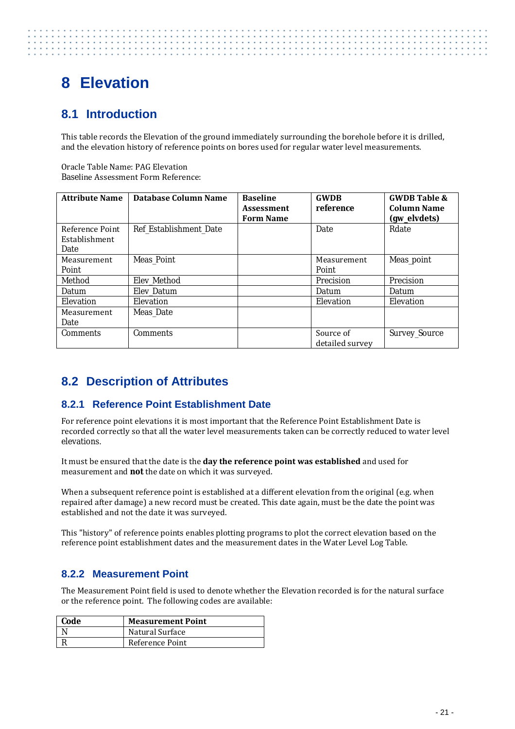# <span id="page-28-0"></span>**8 Elevation**

# <span id="page-28-1"></span>**8.1 Introduction**

This table records the Elevation of the ground immediately surrounding the borehole before it is drilled, and the elevation history of reference points on bores used for regular water level measurements.

Oracle Table Name: PAG Elevation Baseline Assessment Form Reference:

| <b>Attribute Name</b> | Database Column Name   | <b>Baseline</b><br><b>Assessment</b><br><b>Form Name</b> | <b>GWDB</b><br>reference | <b>GWDB Table &amp;</b><br><b>Column Name</b><br>(gw_elvdets) |
|-----------------------|------------------------|----------------------------------------------------------|--------------------------|---------------------------------------------------------------|
| Reference Point       | Ref Establishment_Date |                                                          | Date                     | Rdate                                                         |
| Establishment         |                        |                                                          |                          |                                                               |
| Date                  |                        |                                                          |                          |                                                               |
| Measurement           | <b>Meas Point</b>      |                                                          | Measurement              | Meas_point                                                    |
| Point                 |                        |                                                          | Point                    |                                                               |
| Method                | Elev Method            |                                                          | <b>Precision</b>         | Precision                                                     |
| Datum                 | <b>Elev Datum</b>      |                                                          | Datum                    | Datum                                                         |
| Elevation             | Elevation              |                                                          | Elevation                | Elevation                                                     |
| Measurement           | <b>Meas Date</b>       |                                                          |                          |                                                               |
| Date                  |                        |                                                          |                          |                                                               |
| <b>Comments</b>       | <b>Comments</b>        |                                                          | Source of                | Survey_Source                                                 |
|                       |                        |                                                          | detailed survey          |                                                               |

# <span id="page-28-2"></span>**8.2 Description of Attributes**

#### <span id="page-28-3"></span>**8.2.1 Reference Point Establishment Date**

For reference point elevations it is most important that the Reference Point Establishment Date is recorded correctly so that all the water level measurements taken can be correctly reduced to water level elevations.

It must be ensured that the date is the **day the reference point was established** and used for measurement and **not** the date on which it was surveyed.

When a subsequent reference point is established at a different elevation from the original (e.g. when repaired after damage) a new record must be created. This date again, must be the date the point was established and not the date it was surveyed.

This "history" of reference points enables plotting programs to plot the correct elevation based on the reference point establishment dates and the measurement dates in the Water Level Log Table.

#### <span id="page-28-4"></span>**8.2.2 Measurement Point**

The Measurement Point field is used to denote whether the Elevation recorded is for the natural surface or the reference point. The following codes are available:

| Code | <b>Measurement Point</b> |
|------|--------------------------|
|      | Natural Surface          |
|      | Reference Point          |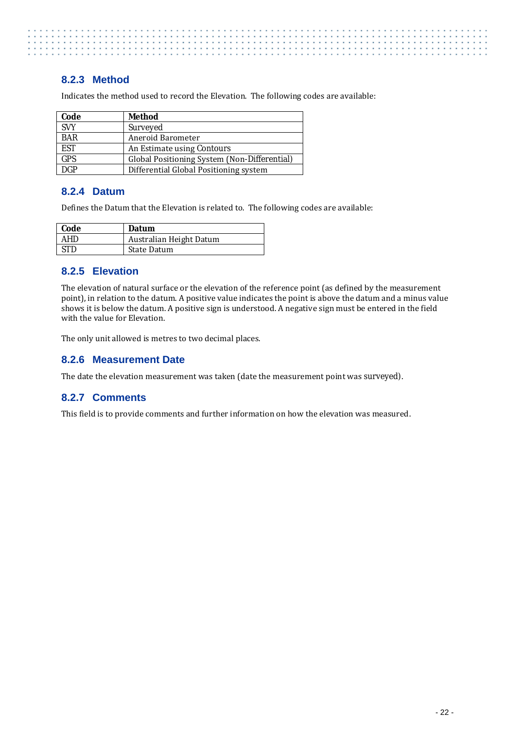#### <span id="page-29-0"></span>**8.2.3 Method**

Indicates the method used to record the Elevation. The following codes are available:

| Code       | <b>Method</b>                                |
|------------|----------------------------------------------|
| <b>SVY</b> | Surveyed                                     |
| <b>BAR</b> | Aneroid Barometer                            |
| <b>EST</b> | An Estimate using Contours                   |
| <b>GPS</b> | Global Positioning System (Non-Differential) |
| <b>DGP</b> | Differential Global Positioning system       |

#### <span id="page-29-1"></span>**8.2.4 Datum**

Defines the Datum that the Elevation is related to. The following codes are available:

| Code       | <b>Datum</b>            |
|------------|-------------------------|
| <b>AHD</b> | Australian Height Datum |
| <b>STD</b> | State Datum             |

#### <span id="page-29-2"></span>**8.2.5 Elevation**

The elevation of natural surface or the elevation of the reference point (as defined by the measurement point), in relation to the datum. A positive value indicates the point is above the datum and a minus value shows it is below the datum. A positive sign is understood. A negative sign must be entered in the field with the value for Elevation.

The only unit allowed is metres to two decimal places.

#### <span id="page-29-3"></span>**8.2.6 Measurement Date**

<span id="page-29-4"></span>The date the elevation measurement was taken (date the measurement point was surveyed).

#### **8.2.7 Comments**

This field is to provide comments and further information on how the elevation was measured.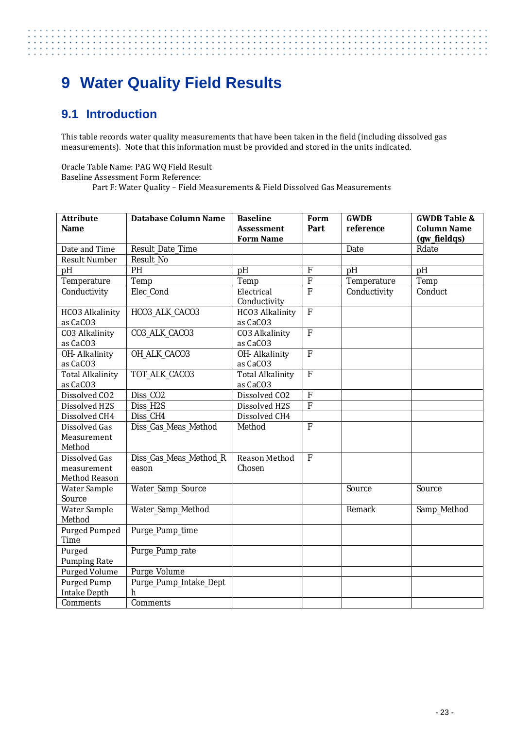# <span id="page-30-0"></span>**9 Water Quality Field Results**

## <span id="page-30-1"></span>**9.1 Introduction**

. . . . . . . . . . . . . . . . . **Service State** 

> This table records water quality measurements that have been taken in the field (including dissolved gas measurements). Note that this information must be provided and stored in the units indicated.

Oracle Table Name: PAG WQ Field Result Baseline Assessment Form Reference: Part F: Water Quality – Field Measurements & Field Dissolved Gas Measurements

| <b>Attribute</b><br><b>Name</b> | <b>Database Column Name</b> | <b>Baseline</b><br><b>Assessment</b> | Form<br>Part              | <b>GWDB</b><br>reference | <b>GWDB Table &amp;</b><br><b>Column Name</b> |
|---------------------------------|-----------------------------|--------------------------------------|---------------------------|--------------------------|-----------------------------------------------|
|                                 |                             | <b>Form Name</b>                     |                           |                          | (gw_fieldqs)                                  |
| Date and Time                   | Result_Date_Time            |                                      |                           | Date                     | Rdate                                         |
| <b>Result Number</b>            | <b>Result No</b>            |                                      |                           |                          |                                               |
| pH                              | PH                          | pH                                   | $\boldsymbol{\mathrm{F}}$ | pH                       | pH                                            |
| Temperature                     | Temp                        | Temp                                 | $\overline{F}$            | Temperature              | Temp                                          |
| Conductivity                    | <b>Elec Cond</b>            | Electrical                           | $\overline{F}$            | Conductivity             | Conduct                                       |
|                                 |                             | Conductivity                         |                           |                          |                                               |
| HCO3 Alkalinity                 | HCO3_ALK_CACO3              | HCO3 Alkalinity                      | $\overline{F}$            |                          |                                               |
| as CaCO3                        |                             | as CaCO3                             |                           |                          |                                               |
| CO3 Alkalinity                  | CO3_ALK_CACO3               | CO3 Alkalinity                       | $\mathbf F$               |                          |                                               |
| as CaCO3                        |                             | as CaCO3                             |                           |                          |                                               |
| OH-Alkalinity                   | OH ALK CACO3                | OH-Alkalinity                        | $\overline{F}$            |                          |                                               |
| as CaCO3                        |                             | as CaCO3                             |                           |                          |                                               |
| <b>Total Alkalinity</b>         | TOT_ALK_CACO3               | <b>Total Alkalinity</b>              | $\overline{F}$            |                          |                                               |
| as CaCO3                        |                             | as CaCO3                             |                           |                          |                                               |
| Dissolved CO2                   | Diss_CO <sub>2</sub>        | Dissolved CO2                        | ${\bf F}$                 |                          |                                               |
| Dissolved H2S                   | Diss H2S                    | Dissolved H2S                        | $\overline{F}$            |                          |                                               |
| Dissolved CH4                   | Diss CH4                    | Dissolved CH4                        |                           |                          |                                               |
| <b>Dissolved Gas</b>            | Diss_Gas_Meas_Method        | Method                               | $\mathbf{F}$              |                          |                                               |
| Measurement                     |                             |                                      |                           |                          |                                               |
| Method                          |                             |                                      |                           |                          |                                               |
| <b>Dissolved Gas</b>            | Diss_Gas_Meas_Method_R      | Reason Method                        | ${\bf F}$                 |                          |                                               |
| measurement                     | eason                       | Chosen                               |                           |                          |                                               |
| <b>Method Reason</b>            |                             |                                      |                           |                          |                                               |
| <b>Water Sample</b>             | <b>Water_Samp_Source</b>    |                                      |                           | Source                   | Source                                        |
| Source                          |                             |                                      |                           |                          |                                               |
| <b>Water Sample</b>             | Water_Samp_Method           |                                      |                           | Remark                   | Samp_Method                                   |
| Method                          |                             |                                      |                           |                          |                                               |
| Purged Pumped                   | Purge_Pump_time             |                                      |                           |                          |                                               |
| Time                            |                             |                                      |                           |                          |                                               |
| Purged                          | Purge_Pump_rate             |                                      |                           |                          |                                               |
| <b>Pumping Rate</b>             |                             |                                      |                           |                          |                                               |
| Purged Volume                   | Purge_Volume                |                                      |                           |                          |                                               |
| Purged Pump                     | Purge_Pump_Intake_Dept      |                                      |                           |                          |                                               |
| <b>Intake Depth</b>             | $\mathbf h$                 |                                      |                           |                          |                                               |
| <b>Comments</b>                 | <b>Comments</b>             |                                      |                           |                          |                                               |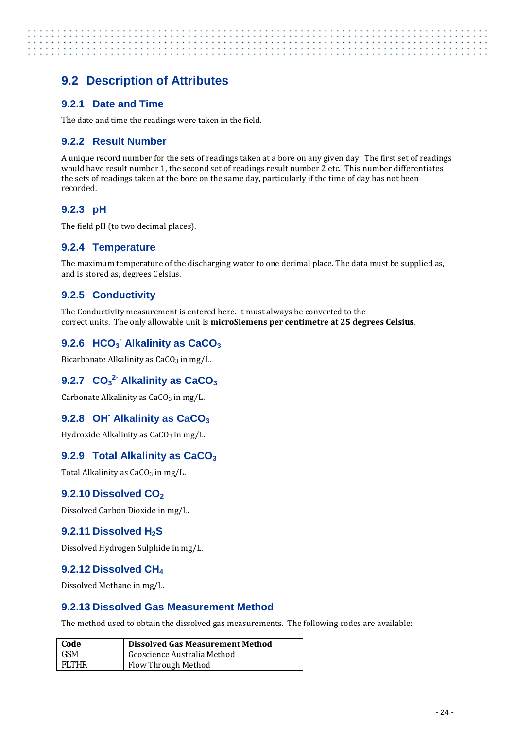# <span id="page-31-0"></span>**9.2 Description of Attributes**

#### <span id="page-31-1"></span>**9.2.1 Date and Time**

<span id="page-31-2"></span>The date and time the readings were taken in the field.

#### **9.2.2 Result Number**

A unique record number for the sets of readings taken at a bore on any given day. The first set of readings would have result number 1, the second set of readings result number 2 etc. This number differentiates the sets of readings taken at the bore on the same day, particularly if the time of day has not been recorded.

#### <span id="page-31-3"></span>**9.2.3 pH**

<span id="page-31-4"></span>The field pH (to two decimal places).

#### **9.2.4 Temperature**

The maximum temperature of the discharging water to one decimal place. The data must be supplied as, and is stored as, degrees Celsius.

#### <span id="page-31-5"></span>**9.2.5 Conductivity**

The Conductivity measurement is entered here. It must always be converted to the correct units. The only allowable unit is **microSiemens per centimetre at 25 degrees Celsius**.

### <span id="page-31-6"></span>**9.2.6 HCO3 - Alkalinity as CaCO3**

<span id="page-31-7"></span>Bicarbonate Alkalinity as  $CaCO<sub>3</sub>$  in mg/L.

### **9.2.7 CO3 2- Alkalinity as CaCO3**

<span id="page-31-8"></span>Carbonate Alkalinity as  $CaCO<sub>3</sub>$  in mg/L.

#### **9.2.8 OH- Alkalinity as CaCO3**

<span id="page-31-9"></span>Hydroxide Alkalinity as  $CaCO<sub>3</sub>$  in mg/L.

#### **9.2.9 Total Alkalinity as CaCO<sub>3</sub>**

<span id="page-31-10"></span>Total Alkalinity as  $CaCO<sub>3</sub>$  in mg/L.

#### **9.2.10 Dissolved CO<sub>2</sub>**

<span id="page-31-11"></span>Dissolved Carbon Dioxide in mg/L.

#### **9.2.11 Dissolved H<sub>2</sub>S**

<span id="page-31-12"></span>Dissolved Hydrogen Sulphide in mg/L.

#### **9.2.12 Dissolved CH4**

<span id="page-31-13"></span>Dissolved Methane in mg/L.

#### **9.2.13 Dissolved Gas Measurement Method**

The method used to obtain the dissolved gas measurements. The following codes are available:

| Code         | <b>Dissolved Gas Measurement Method</b> |
|--------------|-----------------------------------------|
| <b>GSM</b>   | Geoscience Australia Method             |
| <b>FLTHR</b> | Flow Through Method                     |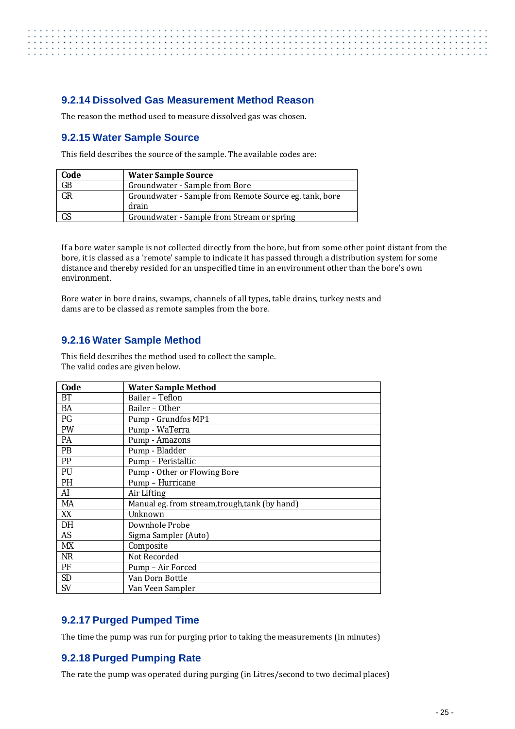#### <span id="page-32-0"></span>**9.2.14 Dissolved Gas Measurement Method Reason**

<span id="page-32-1"></span>The reason the method used to measure dissolved gas was chosen.

#### **9.2.15 Water Sample Source**

This field describes the source of the sample. The available codes are:

| Code      | <b>Water Sample Source</b>                             |
|-----------|--------------------------------------------------------|
| GB        | Groundwater - Sample from Bore                         |
| GR        | Groundwater - Sample from Remote Source eg. tank, bore |
|           | drain                                                  |
| <b>GS</b> | Groundwater - Sample from Stream or spring             |

If a bore water sample is not collected directly from the bore, but from some other point distant from the bore, it is classed as a 'remote' sample to indicate it has passed through a distribution system for some distance and thereby resided for an unspecified time in an environment other than the bore's own environment.

Bore water in bore drains, swamps, channels of all types, table drains, turkey nests and dams are to be classed as remote samples from the bore.

#### <span id="page-32-2"></span>**9.2.16 Water Sample Method**

This field describes the method used to collect the sample. The valid codes are given below.

| Code      | <b>Water Sample Method</b>                     |
|-----------|------------------------------------------------|
| BT        | Bailer - Teflon                                |
| BA        | Bailer - Other                                 |
| PG        | Pump - Grundfos MP1                            |
| <b>PW</b> | Pump - WaTerra                                 |
| <b>PA</b> | Pump - Amazons                                 |
| PB        | Pump - Bladder                                 |
| PP        | Pump - Peristaltic                             |
| PU        | Pump - Other or Flowing Bore                   |
| <b>PH</b> | Pump – Hurricane                               |
| AI        | Air Lifting                                    |
| MA        | Manual eg. from stream, trough, tank (by hand) |
| XX        | Unknown                                        |
| DH        | Downhole Probe                                 |
| AS        | Sigma Sampler (Auto)                           |
| MX        | Composite                                      |
| NR.       | Not Recorded                                   |
| PF        | Pump - Air Forced                              |
| <b>SD</b> | Van Dorn Bottle                                |
| <b>SV</b> | Van Veen Sampler                               |

#### <span id="page-32-3"></span>**9.2.17 Purged Pumped Time**

<span id="page-32-4"></span>The time the pump was run for purging prior to taking the measurements (in minutes)

#### **9.2.18 Purged Pumping Rate**

The rate the pump was operated during purging (in Litres/second to two decimal places)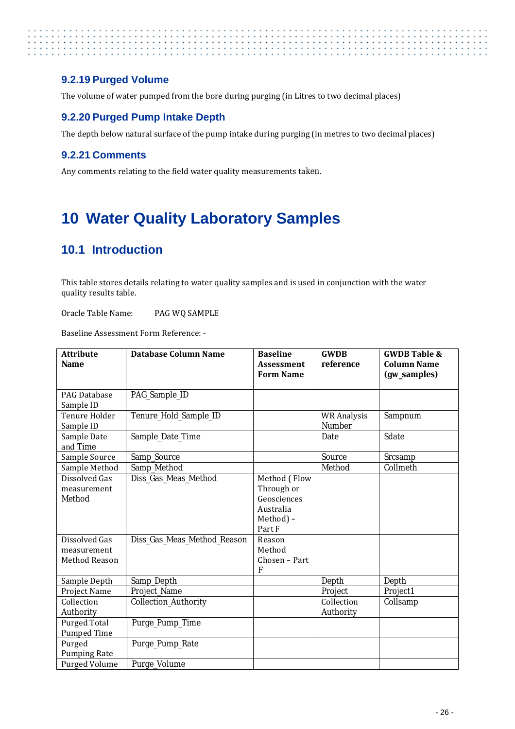#### <span id="page-33-0"></span>**9.2.19 Purged Volume**

The volume of water pumped from the bore during purging (in Litres to two decimal places)

#### <span id="page-33-1"></span>**9.2.20 Purged Pump Intake Depth**

The depth below natural surface of the pump intake during purging (in metres to two decimal places)

#### <span id="page-33-2"></span>**9.2.21 Comments**

Any comments relating to the field water quality measurements taken.

# <span id="page-33-3"></span>**10 Water Quality Laboratory Samples**

## <span id="page-33-4"></span>**10.1 Introduction**

This table stores details relating to water quality samples and is used in conjunction with the water quality results table.

Oracle Table Name: PAG WQ SAMPLE

Baseline Assessment Form Reference: -

| <b>Attribute</b><br><b>Name</b>                                                                | <b>Database Column Name</b>                         | <b>Baseline</b><br><b>Assessment</b><br><b>Form Name</b>                                                                | <b>GWDB</b><br>reference            | <b>GWDB Table &amp;</b><br><b>Column Name</b><br>(gw_samples) |
|------------------------------------------------------------------------------------------------|-----------------------------------------------------|-------------------------------------------------------------------------------------------------------------------------|-------------------------------------|---------------------------------------------------------------|
| PAG Database<br>Sample ID                                                                      | PAG_Sample_ID                                       |                                                                                                                         |                                     |                                                               |
| <b>Tenure Holder</b><br>Sample ID                                                              | Tenure_Hold_Sample_ID                               |                                                                                                                         | <b>WR Analysis</b><br><b>Number</b> | Sampnum                                                       |
| Sample Date<br>and Time                                                                        | Sample_Date_Time                                    |                                                                                                                         | Date                                | Sdate                                                         |
| Sample Source                                                                                  | Samp_Source                                         |                                                                                                                         | Source                              | Srcsamp                                                       |
| Sample Method                                                                                  | Samp Method                                         |                                                                                                                         | Method                              | Collmeth                                                      |
| Dissolved Gas<br>measurement<br>Method<br>Dissolved Gas<br>measurement<br><b>Method Reason</b> | Diss_Gas_Meas_Method<br>Diss_Gas_Meas_Method_Reason | Method (Flow<br>Through or<br>Geosciences<br>Australia<br>Method) -<br>Part F<br>Reason<br>Method<br>Chosen - Part<br>F |                                     |                                                               |
| Sample Depth                                                                                   | Samp_Depth                                          |                                                                                                                         | Depth                               | Depth                                                         |
| Project Name                                                                                   | Project_Name                                        |                                                                                                                         | Project                             | Project1                                                      |
| Collection<br>Authority                                                                        | Collection_Authority                                |                                                                                                                         | Collection<br>Authority             | Collsamp                                                      |
| <b>Purged Total</b><br>Pumped Time                                                             | Purge_Pump_Time                                     |                                                                                                                         |                                     |                                                               |
| Purged<br><b>Pumping Rate</b>                                                                  | Purge_Pump_Rate                                     |                                                                                                                         |                                     |                                                               |
| Purged Volume                                                                                  | Purge_Volume                                        |                                                                                                                         |                                     |                                                               |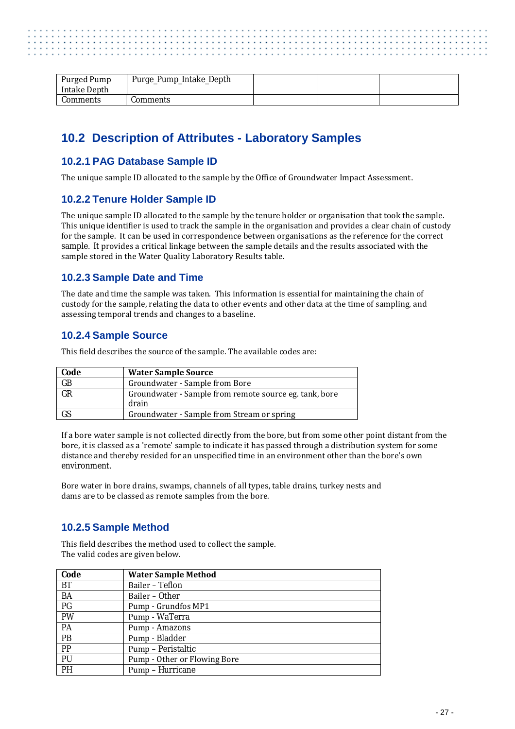| Purged Pump<br>Intake Depth | Purge_Pump_Intake_Depth |  |  |
|-----------------------------|-------------------------|--|--|
| Comments                    | Comments                |  |  |

## <span id="page-34-0"></span>**10.2 Description of Attributes - Laboratory Samples**

#### <span id="page-34-1"></span>**10.2.1 PAG Database Sample ID**

The unique sample ID allocated to the sample by the Office of Groundwater Impact Assessment.

#### <span id="page-34-2"></span>**10.2.2 Tenure Holder Sample ID**

The unique sample ID allocated to the sample by the tenure holder or organisation that took the sample. This unique identifier is used to track the sample in the organisation and provides a clear chain of custody for the sample. It can be used in correspondence between organisations as the reference for the correct sample. It provides a critical linkage between the sample details and the results associated with the sample stored in the Water Quality Laboratory Results table.

#### <span id="page-34-3"></span>**10.2.3 Sample Date and Time**

The date and time the sample was taken. This information is essential for maintaining the chain of custody for the sample, relating the data to other events and other data at the time of sampling, and assessing temporal trends and changes to a baseline.

#### <span id="page-34-4"></span>**10.2.4 Sample Source**

This field describes the source of the sample. The available codes are:

| Code      | <b>Water Sample Source</b>                                      |
|-----------|-----------------------------------------------------------------|
| GB        | Groundwater - Sample from Bore                                  |
| GR        | Groundwater - Sample from remote source eg. tank, bore<br>drain |
| <b>GS</b> | Groundwater - Sample from Stream or spring                      |

If a bore water sample is not collected directly from the bore, but from some other point distant from the bore, it is classed as a 'remote' sample to indicate it has passed through a distribution system for some distance and thereby resided for an unspecified time in an environment other than the bore's own environment.

Bore water in bore drains, swamps, channels of all types, table drains, turkey nests and dams are to be classed as remote samples from the bore.

#### <span id="page-34-5"></span>**10.2.5 Sample Method**

This field describes the method used to collect the sample. The valid codes are given below.

| Code            | <b>Water Sample Method</b>   |
|-----------------|------------------------------|
| BT              | Bailer – Teflon              |
| <b>BA</b>       | Bailer – Other               |
| PG              | Pump - Grundfos MP1          |
| PW              | Pump - WaTerra               |
| PA              | Pump - Amazons               |
| PB              | Pump - Bladder               |
| $\overline{PP}$ | Pump – Peristaltic           |
| PU              | Pump - Other or Flowing Bore |
| PH              | Pump - Hurricane             |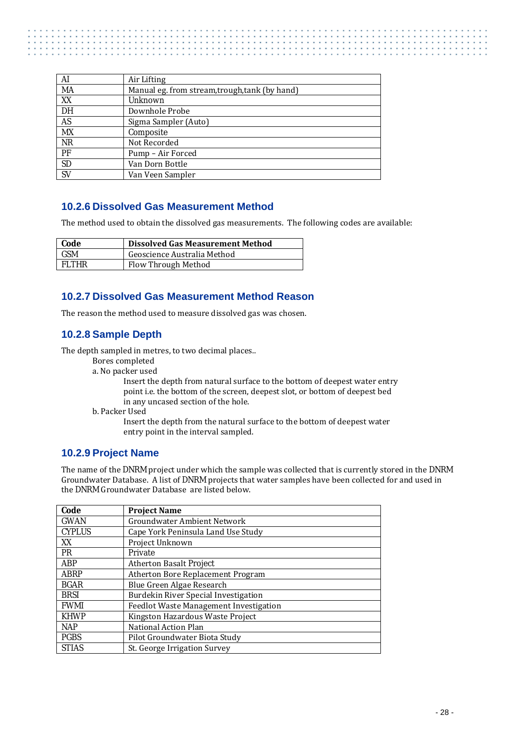| AI        | Air Lifting                                    |
|-----------|------------------------------------------------|
| MA        | Manual eg. from stream, trough, tank (by hand) |
| XX        | Unknown                                        |
| DH        | Downhole Probe                                 |
| AS        | Sigma Sampler (Auto)                           |
| MX        | Composite                                      |
| <b>NR</b> | Not Recorded                                   |
| PF        | Pump – Air Forced                              |
| <b>SD</b> | Van Dorn Bottle                                |
| <b>SV</b> | Van Veen Sampler                               |

#### <span id="page-35-0"></span>**10.2.6 Dissolved Gas Measurement Method**

The method used to obtain the dissolved gas measurements. The following codes are available:

| Code         | <b>Dissolved Gas Measurement Method</b> |
|--------------|-----------------------------------------|
| <b>GSM</b>   | Geoscience Australia Method             |
| <b>FLTHR</b> | Flow Through Method                     |

#### <span id="page-35-1"></span>**10.2.7 Dissolved Gas Measurement Method Reason**

<span id="page-35-2"></span>The reason the method used to measure dissolved gas was chosen.

#### **10.2.8 Sample Depth**

The depth sampled in metres, to two decimal places..

- Bores completed
- a. No packer used

Insert the depth from natural surface to the bottom of deepest water entry point i.e. the bottom of the screen, deepest slot, or bottom of deepest bed in any uncased section of the hole.

b. Packer Used

Insert the depth from the natural surface to the bottom of deepest water entry point in the interval sampled.

#### <span id="page-35-3"></span>**10.2.9 Project Name**

The name of the DNRM project under which the sample was collected that is currently stored in the DNRM Groundwater Database. A list of DNRM projects that water samples have been collected for and used in the DNRM Groundwater Database are listed below.

| Code          | <b>Project Name</b>                    |
|---------------|----------------------------------------|
| <b>GWAN</b>   | <b>Groundwater Ambient Network</b>     |
| <b>CYPLUS</b> | Cape York Peninsula Land Use Study     |
| XX            | Project Unknown                        |
| <b>PR</b>     | Private                                |
| <b>ABP</b>    | <b>Atherton Basalt Project</b>         |
| <b>ABRP</b>   | Atherton Bore Replacement Program      |
| <b>BGAR</b>   | Blue Green Algae Research              |
| <b>BRSI</b>   | Burdekin River Special Investigation   |
| <b>FWMI</b>   | Feedlot Waste Management Investigation |
| <b>KHWP</b>   | Kingston Hazardous Waste Project       |
| <b>NAP</b>    | National Action Plan                   |
| <b>PGBS</b>   | Pilot Groundwater Biota Study          |
| <b>STIAS</b>  | St. George Irrigation Survey           |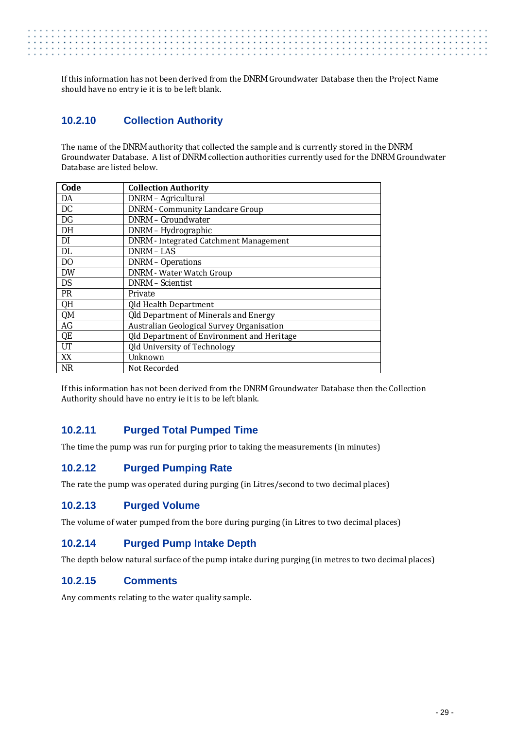If this information has not been derived from the DNRM Groundwater Database then the Project Name should have no entry ie it is to be left blank.

#### <span id="page-36-0"></span>**10.2.10 Collection Authority**

The name of the DNRM authority that collected the sample and is currently stored in the DNRM Groundwater Database. A list of DNRM collection authorities currently used for the DNRM Groundwater Database are listed below.

| Code           | <b>Collection Authority</b>                   |
|----------------|-----------------------------------------------|
| DA             | DNRM - Agricultural                           |
| DC             | <b>DNRM</b> - Community Landcare Group        |
| <b>DG</b>      | <b>DNRM - Groundwater</b>                     |
| DH             | DNRM - Hydrographic                           |
| DI             | <b>DNRM</b> - Integrated Catchment Management |
| DL             | <b>DNRM-LAS</b>                               |
| D <sub>O</sub> | <b>DNRM</b> – Operations                      |
| <b>DW</b>      | <b>DNRM</b> - Water Watch Group               |
| <b>DS</b>      | <b>DNRM</b> – Scientist                       |
| <b>PR</b>      | Private                                       |
| QH             | Qld Health Department                         |
| QM             | Qld Department of Minerals and Energy         |
| AG             | Australian Geological Survey Organisation     |
| QE             | Qld Department of Environment and Heritage    |
| UT             | Qld University of Technology                  |
| XX             | Unknown                                       |
| <b>NR</b>      | Not Recorded                                  |

If this information has not been derived from the DNRM Groundwater Database then the Collection Authority should have no entry ie it is to be left blank.

#### <span id="page-36-1"></span>**10.2.11 Purged Total Pumped Time**

<span id="page-36-2"></span>The time the pump was run for purging prior to taking the measurements (in minutes)

#### **10.2.12 Purged Pumping Rate**

<span id="page-36-3"></span>The rate the pump was operated during purging (in Litres/second to two decimal places)

#### **10.2.13 Purged Volume**

<span id="page-36-4"></span>The volume of water pumped from the bore during purging (in Litres to two decimal places)

#### **10.2.14 Purged Pump Intake Depth**

<span id="page-36-5"></span>The depth below natural surface of the pump intake during purging (in metres to two decimal places)

#### **10.2.15 Comments**

Any comments relating to the water quality sample.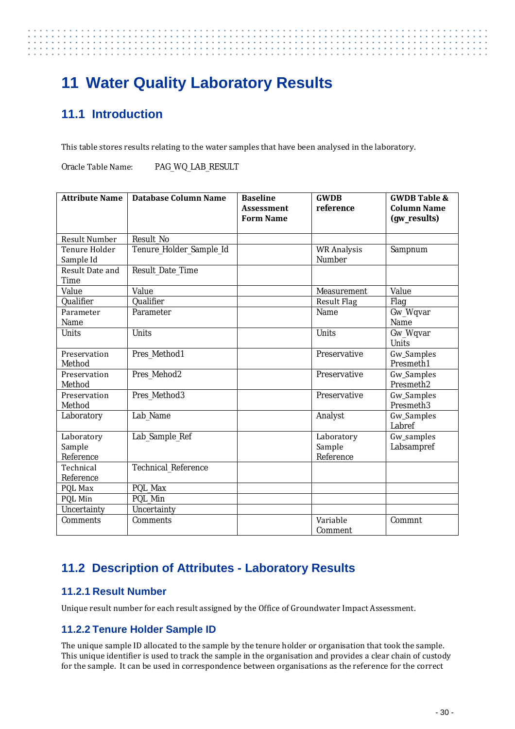# . . . . . . . . . . . . . . .

# <span id="page-37-0"></span>**11 Water Quality Laboratory Results**

# <span id="page-37-1"></span>**11.1 Introduction**

This table stores results relating to the water samples that have been analysed in the laboratory.

Oracle Table Name: PAG\_WQ\_LAB\_RESULT

| <b>Attribute Name</b> | <b>Database Column Name</b> | <b>Baseline</b>   | <b>GWDB</b>        | <b>GWDB Table &amp;</b> |
|-----------------------|-----------------------------|-------------------|--------------------|-------------------------|
|                       |                             | <b>Assessment</b> | reference          | <b>Column Name</b>      |
|                       |                             | <b>Form Name</b>  |                    | (gw_results)            |
|                       |                             |                   |                    |                         |
| <b>Result Number</b>  | Result No                   |                   |                    |                         |
| Tenure Holder         | Tenure_Holder_Sample_Id     |                   | <b>WR Analysis</b> | Sampnum                 |
| Sample Id             |                             |                   | Number             |                         |
| Result Date and       | Result_Date_Time            |                   |                    |                         |
| <b>Time</b>           |                             |                   |                    |                         |
| Value                 | Value                       |                   | Measurement        | Value                   |
| Qualifier             | Qualifier                   |                   | <b>Result Flag</b> | Flag                    |
| Parameter             | Parameter                   |                   | Name               | Gw_Wqvar                |
| Name                  |                             |                   |                    | Name                    |
| <b>Units</b>          | <b>Units</b>                |                   | Units              | Gw_Wqvar                |
|                       |                             |                   |                    | Units                   |
| Preservation          | Pres Method1                |                   | Preservative       | Gw_Samples              |
| Method                |                             |                   |                    | Presmeth1               |
| Preservation          | Pres Mehod2                 |                   | Preservative       | Gw_Samples              |
| Method                |                             |                   |                    | Presmeth <sub>2</sub>   |
| Preservation          | Pres Method3                |                   | Preservative       | Gw_Samples              |
| Method                |                             |                   |                    | Presmeth <sub>3</sub>   |
| Laboratory            | Lab Name                    |                   | Analyst            | Gw_Samples              |
|                       |                             |                   |                    | Labref                  |
| Laboratory            | Lab_Sample_Ref              |                   | Laboratory         | Gw_samples              |
| Sample                |                             |                   | Sample             | Labsampref              |
| Reference             |                             |                   | Reference          |                         |
| Technical             | <b>Technical Reference</b>  |                   |                    |                         |
| Reference             |                             |                   |                    |                         |
| PQL Max               | PQL Max                     |                   |                    |                         |
| PQL Min               | PQL Min                     |                   |                    |                         |
| Uncertainty           | Uncertainty                 |                   |                    |                         |
| <b>Comments</b>       | <b>Comments</b>             |                   | Variable           | Commnt                  |
|                       |                             |                   | Comment            |                         |

# <span id="page-37-2"></span>**11.2 Description of Attributes - Laboratory Results**

#### <span id="page-37-3"></span>**11.2.1 Result Number**

<span id="page-37-4"></span>Unique result number for each result assigned by the Office of Groundwater Impact Assessment.

### **11.2.2 Tenure Holder Sample ID**

The unique sample ID allocated to the sample by the tenure holder or organisation that took the sample. This unique identifier is used to track the sample in the organisation and provides a clear chain of custody for the sample. It can be used in correspondence between organisations as the reference for the correct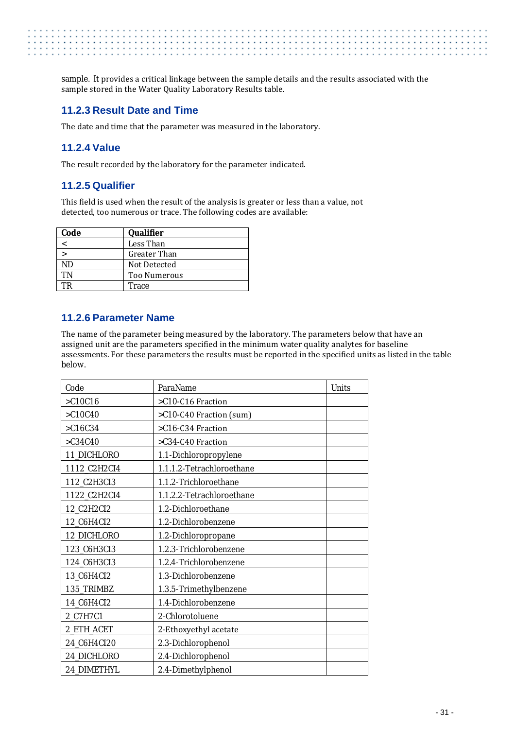. . . . . . . . . . . . . . . . . . . . . . . . . . . . . . . . .

sample. It provides a critical linkage between the sample details and the results associated with the sample stored in the Water Quality Laboratory Results table.

#### <span id="page-38-0"></span>**11.2.3 Result Date and Time**

<span id="page-38-1"></span>The date and time that the parameter was measured in the laboratory.

#### **11.2.4 Value**

The result recorded by the laboratory for the parameter indicated.

#### <span id="page-38-2"></span>**11.2.5 Qualifier**

This field is used when the result of the analysis is greater or less than a value, not detected, too numerous or trace. The following codes are available:

| Code | Qualifier    |
|------|--------------|
|      | Less Than    |
|      | Greater Than |
| ND   | Not Detected |
| TN   | Too Numerous |
| ГR   | Trace        |

#### <span id="page-38-3"></span>**11.2.6 Parameter Name**

The name of the parameter being measured by the laboratory. The parameters below that have an assigned unit are the parameters specified in the minimum water quality analytes for baseline assessments. For these parameters the results must be reported in the specified units as listed in the table below.

| Code         | ParaName                  | <b>Units</b> |
|--------------|---------------------------|--------------|
| $>$ C10C16   | >C10-C16 Fraction         |              |
| $>$ C10C40   | >C10-C40 Fraction (sum)   |              |
| $>$ C16C34   | >C16-C34 Fraction         |              |
| $>C34C40$    | >C34-C40 Fraction         |              |
| 11_DICHLORO  | 1.1-Dichloropropylene     |              |
| 1112_C2H2CI4 | 1.1.1.2-Tetrachloroethane |              |
| 112_C2H3CI3  | 1.1.2-Trichloroethane     |              |
| 1122_C2H2CI4 | 1.1.2.2-Tetrachloroethane |              |
| 12_C2H2CI2   | 1.2-Dichloroethane        |              |
| 12_C6H4CI2   | 1.2-Dichlorobenzene       |              |
| 12_DICHLORO  | 1.2-Dichloropropane       |              |
| 123_C6H3CI3  | 1.2.3-Trichlorobenzene    |              |
| 124_C6H3CI3  | 1.2.4-Trichlorobenzene    |              |
| 13_C6H4CI2   | 1.3-Dichlorobenzene       |              |
| 135_TRIMBZ   | 1.3.5-Trimethylbenzene    |              |
| 14_C6H4CI2   | 1.4-Dichlorobenzene       |              |
| 2_C7H7C1     | 2-Chlorotoluene           |              |
| 2_ETH_ACET   | 2-Ethoxyethyl acetate     |              |
| 24_C6H4CI20  | 2.3-Dichlorophenol        |              |
| 24_DICHLORO  | 2.4-Dichlorophenol        |              |
| 24_DIMETHYL  | 2.4-Dimethylphenol        |              |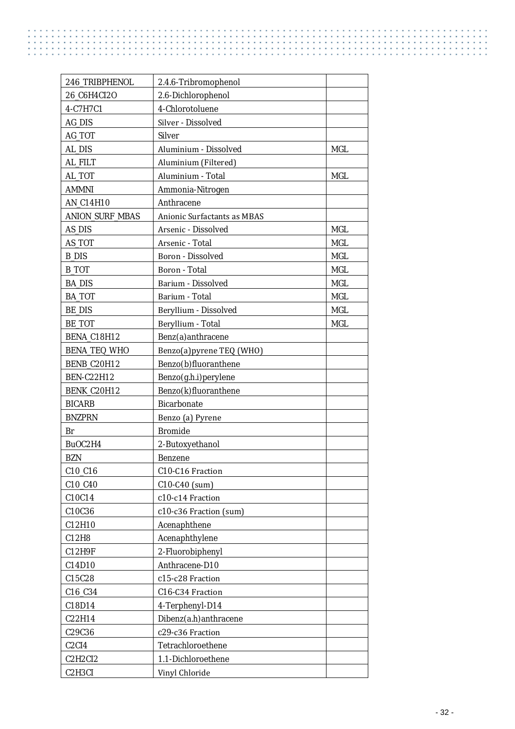$\begin{array}{c} \begin{array}{c} \bullet \\ \bullet \\ \bullet \end{array} \end{array}$ 

| 246_TRIBPHENOL                   | 2.4.6-Tribromophenol        |            |
|----------------------------------|-----------------------------|------------|
| 26_C6H4CI2O                      | 2.6-Dichlorophenol          |            |
| 4-C7H7C1                         | 4-Chlorotoluene             |            |
| AG_DIS                           | Silver - Dissolved          |            |
| AG_TOT                           | <b>Silver</b>               |            |
| AL_DIS                           | Aluminium - Dissolved       | <b>MGL</b> |
| AL_FILT                          | Aluminium (Filtered)        |            |
| AL_TOT                           | Aluminium - Total           | <b>MGL</b> |
| <b>AMMNI</b>                     | Ammonia-Nitrogen            |            |
| AN_C14H10                        | Anthracene                  |            |
| <b>ANION SURF MBAS</b>           | Anionic Surfactants as MBAS |            |
| AS_DIS                           | Arsenic - Dissolved         | <b>MGL</b> |
| AS_TOT                           | Arsenic - Total             | <b>MGL</b> |
| <b>B_DIS</b>                     | <b>Boron</b> - Dissolved    | MGL        |
| <b>B_TOT</b>                     | Boron - Total               | <b>MGL</b> |
| <b>BA_DIS</b>                    | Barium - Dissolved          | <b>MGL</b> |
| <b>BA TOT</b>                    | Barium - Total              | <b>MGL</b> |
| <b>BE_DIS</b>                    | Beryllium - Dissolved       | <b>MGL</b> |
| <b>BE_TOT</b>                    | Beryllium - Total           | <b>MGL</b> |
| BENA_C18H12                      | Benz(a) anthracene          |            |
| <b>BENA_TEQ_WHO</b>              | Benzo(a)pyrene TEQ (WHO)    |            |
| BENB_C20H12                      | Benzo(b)fluoranthene        |            |
| <b>BEN-C22H12</b>                | Benzo(g.h.i) perylene       |            |
| BENK_C20H12                      | Benzo(k)fluoranthene        |            |
| <b>BICARB</b>                    | <b>Bicarbonate</b>          |            |
| <b>BNZPRN</b>                    | Benzo (a) Pyrene            |            |
| Br                               | <b>Bromide</b>              |            |
| BuOC2H4                          | 2-Butoxyethanol             |            |
| <b>BZN</b>                       | <b>Benzene</b>              |            |
| $C10_C16$                        | C10-C16 Fraction            |            |
| C10_C40                          | $C10-C40$ (sum)             |            |
| C10C14                           | c10-c14 Fraction            |            |
| C10C36                           | c10-c36 Fraction (sum)      |            |
| C12H10                           | Acenaphthene                |            |
| C12H8                            | Acenaphthylene              |            |
| C12H9F                           | 2-Fluorobiphenyl            |            |
| C14D10                           | Anthracene-D10              |            |
| C15C28                           | c15-c28 Fraction            |            |
| C16_C34                          | C16-C34 Fraction            |            |
| C18D14                           | 4-Terphenyl-D14             |            |
| C22H14                           | Dibenz(a.h) anthracene      |            |
| C29C36                           | c29-c36 Fraction            |            |
| C <sub>2</sub> C <sub>I4</sub>   | Tetrachloroethene           |            |
| C2H2CI2                          | 1.1-Dichloroethene          |            |
| C <sub>2</sub> H <sub>3</sub> CI | Vinyl Chloride              |            |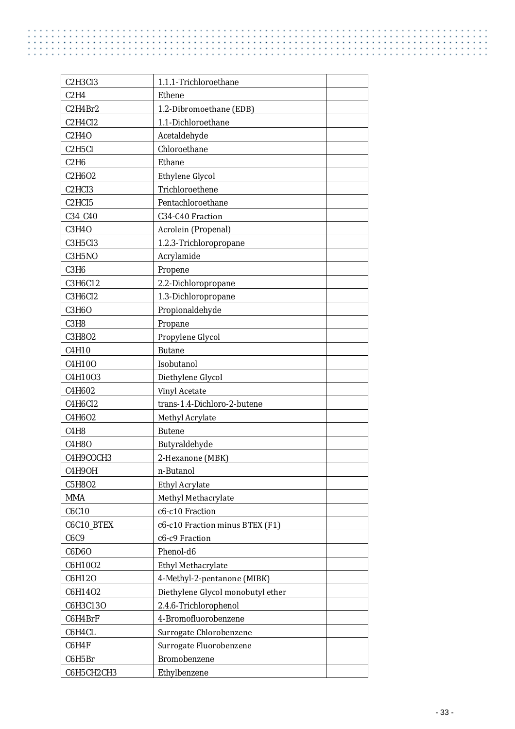| C2H3CI3                         | 1.1.1-Trichloroethane             |
|---------------------------------|-----------------------------------|
| C2H4                            | Ethene                            |
| C2H4Br2                         | 1.2-Dibromoethane (EDB)           |
| C2H4CI2                         | 1.1-Dichloroethane                |
| C2H40                           | Acetaldehyde                      |
| C <sub>2</sub> H <sub>5CI</sub> | Chloroethane                      |
| C2H6                            | Ethane                            |
| C2H6O2                          | Ethylene Glycol                   |
| C <sub>2</sub> HC <sub>I3</sub> | Trichloroethene                   |
| C <sub>2</sub> HC <sub>15</sub> | Pentachloroethane                 |
| C34_C40                         | C34-C40 Fraction                  |
| <b>C3H4O</b>                    | Acrolein (Propenal)               |
| C3H5CI3                         | 1.2.3-Trichloropropane            |
| C3H5NO                          | Acrylamide                        |
| C3H6                            | Propene                           |
| C3H6C12                         | 2.2-Dichloropropane               |
| C3H6CI2                         | 1.3-Dichloropropane               |
| <b>C3H6O</b>                    | Propionaldehyde                   |
| C3H8                            | Propane                           |
| C3H802                          | Propylene Glycol                  |
| C4H10                           | <b>Butane</b>                     |
| C4H100                          | Isobutanol                        |
| C4H1003                         | Diethylene Glycol                 |
| C4H602                          | <b>Vinyl Acetate</b>              |
| C4H6CI2                         | trans-1.4-Dichloro-2-butene       |
| C4H602                          | Methyl Acrylate                   |
| <b>C4H8</b>                     | <b>Butene</b>                     |
| <b>C4H8O</b>                    | Butyraldehyde                     |
| С4Н9СОСНЗ                       | 2-Hexanone (MBK)                  |
| <b>C4H9OH</b>                   | n-Butanol                         |
| C5H8O2                          | Ethyl Acrylate                    |
| <b>MMA</b>                      | Methyl Methacrylate               |
| C6C10                           | c6-c10 Fraction                   |
| C6C10 BTEX                      | c6-c10 Fraction minus BTEX (F1)   |
| C6C9                            | c6-c9 Fraction                    |
| C6D60                           | Phenol-d6                         |
| C6H10O2                         | Ethyl Methacrylate                |
| C6H12O                          | 4-Methyl-2-pentanone (MIBK)       |
| C6H14O2                         | Diethylene Glycol monobutyl ether |
| C6H3C13O                        | 2.4.6-Trichlorophenol             |
| C6H4BrF                         | 4-Bromofluorobenzene              |
| C6H4CL                          | Surrogate Chlorobenzene           |
| C6H4F                           | Surrogate Fluorobenzene           |
| C6H5Br                          | Bromobenzene                      |
| С6Н5СН2СН3                      | Ethylbenzene                      |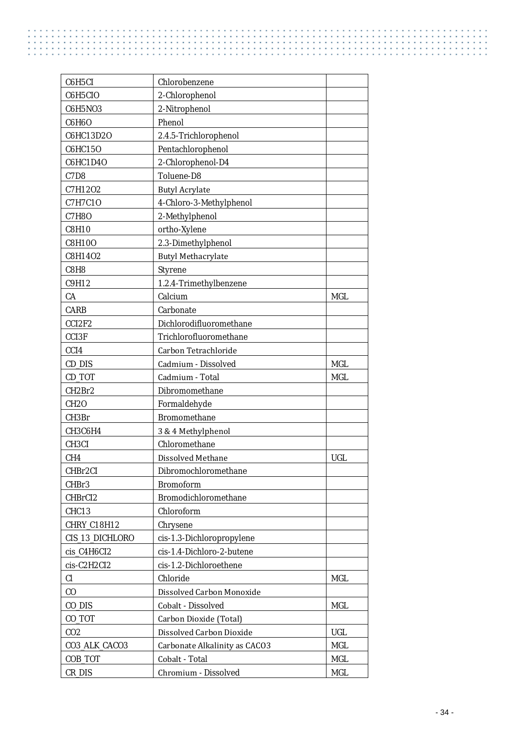L,

 $\mathbf{r}$ 

| C6H5CI             | Chlorobenzene                 |            |
|--------------------|-------------------------------|------------|
| C6H5CIO            | 2-Chlorophenol                |            |
| <b>C6H5NO3</b>     | 2-Nitrophenol                 |            |
| <b>C6H6O</b>       | Phenol                        |            |
| C6HC13D2O          | 2.4.5-Trichlorophenol         |            |
| C6HC150            | Pentachlorophenol             |            |
| C6HC1D40           | 2-Chlorophenol-D4             |            |
| C7D8               | Toluene-D8                    |            |
| C7H12O2            | <b>Butyl Acrylate</b>         |            |
| <b>C7H7C10</b>     | 4-Chloro-3-Methylphenol       |            |
| <b>C7H8O</b>       | 2-Methylphenol                |            |
| <b>C8H10</b>       | ortho-Xylene                  |            |
| C8H100             | 2.3-Dimethylphenol            |            |
| C8H14O2            | <b>Butyl Methacrylate</b>     |            |
| C8H8               | <b>Styrene</b>                |            |
| C9H12              | 1.2.4-Trimethylbenzene        |            |
| CA                 | Calcium                       | <b>MGL</b> |
| <b>CARB</b>        | Carbonate                     |            |
| CCI2F2             | Dichlorodifluoromethane       |            |
| <b>CCI3F</b>       | Trichlorofluoromethane        |            |
| CCI <sub>4</sub>   | Carbon Tetrachloride          |            |
| CD_DIS             | Cadmium - Dissolved           | <b>MGL</b> |
| CD_TOT             | Cadmium - Total               | <b>MGL</b> |
| CH2Br2             | Dibromomethane                |            |
| <b>CH2O</b>        | Formaldehyde                  |            |
| CH3Br              | <b>Bromomethane</b>           |            |
| СНЗС6Н4            | 3 & 4 Methylphenol            |            |
| CH <sub>3</sub> CI | Chloromethane                 |            |
| CH <sub>4</sub>    | Dissolved Methane             | <b>UGL</b> |
| CHBr2CI            | Dibromochloromethane          |            |
| CHBr3              | <b>Bromoform</b>              |            |
| CHBrCI2            | Bromodichloromethane          |            |
| CHC13              | Chloroform                    |            |
| CHRY_C18H12        | Chrysene                      |            |
| CIS_13_DICHLORO    | cis-1.3-Dichloropropylene     |            |
| cis_C4H6CI2        | cis-1.4-Dichloro-2-butene     |            |
| cis-C2H2CI2        | cis-1.2-Dichloroethene        |            |
| Cl                 | Chloride                      | <b>MGL</b> |
| $\rm CO$           | Dissolved Carbon Monoxide     |            |
| CO_DIS             | Cobalt - Dissolved            | <b>MGL</b> |
| CO_TOT             | Carbon Dioxide (Total)        |            |
| CO <sub>2</sub>    | Dissolved Carbon Dioxide      | <b>UGL</b> |
| CO3_ALK_CACO3      | Carbonate Alkalinity as CACO3 | $\rm MGL$  |
| COB_TOT            | Cobalt - Total                | MGL        |
| CR_DIS             | Chromium - Dissolved          | MGL        |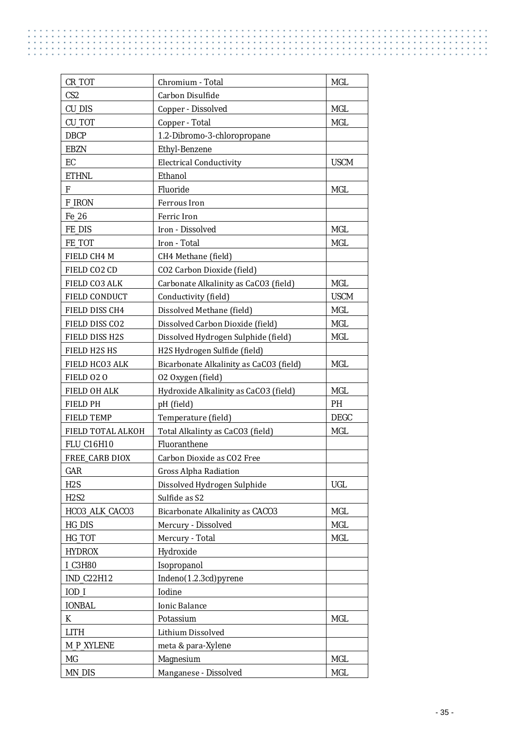| CR_TOT                | Chromium - Total                        | <b>MGL</b>  |
|-----------------------|-----------------------------------------|-------------|
| CS <sub>2</sub>       | Carbon Disulfide                        |             |
| <b>CU_DIS</b>         | Copper - Dissolved                      | <b>MGL</b>  |
| CU_TOT                | Copper - Total                          | <b>MGL</b>  |
| <b>DBCP</b>           | 1.2-Dibromo-3-chloropropane             |             |
| <b>EBZN</b>           | <b>Ethyl-Benzene</b>                    |             |
| EC                    | <b>Electrical Conductivity</b>          | <b>USCM</b> |
| <b>ETHNL</b>          | Ethanol                                 |             |
| F                     | Fluoride                                | <b>MGL</b>  |
| <b>F_IRON</b>         | Ferrous Iron                            |             |
| Fe_26                 | Ferric Iron                             |             |
| FE_DIS                | Iron - Dissolved                        | <b>MGL</b>  |
| FE_TOT                | Iron - Total                            | MGL         |
| FIELD CH4 M           | CH4 Methane (field)                     |             |
| FIELD CO2 CD          | CO2 Carbon Dioxide (field)              |             |
| FIELD CO3 ALK         | Carbonate Alkalinity as CaCO3 (field)   | <b>MGL</b>  |
| FIELD CONDUCT         | Conductivity (field)                    | <b>USCM</b> |
| FIELD DISS CH4        | Dissolved Methane (field)               | <b>MGL</b>  |
| FIELD DISS CO2        | Dissolved Carbon Dioxide (field)        | MGL         |
| FIELD DISS H2S        | Dissolved Hydrogen Sulphide (field)     | <b>MGL</b>  |
| FIELD H2S HS          | H2S Hydrogen Sulfide (field)            |             |
| FIELD HCO3 ALK        | Bicarbonate Alkalinity as CaCO3 (field) | <b>MGL</b>  |
| FIELD 020             | 02 Oxygen (field)                       |             |
| FIELD OH ALK          | Hydroxide Alkalinity as CaCO3 (field)   | <b>MGL</b>  |
| <b>FIELD PH</b>       | pH (field)                              | <b>PH</b>   |
| <b>FIELD TEMP</b>     | Temperature (field)                     | <b>DEGC</b> |
| FIELD TOTAL ALKOH     | Total Alkalinty as CaCO3 (field)        | MGL         |
| FLU_C16H10            | Fluoranthene                            |             |
| <b>FREE CARB DIOX</b> | Carbon Dioxide as CO2 Free              |             |
| GAR                   | <b>Gross Alpha Radiation</b>            |             |
| H <sub>2</sub> S      | Dissolved Hydrogen Sulphide             | <b>UGL</b>  |
| <b>H2S2</b>           | Sulfide as S2                           |             |
| HCO3_ALK_CACO3        | Bicarbonate Alkalinity as CACO3         | <b>MGL</b>  |
| HG_DIS                | Mercury - Dissolved                     | <b>MGL</b>  |
| HG_TOT                | Mercury - Total                         | <b>MGL</b>  |
| <b>HYDROX</b>         | Hydroxide                               |             |
| <b>I C3H80</b>        | Isopropanol                             |             |
| IND_C22H12            | Indeno(1.2.3cd)pyrene                   |             |
| $IOD_I$               | Iodine                                  |             |
| <b>IONBAL</b>         | <b>Ionic Balance</b>                    |             |
| K                     | Potassium                               | <b>MGL</b>  |
| <b>LITH</b>           | Lithium Dissolved                       |             |
| <b>M_P_XYLENE</b>     | meta & para-Xylene                      |             |
| MG                    | Magnesium                               | <b>MGL</b>  |
| <b>MN_DIS</b>         | Manganese - Dissolved                   | <b>MGL</b>  |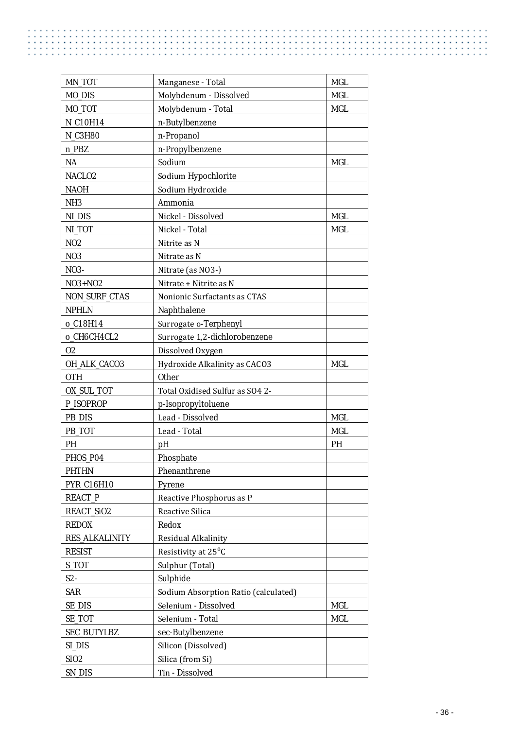ă,

 $\mathbf{r}$ 

| MN_TOT                | Manganese - Total                    | <b>MGL</b> |
|-----------------------|--------------------------------------|------------|
| MO_DIS                | Molybdenum - Dissolved               | <b>MGL</b> |
| MO TOT                | Molybdenum - Total                   | <b>MGL</b> |
| N_C10H14              | n-Butylbenzene                       |            |
| <b>N_C3H80</b>        | n-Propanol                           |            |
| n_PBZ                 | n-Propylbenzene                      |            |
| NA                    | Sodium                               | <b>MGL</b> |
| NACLO <sub>2</sub>    | Sodium Hypochlorite                  |            |
| <b>NAOH</b>           | Sodium Hydroxide                     |            |
| NH <sub>3</sub>       | Ammonia                              |            |
| NI_DIS                | Nickel - Dissolved                   | <b>MGL</b> |
| NLTOT                 | Nickel - Total                       | <b>MGL</b> |
| N <sub>02</sub>       | Nitrite as N                         |            |
| N <sub>0</sub> 3      | Nitrate as N                         |            |
| NO3-                  | Nitrate (as NO3-)                    |            |
| NO3+NO2               | Nitrate + Nitrite as N               |            |
| <b>NON_SURF_CTAS</b>  | Nonionic Surfactants as CTAS         |            |
| <b>NPHLN</b>          | Naphthalene                          |            |
| o C18H14              | Surrogate o-Terphenyl                |            |
| o_CH6CH4CL2           | Surrogate 1,2-dichlorobenzene        |            |
| 02                    | Dissolved Oxygen                     |            |
| OH_ALK_CACO3          | Hydroxide Alkalinity as CACO3        | <b>MGL</b> |
| <b>OTH</b>            | <b>Other</b>                         |            |
| OX_SUL_TOT            | Total Oxidised Sulfur as SO4 2-      |            |
| P_ISOPROP             | p-Isopropyltoluene                   |            |
| PB_DIS                | Lead - Dissolved                     | <b>MGL</b> |
| PB TOT                | Lead - Total                         | <b>MGL</b> |
| PH                    | pH                                   | PH         |
| PHOS P04              | Phosphate                            |            |
| <b>PHTHN</b>          | Phenanthrene                         |            |
| PYR_C16H10            | Pyrene                               |            |
| <b>REACT_P</b>        | Reactive Phosphorus as P             |            |
| REACT_SiO2            | Reactive Silica                      |            |
| <b>REDOX</b>          | Redox                                |            |
| <b>RES_ALKALINITY</b> | Residual Alkalinity                  |            |
| <b>RESIST</b>         | Resistivity at 25 <sup>°</sup> C     |            |
| S TOT                 | Sulphur (Total)                      |            |
| $S2-$                 | Sulphide                             |            |
| <b>SAR</b>            | Sodium Absorption Ratio (calculated) |            |
| <b>SE_DIS</b>         | Selenium - Dissolved                 | <b>MGL</b> |
| SE_TOT                | Selenium - Total                     | <b>MGL</b> |
| <b>SEC_BUTYLBZ</b>    | sec-Butylbenzene                     |            |
| SI_DIS                | Silicon (Dissolved)                  |            |
| <b>SIO2</b>           | Silica (from Si)                     |            |
| SN_DIS                | Tin - Dissolved                      |            |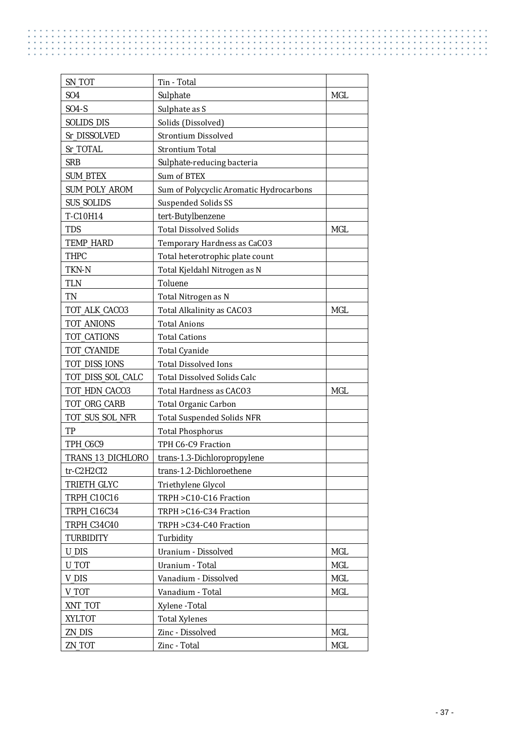| SN_TOT               | Tin - Total                             |            |
|----------------------|-----------------------------------------|------------|
| S <sub>04</sub>      | Sulphate                                | <b>MGL</b> |
| $SO4-S$              | Sulphate as S                           |            |
| <b>SOLIDS_DIS</b>    | Solids (Dissolved)                      |            |
| Sr DISSOLVED         | <b>Strontium Dissolved</b>              |            |
| Sr_TOTAL             | <b>Strontium Total</b>                  |            |
| <b>SRB</b>           | Sulphate-reducing bacteria              |            |
| <b>SUM_BTEX</b>      | Sum of BTEX                             |            |
| <b>SUM_POLY_AROM</b> | Sum of Polycyclic Aromatic Hydrocarbons |            |
| <b>SUS_SOLIDS</b>    | <b>Suspended Solids SS</b>              |            |
| T-C10H14             | tert-Butylbenzene                       |            |
| <b>TDS</b>           | <b>Total Dissolved Solids</b>           | <b>MGL</b> |
| TEMP_HARD            | Temporary Hardness as CaCO3             |            |
| <b>THPC</b>          | Total heterotrophic plate count         |            |
| TKN-N                | Total Kjeldahl Nitrogen as N            |            |
| <b>TLN</b>           | Toluene                                 |            |
| TN                   | Total Nitrogen as N                     |            |
| TOT_ALK_CACO3        | Total Alkalinity as CACO3               | <b>MGL</b> |
| TOT_ANIONS           | <b>Total Anions</b>                     |            |
| TOT_CATIONS          | <b>Total Cations</b>                    |            |
| TOT_CYANIDE          | <b>Total Cyanide</b>                    |            |
| TOT_DISS_IONS        | <b>Total Dissolved Ions</b>             |            |
| TOT_DISS_SOL_CALC    | <b>Total Dissolved Solids Calc</b>      |            |
| TOT_HDN_CACO3        | Total Hardness as CACO3                 | <b>MGL</b> |
| TOT_ORG_CARB         | Total Organic Carbon                    |            |
| TOT_SUS_SOL_NFR      | <b>Total Suspended Solids NFR</b>       |            |
| TP                   | <b>Total Phosphorus</b>                 |            |
| TPH_C6C9             | TPH C6-C9 Fraction                      |            |
| TRANS_13_DICHLORO    | trans-1.3-Dichloropropylene             |            |
| $tr-C2H2Cl2$         | trans-1.2-Dichloroethene                |            |
| TRIETH_GLYC          | Triethylene Glycol                      |            |
| TRPH_C10C16          | TRPH > C10-C16 Fraction                 |            |
| TRPH_C16C34          | TRPH > C16-C34 Fraction                 |            |
| TRPH_C34C40          | TRPH > C34-C40 Fraction                 |            |
| <b>TURBIDITY</b>     | Turbidity                               |            |
| <b>U_DIS</b>         | Uranium - Dissolved                     | <b>MGL</b> |
| U_TOT                | Uranium - Total                         | <b>MGL</b> |
| V_DIS                | Vanadium - Dissolved                    | <b>MGL</b> |
| V_TOT                | Vanadium - Total                        | <b>MGL</b> |
| XNT_TOT              | Xylene -Total                           |            |
| <b>XYLTOT</b>        | <b>Total Xylenes</b>                    |            |
| ZN_DIS               | Zinc - Dissolved                        | <b>MGL</b> |
| ZN_TOT               | Zinc - Total                            | MGL        |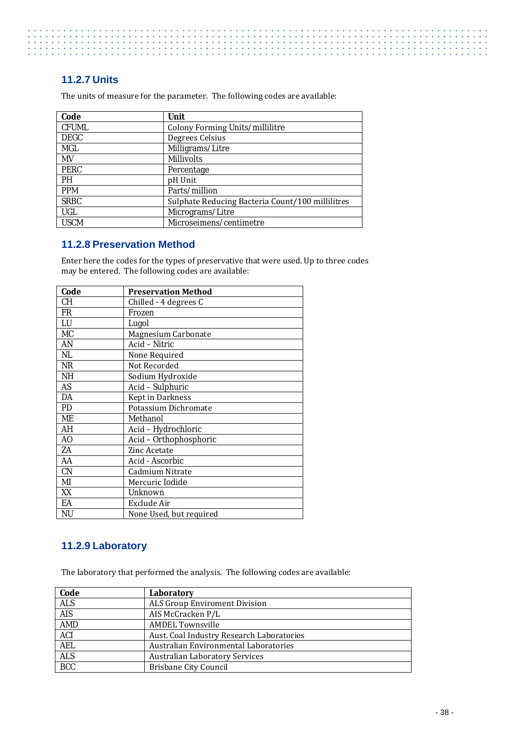#### <span id="page-45-0"></span>**11.2.7 Units**

The units of measure for the parameter. The following codes are available:

| Code         | Unit                                             |
|--------------|--------------------------------------------------|
| <b>CFUML</b> | Colony Forming Units/millilitre                  |
| <b>DEGC</b>  | Degrees Celsius                                  |
| MGL          | Milligrams/Litre                                 |
| MV           | <b>Millivolts</b>                                |
| <b>PERC</b>  | Percentage                                       |
| <b>PH</b>    | pH Unit                                          |
| <b>PPM</b>   | Parts/million                                    |
| <b>SRBC</b>  | Sulphate Reducing Bacteria Count/100 millilitres |
| UGL          | Micrograms/Litre                                 |
| <b>USCM</b>  | Microseimens/centimetre                          |

#### <span id="page-45-1"></span>**11.2.8 Preservation Method**

Enter here the codes for the types of preservative that were used. Up to three codes may be entered. The following codes are available:

| Code      | <b>Preservation Method</b> |
|-----------|----------------------------|
| <b>CH</b> | Chilled - 4 degrees C      |
| <b>FR</b> | Frozen                     |
| LU        | Lugol                      |
| <b>MC</b> | Magnesium Carbonate        |
| AN        | Acid - Nitric              |
| NL        | None Required              |
| NR        | Not Recorded               |
| NH        | Sodium Hydroxide           |
| <b>AS</b> | Acid - Sulphuric           |
| DA        | Kept in Darkness           |
| PD        | Potassium Dichromate       |
| ME        | Methanol                   |
| AH        | Acid - Hydrochloric        |
| AO        | Acid - Orthophosphoric     |
| ZA        | Zinc Acetate               |
| AA        | Acid - Ascorbic            |
| CN        | Cadmium Nitrate            |
| MI        | Mercuric Iodide            |
| XX        | Unknown                    |
| EA        | Exclude Air                |
| NU        | None Used, but required    |

#### <span id="page-45-2"></span>**11.2.9 Laboratory**

The laboratory that performed the analysis. The following codes are available:

| Code       | Laboratory                                |
|------------|-------------------------------------------|
| <b>ALS</b> | ALS Group Enviroment Division             |
| <b>AIS</b> | AIS McCracken P/L                         |
| <b>AMD</b> | <b>AMDEL Townsville</b>                   |
| <b>ACI</b> | Aust. Coal Industry Research Laboratories |
| <b>AEL</b> | Australian Environmental Laboratories     |
| <b>ALS</b> | <b>Australian Laboratory Services</b>     |
| <b>BCC</b> | Brisbane City Council                     |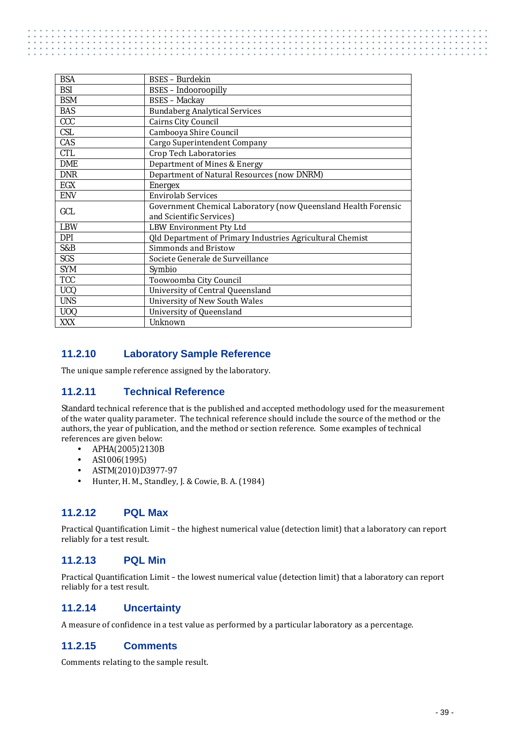| <b>BSA</b> | <b>BSES</b> - Burdekin                                           |
|------------|------------------------------------------------------------------|
| <b>BSI</b> | <b>BSES</b> - Indooroopilly                                      |
| <b>BSM</b> | <b>BSES</b> - Mackay                                             |
| <b>BAS</b> | <b>Bundaberg Analytical Services</b>                             |
| <b>CCC</b> | Cairns City Council                                              |
| <b>CSL</b> | Cambooya Shire Council                                           |
| CAS        | Cargo Superintendent Company                                     |
| <b>CTL</b> | Crop Tech Laboratories                                           |
| <b>DME</b> | Department of Mines & Energy                                     |
| <b>DNR</b> | Department of Natural Resources (now DNRM)                       |
| EGX        | Energex                                                          |
| <b>ENV</b> | <b>Envirolab Services</b>                                        |
| GCL        | Government Chemical Laboratory (now Queensland Health Forensic   |
|            | and Scientific Services)                                         |
| <b>LBW</b> | LBW Environment Pty Ltd                                          |
| <b>DPI</b> | <b>Qld Department of Primary Industries Agricultural Chemist</b> |
| S&B        | Simmonds and Bristow                                             |
| <b>SGS</b> | Societe Generale de Surveillance                                 |
| <b>SYM</b> | Symbio                                                           |
| <b>TCC</b> | Toowoomba City Council                                           |
| <b>UCQ</b> | University of Central Queensland                                 |
| <b>UNS</b> | <b>University of New South Wales</b>                             |
| <b>UOQ</b> | University of Queensland                                         |
| XXX        | <b>Unknown</b>                                                   |

#### <span id="page-46-0"></span>**11.2.10 Laboratory Sample Reference**

<span id="page-46-1"></span>The unique sample reference assigned by the laboratory.

#### **11.2.11 Technical Reference**

Standard technical reference that is the published and accepted methodology used for the measurement of the water quality parameter. The technical reference should include the source of the method or the authors, the year of publication, and the method or section reference. Some examples of technical references are given below:<br>APHA(2005)2130B

- APHA(2005)2130B
- AS1006(1995) J.
- ASTM(2010)D3977-97  $\mathbf{r}$
- J. Hunter, H. M., Standley, J. & Cowie, B. A. (1984)

#### <span id="page-46-2"></span>**11.2.12 PQL Max**

Practical Quantification Limit – the highest numerical value (detection limit) that a laboratory can report reliably for a test result.

#### <span id="page-46-3"></span>**11.2.13 PQL Min**

Practical Quantification Limit – the lowest numerical value (detection limit) that a laboratory can report reliably for a test result.

#### <span id="page-46-4"></span>**11.2.14 Uncertainty**

<span id="page-46-5"></span>A measure of confidence in a test value as performed by a particular laboratory as a percentage.

#### **11.2.15 Comments**

Comments relating to the sample result.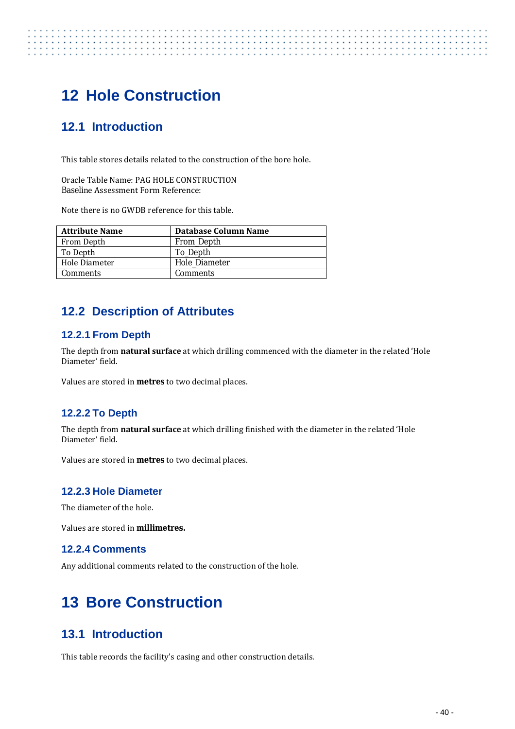# <span id="page-47-0"></span>**12 Hole Construction**

# <span id="page-47-1"></span>**12.1 Introduction**

This table stores details related to the construction of the bore hole.

Oracle Table Name: PAG HOLE CONSTRUCTION Baseline Assessment Form Reference:

Note there is no GWDB reference for this table.

| <b>Attribute Name</b> | Database Column Name |
|-----------------------|----------------------|
| From Depth            | From_Depth           |
| To Depth              | To Depth             |
| Hole Diameter         | Hole Diameter        |
| <b>Comments</b>       | <b>Comments</b>      |

## <span id="page-47-2"></span>**12.2 Description of Attributes**

#### <span id="page-47-3"></span>**12.2.1 From Depth**

The depth from **natural surface** at which drilling commenced with the diameter in the related 'Hole Diameter' field.

Values are stored in **metres** to two decimal places.

#### <span id="page-47-4"></span>**12.2.2 To Depth**

The depth from **natural surface** at which drilling finished with the diameter in the related 'Hole Diameter' field.

Values are stored in **metres** to two decimal places.

#### <span id="page-47-5"></span>**12.2.3 Hole Diameter**

The diameter of the hole.

<span id="page-47-6"></span>Values are stored in **millimetres.**

#### **12.2.4 Comments**

Any additional comments related to the construction of the hole.

# <span id="page-47-7"></span>**13 Bore Construction**

## <span id="page-47-8"></span>**13.1 Introduction**

This table records the facility's casing and other construction details.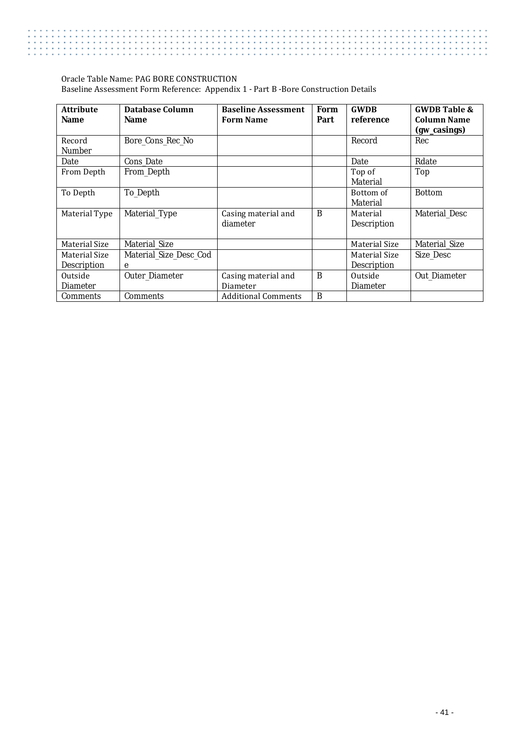#### Oracle Table Name: PAG BORE CONSTRUCTION Baseline Assessment Form Reference: Appendix 1 - Part B -Bore Construction Details

| <b>Attribute</b><br><b>Name</b> | Database Column<br><b>Name</b> | <b>Baseline Assessment</b><br><b>Form Name</b> | Form<br>Part | <b>GWDB</b><br>reference  | <b>GWDB Table &amp;</b><br><b>Column Name</b><br>(gw_casings) |
|---------------------------------|--------------------------------|------------------------------------------------|--------------|---------------------------|---------------------------------------------------------------|
| Record<br><b>Number</b>         | Bore_Cons_Rec_No               |                                                |              | Record                    | Rec                                                           |
| Date                            | Cons_Date                      |                                                |              | Date                      | Rdate                                                         |
| From Depth                      | From_Depth                     |                                                |              | Top of<br><b>Material</b> | Top                                                           |
| To Depth                        | To_Depth                       |                                                |              | Bottom of<br>Material     | <b>Bottom</b>                                                 |
| Material Type                   | Material_Type                  | Casing material and<br>diameter                | B            | Material<br>Description   | <b>Material Desc</b>                                          |
| Material Size                   | <b>Material Size</b>           |                                                |              | Material Size             | Material_Size                                                 |
| Material Size                   | Material Size Desc Cod         |                                                |              | Material Size             | <b>Size Desc</b>                                              |
| <b>Description</b>              | e                              |                                                |              | <b>Description</b>        |                                                               |
| Outside                         | Outer_Diameter                 | Casing material and                            | B            | Outside                   | Out Diameter                                                  |
| <b>Diameter</b>                 |                                | Diameter                                       |              | <b>Diameter</b>           |                                                               |
| Comments                        | <b>Comments</b>                | <b>Additional Comments</b>                     | B            |                           |                                                               |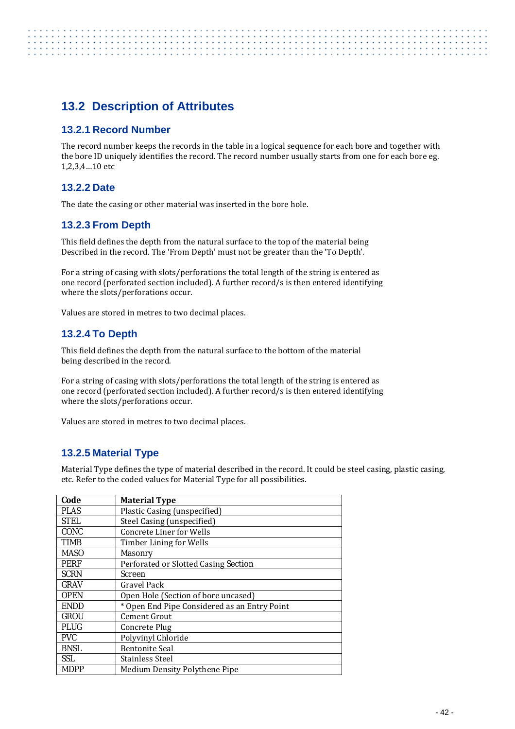# <span id="page-49-0"></span>**13.2 Description of Attributes**

#### <span id="page-49-1"></span>**13.2.1 Record Number**

The record number keeps the records in the table in a logical sequence for each bore and together with the bore ID uniquely identifies the record. The record number usually starts from one for each bore eg. 1,2,3,4…10 etc

#### <span id="page-49-2"></span>**13.2.2 Date**

<span id="page-49-3"></span>The date the casing or other material was inserted in the bore hole.

#### **13.2.3 From Depth**

This field defines the depth from the natural surface to the top of the material being Described in the record. The 'From Depth' must not be greater than the 'To Depth'.

For a string of casing with slots/perforations the total length of the string is entered as one record (perforated section included). A further record/s is then entered identifying where the slots/perforations occur.

<span id="page-49-4"></span>Values are stored in metres to two decimal places.

#### **13.2.4 To Depth**

This field defines the depth from the natural surface to the bottom of the material being described in the record.

For a string of casing with slots/perforations the total length of the string is entered as one record (perforated section included). A further record/s is then entered identifying where the slots/perforations occur.

Values are stored in metres to two decimal places.

#### <span id="page-49-5"></span>**13.2.5 Material Type**

Material Type defines the type of material described in the record. It could be steel casing, plastic casing, etc. Refer to the coded values for Material Type for all possibilities.

| Code        | <b>Material Type</b>                         |
|-------------|----------------------------------------------|
| <b>PLAS</b> | Plastic Casing (unspecified)                 |
| <b>STEL</b> | Steel Casing (unspecified)                   |
| CONC        | Concrete Liner for Wells                     |
| TIMB        | Timber Lining for Wells                      |
| <b>MASO</b> | <b>Masonry</b>                               |
| <b>PERF</b> | Perforated or Slotted Casing Section         |
| <b>SCRN</b> | Screen                                       |
| <b>GRAV</b> | Gravel Pack                                  |
| <b>OPEN</b> | Open Hole (Section of bore uncased)          |
| <b>ENDD</b> | * Open End Pipe Considered as an Entry Point |
| <b>GROU</b> | Cement Grout                                 |
| <b>PLUG</b> | Concrete Plug                                |
| <b>PVC</b>  | Polyvinyl Chloride                           |
| <b>BNSL</b> | <b>Bentonite Seal</b>                        |
| <b>SSL</b>  | Stainless Steel                              |
| <b>MDPP</b> | Medium Density Polythene Pipe                |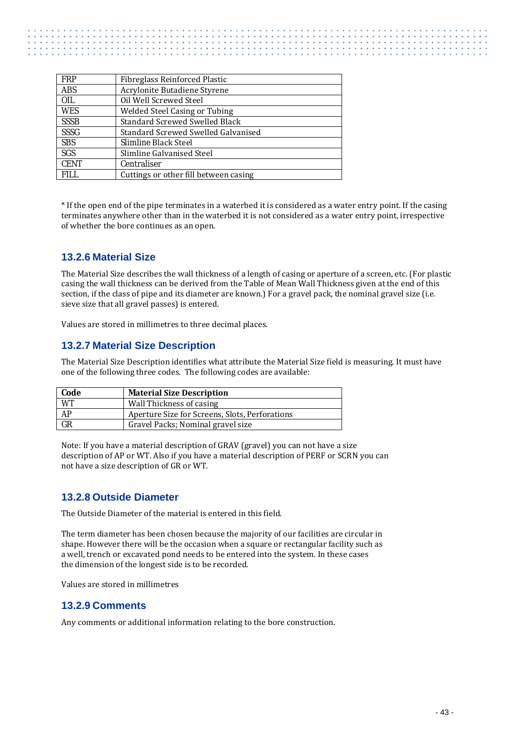| <b>FRP</b>  | <b>Fibreglass Reinforced Plastic</b>  |
|-------------|---------------------------------------|
| <b>ABS</b>  | Acrylonite Butadiene Styrene          |
| <b>OIL</b>  | Oil Well Screwed Steel                |
| <b>WES</b>  | <b>Welded Steel Casing or Tubing</b>  |
| <b>SSSB</b> | <b>Standard Screwed Swelled Black</b> |
| <b>SSSG</b> | Standard Screwed Swelled Galvanised   |
| <b>SBS</b>  | Slimline Black Steel                  |
| SGS         | Slimline Galvanised Steel             |
| <b>CENT</b> | <b>Centraliser</b>                    |
| <b>FILL</b> | Cuttings or other fill between casing |

\* If the open end of the pipe terminates in a waterbed it is considered as a water entry point. If the casing terminates anywhere other than in the waterbed it is not considered as a water entry point, irrespective of whether the bore continues as an open.

#### <span id="page-50-0"></span>**13.2.6 Material Size**

The Material Size describes the wall thickness of a length of casing or aperture of a screen, etc. (For plastic casing the wall thickness can be derived from the Table of Mean Wall Thickness given at the end of this section, if the class of pipe and its diameter are known.) For a gravel pack, the nominal gravel size (i.e. sieve size that all gravel passes) is entered.

<span id="page-50-1"></span>Values are stored in millimetres to three decimal places.

#### **13.2.7 Material Size Description**

The Material Size Description identifies what attribute the Material Size field is measuring. It must have one of the following three codes. The following codes are available:

| Code      | <b>Material Size Description</b>               |
|-----------|------------------------------------------------|
| <b>WT</b> | Wall Thickness of casing                       |
| AP        | Aperture Size for Screens, Slots, Perforations |
| GR        | Gravel Packs; Nominal gravel size              |

Note: If you have a material description of GRAV (gravel) you can not have a size description of AP or WT. Also if you have a material description of PERF or SCRN you can not have a size description of GR or WT.

#### <span id="page-50-2"></span>**13.2.8 Outside Diameter**

The Outside Diameter of the material is entered in this field.

The term diameter has been chosen because the majority of our facilities are circular in shape. However there will be the occasion when a square or rectangular facility such as a well, trench or excavated pond needs to be entered into the system. In these cases the dimension of the longest side is to be recorded.

<span id="page-50-3"></span>Values are stored in millimetres

#### **13.2.9 Comments**

Any comments or additional information relating to the bore construction.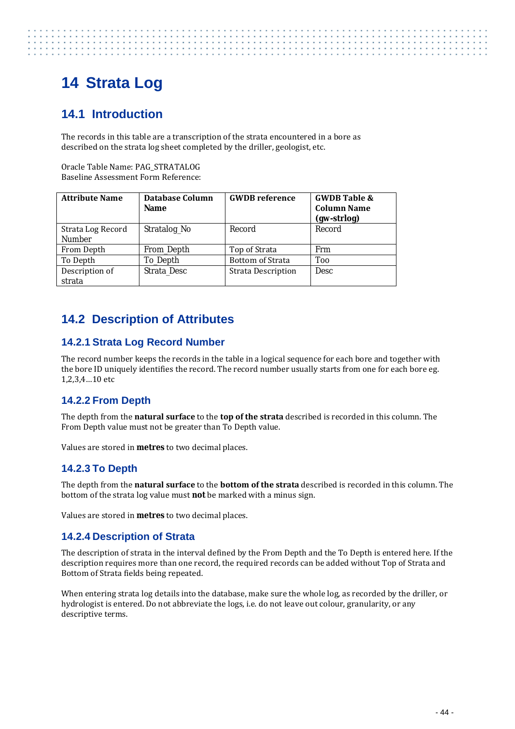# <span id="page-51-0"></span>**14 Strata Log**

# <span id="page-51-1"></span>**14.1 Introduction**

The records in this table are a transcription of the strata encountered in a bore as described on the strata log sheet completed by the driller, geologist, etc.

Oracle Table Name: PAG\_STRATALOG Baseline Assessment Form Reference:

| <b>Attribute Name</b>              | Database Column<br><b>Name</b> | <b>GWDB</b> reference     | <b>GWDB Table &amp;</b><br><b>Column Name</b><br>(gw-strlog) |
|------------------------------------|--------------------------------|---------------------------|--------------------------------------------------------------|
| Strata Log Record<br><b>Number</b> | Stratalog_No                   | Record                    | Record                                                       |
| From Depth                         | From Depth                     | Top of Strata             | Frm                                                          |
| To Depth                           | To Depth                       | <b>Bottom of Strata</b>   | <b>Too</b>                                                   |
| Description of<br>strata           | Strata Desc                    | <b>Strata Description</b> | <b>Desc</b>                                                  |

# <span id="page-51-2"></span>**14.2 Description of Attributes**

#### <span id="page-51-3"></span>**14.2.1 Strata Log Record Number**

The record number keeps the records in the table in a logical sequence for each bore and together with the bore ID uniquely identifies the record. The record number usually starts from one for each bore eg. 1,2,3,4…10 etc

#### <span id="page-51-4"></span>**14.2.2 From Depth**

The depth from the **natural surface** to the **top of the strata** described is recorded in this column. The From Depth value must not be greater than To Depth value.

<span id="page-51-5"></span>Values are stored in **metres** to two decimal places.

#### **14.2.3 To Depth**

The depth from the **natural surface** to the **bottom of the strata** described is recorded in this column. The bottom of the strata log value must **not** be marked with a minus sign.

<span id="page-51-6"></span>Values are stored in **metres** to two decimal places.

#### **14.2.4 Description of Strata**

The description of strata in the interval defined by the From Depth and the To Depth is entered here. If the description requires more than one record, the required records can be added without Top of Strata and Bottom of Strata fields being repeated.

When entering strata log details into the database, make sure the whole log, as recorded by the driller, or hydrologist is entered. Do not abbreviate the logs, i.e. do not leave out colour, granularity, or any descriptive terms.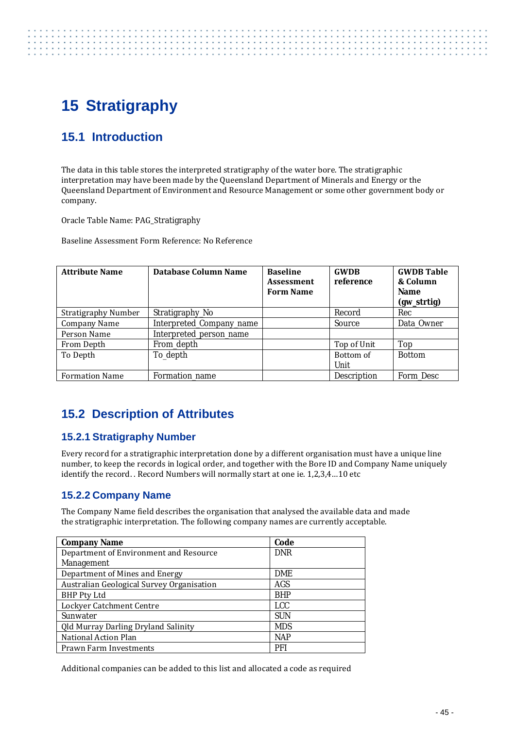# <span id="page-52-0"></span>**15 Stratigraphy**

# <span id="page-52-1"></span>**15.1 Introduction**

. . . . . . . . . . . . . . . . . .

The data in this table stores the interpreted stratigraphy of the water bore. The stratigraphic interpretation may have been made by the Queensland Department of Minerals and Energy or the Queensland Department of Environment and Resource Management or some other government body or company.

Oracle Table Name: PAG\_Stratigraphy

Baseline Assessment Form Reference: No Reference

| <b>Attribute Name</b>      | Database Column Name     | <b>Baseline</b><br><b>Assessment</b><br><b>Form Name</b> | <b>GWDB</b><br>reference | <b>GWDB Table</b><br>& Column<br><b>Name</b><br>(gw_strtig) |
|----------------------------|--------------------------|----------------------------------------------------------|--------------------------|-------------------------------------------------------------|
| <b>Stratigraphy Number</b> | Stratigraphy_No          |                                                          | Record                   | Rec                                                         |
| Company Name               | Interpreted_Company_name |                                                          | Source                   | Data Owner                                                  |
| Person Name                | Interpreted_person_name  |                                                          |                          |                                                             |
| From Depth                 | From_depth               |                                                          | Top of Unit              | Top                                                         |
| To Depth                   | To_depth                 |                                                          | Bottom of                | <b>Bottom</b>                                               |
|                            |                          |                                                          | Unit                     |                                                             |
| <b>Formation Name</b>      | Formation name           |                                                          | Description              | Form Desc                                                   |

# <span id="page-52-2"></span>**15.2 Description of Attributes**

#### <span id="page-52-3"></span>**15.2.1 Stratigraphy Number**

Every record for a stratigraphic interpretation done by a different organisation must have a unique line number, to keep the records in logical order, and together with the Bore ID and Company Name uniquely identify the record. . Record Numbers will normally start at one ie. 1,2,3,4…10 etc

#### <span id="page-52-4"></span>**15.2.2 Company Name**

The Company Name field describes the organisation that analysed the available data and made the stratigraphic interpretation. The following company names are currently acceptable.

| <b>Company Name</b>                       | Code       |
|-------------------------------------------|------------|
| Department of Environment and Resource    | <b>DNR</b> |
| Management                                |            |
| Department of Mines and Energy            | <b>DME</b> |
| Australian Geological Survey Organisation | AGS        |
| <b>BHP Pty Ltd</b>                        | <b>BHP</b> |
| Lockyer Catchment Centre                  | <b>LCC</b> |
| Sunwater                                  | <b>SUN</b> |
| Qld Murray Darling Dryland Salinity       | <b>MDS</b> |
| National Action Plan                      | <b>NAP</b> |
| Prawn Farm Investments                    | PFI        |

Additional companies can be added to this list and allocated a code as required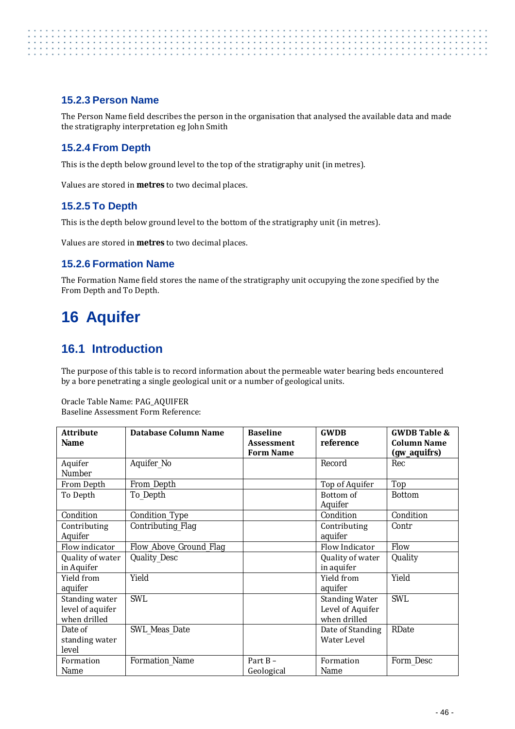#### <span id="page-53-0"></span>**15.2.3 Person Name**

The Person Name field describes the person in the organisation that analysed the available data and made the stratigraphy interpretation eg John Smith

#### <span id="page-53-1"></span>**15.2.4 From Depth**

This is the depth below ground level to the top of the stratigraphy unit (in metres).

<span id="page-53-2"></span>Values are stored in **metres** to two decimal places.

#### **15.2.5 To Depth**

This is the depth below ground level to the bottom of the stratigraphy unit (in metres).

<span id="page-53-3"></span>Values are stored in **metres** to two decimal places.

#### **15.2.6 Formation Name**

The Formation Name field stores the name of the stratigraphy unit occupying the zone specified by the From Depth and To Depth.

# <span id="page-53-4"></span>**16 Aquifer**

### <span id="page-53-5"></span>**16.1 Introduction**

The purpose of this table is to record information about the permeable water bearing beds encountered by a bore penetrating a single geological unit or a number of geological units.

Oracle Table Name: PAG\_AQUIFER Baseline Assessment Form Reference:

| <b>Attribute</b><br><b>Name</b>                    | <b>Database Column Name</b> | <b>Baseline</b><br><b>Assessment</b> | <b>GWDB</b><br>reference                                  | <b>GWDB Table &amp;</b><br><b>Column Name</b> |
|----------------------------------------------------|-----------------------------|--------------------------------------|-----------------------------------------------------------|-----------------------------------------------|
|                                                    |                             | <b>Form Name</b>                     |                                                           | (gw_aquifrs)                                  |
| Aquifer<br>Number                                  | Aquifer_No                  |                                      | Record                                                    | Rec                                           |
| From Depth                                         | From_Depth                  |                                      | Top of Aquifer                                            | Top                                           |
| To Depth                                           | To_Depth                    |                                      | Bottom of<br>Aquifer                                      | <b>Bottom</b>                                 |
| Condition                                          | Condition_Type              |                                      | Condition                                                 | Condition                                     |
| Contributing<br>Aquifer                            | Contributing_Flag           |                                      | Contributing<br>aquifer                                   | Contr                                         |
| Flow indicator                                     | Flow_Above_Ground_Flag      |                                      | Flow Indicator                                            | Flow                                          |
| Quality of water<br>in Aquifer                     | <b>Quality_Desc</b>         |                                      | Quality of water<br>in aquifer                            | Quality                                       |
| Yield from<br>aquifer                              | Yield                       |                                      | Yield from<br>aquifer                                     | Yield                                         |
| Standing water<br>level of aquifer<br>when drilled | <b>SWL</b>                  |                                      | <b>Standing Water</b><br>Level of Aquifer<br>when drilled | <b>SWL</b>                                    |
| Date of<br>standing water<br>level                 | <b>SWL Meas Date</b>        |                                      | Date of Standing<br>Water Level                           | RDate                                         |
| Formation<br>Name                                  | Formation_Name              | Part $B -$<br>Geological             | Formation<br>Name                                         | Form_Desc                                     |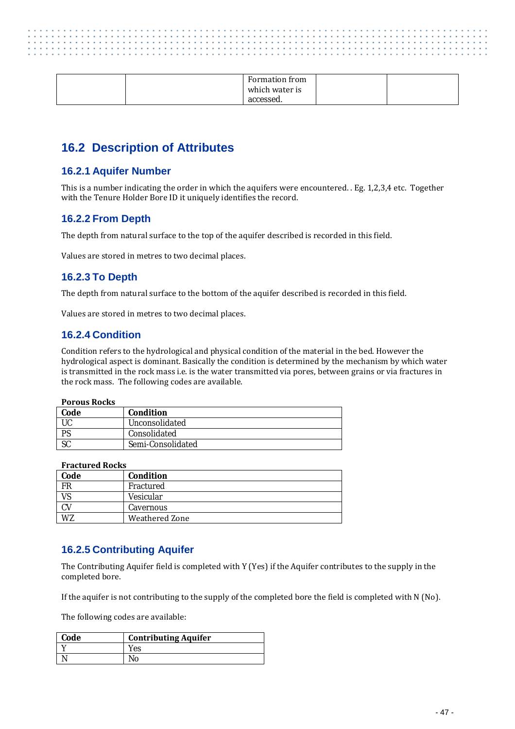|  | Formation from<br>which water is<br>accessed. |  |
|--|-----------------------------------------------|--|
|  |                                               |  |

### <span id="page-54-0"></span>**16.2 Description of Attributes**

#### <span id="page-54-1"></span>**16.2.1 Aquifer Number**

This is a number indicating the order in which the aquifers were encountered. . Eg. 1,2,3,4 etc. Together with the Tenure Holder Bore ID it uniquely identifies the record.

#### <span id="page-54-2"></span>**16.2.2 From Depth**

The depth from natural surface to the top of the aquifer described is recorded in this field.

<span id="page-54-3"></span>Values are stored in metres to two decimal places.

#### **16.2.3 To Depth**

The depth from natural surface to the bottom of the aquifer described is recorded in this field.

<span id="page-54-4"></span>Values are stored in metres to two decimal places.

#### **16.2.4 Condition**

Condition refers to the hydrological and physical condition of the material in the bed. However the hydrological aspect is dominant. Basically the condition is determined by the mechanism by which water is transmitted in the rock mass i.e. is the water transmitted via pores, between grains or via fractures in the rock mass. The following codes are available.

#### **Porous Rocks**

| Code      | <b>Condition</b>  |
|-----------|-------------------|
|           | Unconsolidated    |
| <b>PS</b> | Consolidated      |
| υU        | Semi-Consolidated |

#### **Fractured Rocks**

| Code        | <b>Condition</b>      |
|-------------|-----------------------|
| $_{\rm FR}$ | Fractured             |
| <b>VS</b>   | Vesicular             |
| CV          | Cavernous             |
| WZ          | <b>Weathered Zone</b> |

#### <span id="page-54-5"></span>**16.2.5 Contributing Aquifer**

The Contributing Aquifer field is completed with Y (Yes) if the Aquifer contributes to the supply in the completed bore.

If the aquifer is not contributing to the supply of the completed bore the field is completed with N (No).

The following codes are available:

| Code | <b>Contributing Aquifer</b> |
|------|-----------------------------|
|      | Yes                         |
|      | No                          |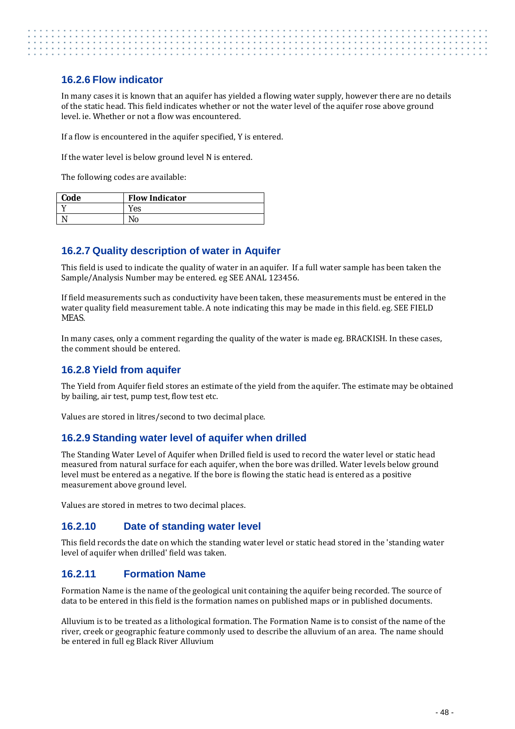#### <span id="page-55-0"></span>**16.2.6 Flow indicator**

In many cases it is known that an aquifer has yielded a flowing water supply, however there are no details of the static head. This field indicates whether or not the water level of the aquifer rose above ground level. ie. Whether or not a flow was encountered.

If a flow is encountered in the aquifer specified, Y is entered.

If the water level is below ground level N is entered.

The following codes are available:

| Code | <b>Flow Indicator</b> |
|------|-----------------------|
|      | res                   |
|      |                       |

#### <span id="page-55-1"></span>**16.2.7 Quality description of water in Aquifer**

This field is used to indicate the quality of water in an aquifer. If a full water sample has been taken the Sample/Analysis Number may be entered. eg SEE ANAL 123456.

If field measurements such as conductivity have been taken, these measurements must be entered in the water quality field measurement table. A note indicating this may be made in this field. eg. SEE FIELD MEAS.

In many cases, only a comment regarding the quality of the water is made eg. BRACKISH. In these cases, the comment should be entered.

#### <span id="page-55-2"></span>**16.2.8 Yield from aquifer**

The Yield from Aquifer field stores an estimate of the yield from the aquifer. The estimate may be obtained by bailing, air test, pump test, flow test etc.

<span id="page-55-3"></span>Values are stored in litres/second to two decimal place.

#### **16.2.9 Standing water level of aquifer when drilled**

The Standing Water Level of Aquifer when Drilled field is used to record the water level or static head measured from natural surface for each aquifer, when the bore was drilled. Water levels below ground level must be entered as a negative. If the bore is flowing the static head is entered as a positive measurement above ground level.

<span id="page-55-4"></span>Values are stored in metres to two decimal places.

#### **16.2.10 Date of standing water level**

This field records the date on which the standing water level or static head stored in the 'standing water level of aquifer when drilled' field was taken.

#### <span id="page-55-5"></span>**16.2.11 Formation Name**

Formation Name is the name of the geological unit containing the aquifer being recorded. The source of data to be entered in this field is the formation names on published maps or in published documents.

Alluvium is to be treated as a lithological formation. The Formation Name is to consist of the name of the river, creek or geographic feature commonly used to describe the alluvium of an area. The name should be entered in full eg Black River Alluvium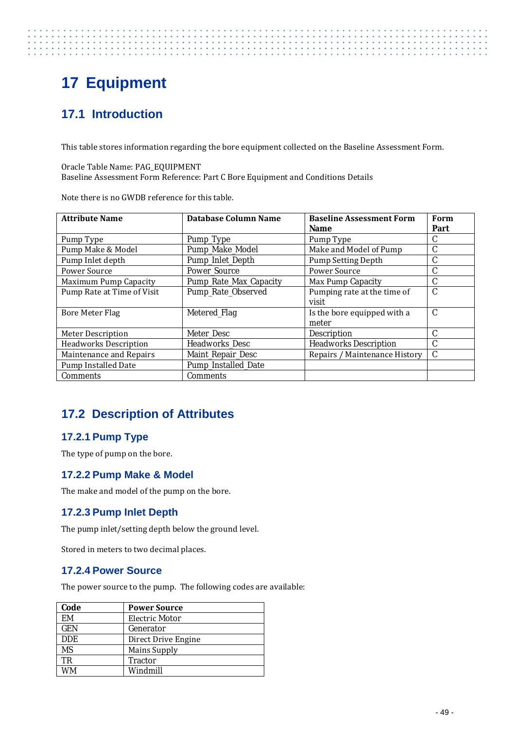# <span id="page-56-0"></span>**17 Equipment**

# <span id="page-56-1"></span>**17.1 Introduction**

This table stores information regarding the bore equipment collected on the Baseline Assessment Form.

Oracle Table Name: PAG\_EQUIPMENT Baseline Assessment Form Reference: Part C Bore Equipment and Conditions Details

Note there is no GWDB reference for this table.

| <b>Attribute Name</b>        | <b>Database Column Name</b> | <b>Baseline Assessment Form</b> | Form          |
|------------------------------|-----------------------------|---------------------------------|---------------|
|                              |                             | <b>Name</b>                     | Part          |
| Pump Type                    | Pump_Type                   | Pump Type                       | C             |
| Pump Make & Model            | Pump_Make_Model             | Make and Model of Pump          | C             |
| Pump Inlet depth             | Pump_Inlet_Depth            | <b>Pump Setting Depth</b>       | C             |
| <b>Power Source</b>          | Power_Source                | Power Source                    | C             |
| <b>Maximum Pump Capacity</b> | Pump_Rate_Max_Capacity      | Max Pump Capacity               | C             |
| Pump Rate at Time of Visit   | Pump_Rate_Observed          | Pumping rate at the time of     | $\mathcal{C}$ |
|                              |                             | visit                           |               |
| Bore Meter Flag              | Metered_Flag                | Is the bore equipped with a     | $\mathcal{C}$ |
|                              |                             | meter                           |               |
| <b>Meter Description</b>     | Meter Desc                  | <b>Description</b>              | C             |
| <b>Headworks Description</b> | <b>Headworks Desc</b>       | <b>Headworks Description</b>    | C             |
| Maintenance and Repairs      | <b>Maint Repair Desc</b>    | Repairs / Maintenance History   | $\mathcal{C}$ |
| Pump Installed Date          | Pump_Installed_Date         |                                 |               |
| <b>Comments</b>              | <b>Comments</b>             |                                 |               |

# <span id="page-56-2"></span>**17.2 Description of Attributes**

#### <span id="page-56-3"></span>**17.2.1 Pump Type**

The type of pump on the bore.

#### <span id="page-56-4"></span>**17.2.2 Pump Make & Model**

<span id="page-56-5"></span>The make and model of the pump on the bore.

#### **17.2.3 Pump Inlet Depth**

The pump inlet/setting depth below the ground level.

<span id="page-56-6"></span>Stored in meters to two decimal places.

#### **17.2.4 Power Source**

The power source to the pump. The following codes are available:

| Code       | <b>Power Source</b> |
|------------|---------------------|
| <b>FM</b>  | Electric Motor      |
| <b>GEN</b> | Generator           |
| <b>DDE</b> | Direct Drive Engine |
| MS         | <b>Mains Supply</b> |
| TR         | <b>Tractor</b>      |
|            | Windmill            |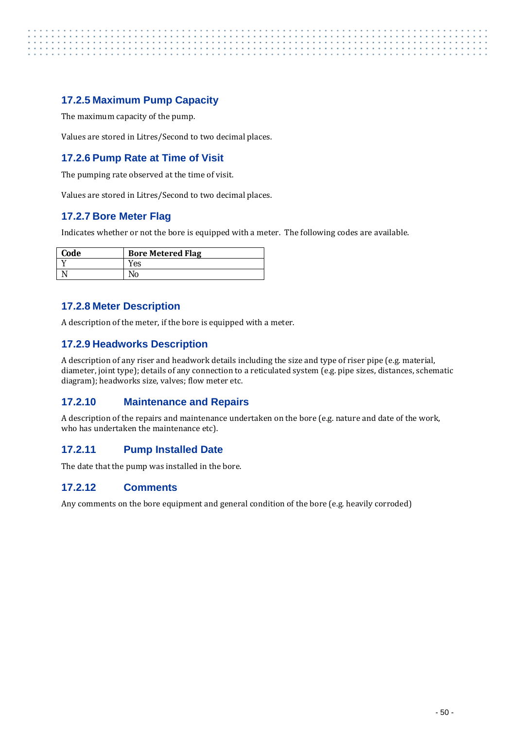#### <span id="page-57-0"></span>**17.2.5 Maximum Pump Capacity**

The maximum capacity of the pump.

Values are stored in Litres/Second to two decimal places.

#### <span id="page-57-1"></span>**17.2.6 Pump Rate at Time of Visit**

The pumping rate observed at the time of visit.

<span id="page-57-2"></span>Values are stored in Litres/Second to two decimal places.

#### **17.2.7 Bore Meter Flag**

Indicates whether or not the bore is equipped with a meter. The following codes are available.

| Code | <b>Bore Metered Flag</b> |
|------|--------------------------|
|      | Yes                      |
|      |                          |

#### <span id="page-57-3"></span>**17.2.8 Meter Description**

<span id="page-57-4"></span>A description of the meter, if the bore is equipped with a meter.

#### **17.2.9 Headworks Description**

A description of any riser and headwork details including the size and type of riser pipe (e.g. material, diameter, joint type); details of any connection to a reticulated system (e.g. pipe sizes, distances, schematic diagram); headworks size, valves; flow meter etc.

#### <span id="page-57-5"></span>**17.2.10 Maintenance and Repairs**

A description of the repairs and maintenance undertaken on the bore (e.g. nature and date of the work, who has undertaken the maintenance etc).

#### <span id="page-57-6"></span>**17.2.11 Pump Installed Date**

<span id="page-57-7"></span>The date that the pump was installed in the bore.

#### **17.2.12 Comments**

Any comments on the bore equipment and general condition of the bore (e.g. heavily corroded)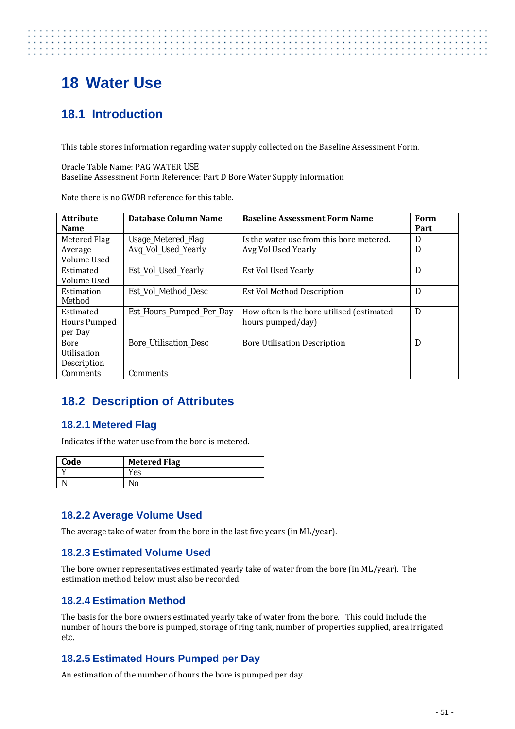# <span id="page-58-0"></span>**18 Water Use**

# <span id="page-58-1"></span>**18.1 Introduction**

This table stores information regarding water supply collected on the Baseline Assessment Form.

Oracle Table Name: PAG WATER USE Baseline Assessment Form Reference: Part D Bore Water Supply information

Note there is no GWDB reference for this table.

| <b>Attribute</b>   | Database Column Name         | <b>Baseline Assessment Form Name</b>      | Form |
|--------------------|------------------------------|-------------------------------------------|------|
| Name               |                              |                                           | Part |
| Metered Flag       | Usage_Metered_Flag           | Is the water use from this bore metered.  | D    |
| Average            | Avg_Vol_Used_Yearly          | Avg Vol Used Yearly                       | D    |
| Volume Used        |                              |                                           |      |
| Estimated          | Est_Vol_Used_Yearly          | Est Vol Used Yearly                       | D    |
| Volume Used        |                              |                                           |      |
| Estimation         | Est Vol Method Desc          | <b>Est Vol Method Description</b>         | D    |
| Method             |                              |                                           |      |
| Estimated          | Est_Hours_Pumped_Per_Day     | How often is the bore utilised (estimated | D    |
| Hours Pumped       |                              | hours pumped/day)                         |      |
| per Day            |                              |                                           |      |
| Bore               | <b>Bore Utilisation Desc</b> | <b>Bore Utilisation Description</b>       | D    |
| Utilisation        |                              |                                           |      |
| <b>Description</b> |                              |                                           |      |
| <b>Comments</b>    | <b>Comments</b>              |                                           |      |

# <span id="page-58-2"></span>**18.2 Description of Attributes**

#### <span id="page-58-3"></span>**18.2.1 Metered Flag**

Indicates if the water use from the bore is metered.

| Code | <b>Metered Flag</b> |
|------|---------------------|
|      | Yes                 |
|      |                     |

#### <span id="page-58-4"></span>**18.2.2 Average Volume Used**

<span id="page-58-5"></span>The average take of water from the bore in the last five years (in ML/year).

#### **18.2.3 Estimated Volume Used**

The bore owner representatives estimated yearly take of water from the bore (in ML/year). The estimation method below must also be recorded.

#### <span id="page-58-6"></span>**18.2.4 Estimation Method**

The basis for the bore owners estimated yearly take of water from the bore. This could include the number of hours the bore is pumped, storage of ring tank, number of properties supplied, area irrigated etc.

#### <span id="page-58-7"></span>**18.2.5 Estimated Hours Pumped per Day**

An estimation of the number of hours the bore is pumped per day.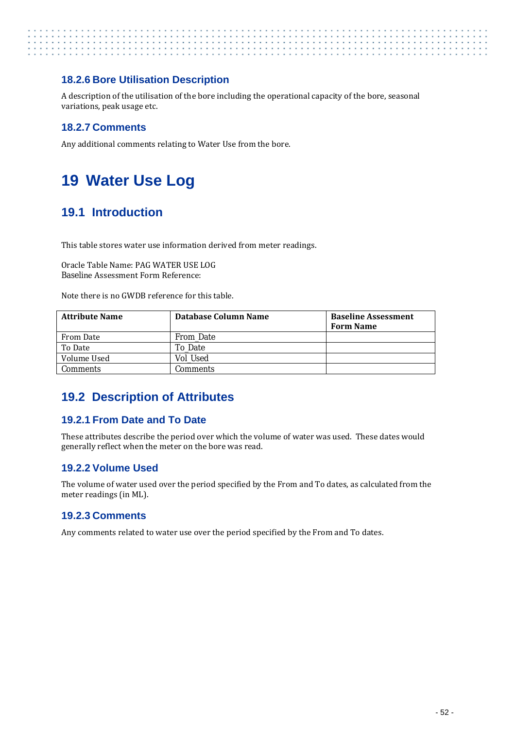# . . . . . . . . . . . . . . . . .

#### <span id="page-59-0"></span>**18.2.6 Bore Utilisation Description**

A description of the utilisation of the bore including the operational capacity of the bore, seasonal variations, peak usage etc.

#### <span id="page-59-1"></span>**18.2.7 Comments**

Any additional comments relating to Water Use from the bore.

# <span id="page-59-2"></span>**19 Water Use Log**

## <span id="page-59-3"></span>**19.1 Introduction**

This table stores water use information derived from meter readings.

Oracle Table Name: PAG WATER USE LOG Baseline Assessment Form Reference:

Note there is no GWDB reference for this table.

| <b>Attribute Name</b> | Database Column Name | <b>Baseline Assessment</b><br><b>Form Name</b> |
|-----------------------|----------------------|------------------------------------------------|
| From Date             | <b>From Date</b>     |                                                |
| To Date               | To Date              |                                                |
| Volume Used           | Vol Used             |                                                |
| <b>Comments</b>       | Comments             |                                                |

## <span id="page-59-4"></span>**19.2 Description of Attributes**

#### <span id="page-59-5"></span>**19.2.1 From Date and To Date**

These attributes describe the period over which the volume of water was used. These dates would generally reflect when the meter on the bore was read.

#### <span id="page-59-6"></span>**19.2.2 Volume Used**

The volume of water used over the period specified by the From and To dates, as calculated from the meter readings (in ML).

#### <span id="page-59-7"></span>**19.2.3 Comments**

Any comments related to water use over the period specified by the From and To dates.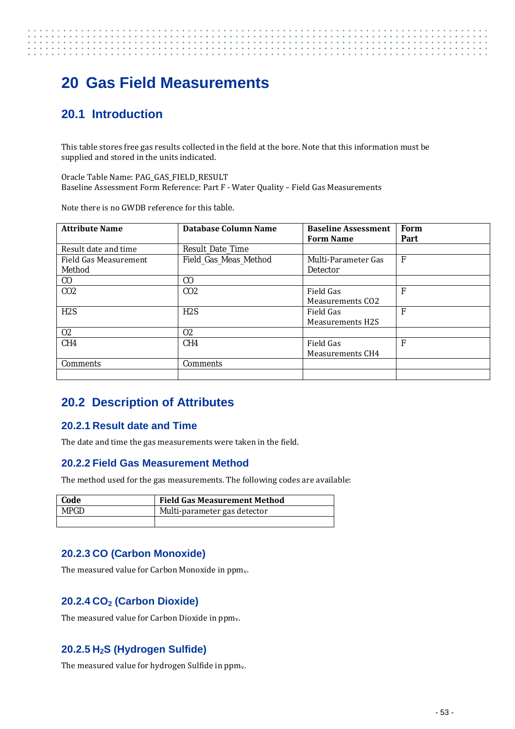# <span id="page-60-0"></span>**20 Gas Field Measurements**

## <span id="page-60-1"></span>**20.1 Introduction**

This table stores free gas results collected in the field at the bore. Note that this information must be supplied and stored in the units indicated.

Oracle Table Name: PAG\_GAS\_FIELD\_RESULT Baseline Assessment Form Reference: Part F - Water Quality – Field Gas Measurements

Note there is no GWDB reference for this table.

| <b>Attribute Name</b> | Database Column Name    | <b>Baseline Assessment</b> | Form         |
|-----------------------|-------------------------|----------------------------|--------------|
|                       |                         | <b>Form Name</b>           | Part         |
| Result date and time  | <b>Result Date Time</b> |                            |              |
| Field Gas Measurement | Field_Gas_Meas_Method   | Multi-Parameter Gas        | $\mathbf{F}$ |
| Method                |                         | <b>Detector</b>            |              |
| $\rm CO$              | C <sub>0</sub>          |                            |              |
| CO <sub>2</sub>       | CO <sub>2</sub>         | Field Gas                  | F            |
|                       |                         | <b>Measurements CO2</b>    |              |
| H2S                   | H2S                     | Field Gas                  | F            |
|                       |                         | <b>Measurements H2S</b>    |              |
| 02                    | 0 <sup>2</sup>          |                            |              |
| CH4                   | CH4                     | Field Gas                  | F            |
|                       |                         | Measurements CH4           |              |
| <b>Comments</b>       | <b>Comments</b>         |                            |              |
|                       |                         |                            |              |

### <span id="page-60-2"></span>**20.2 Description of Attributes**

#### <span id="page-60-3"></span>**20.2.1 Result date and Time**

<span id="page-60-4"></span>The date and time the gas measurements were taken in the field.

#### **20.2.2 Field Gas Measurement Method**

The method used for the gas measurements. The following codes are available:

| Code | <b>Field Gas Measurement Method</b> |
|------|-------------------------------------|
| MPGD | Multi-parameter gas detector        |
|      |                                     |

#### <span id="page-60-5"></span>**20.2.3 CO (Carbon Monoxide)**

The measured value for Carbon Monoxide in  $ppm_v$ .

#### <span id="page-60-6"></span>**20.2.4 CO2 (Carbon Dioxide)**

The measured value for Carbon Dioxide in ppm<sub>v</sub>.

#### <span id="page-60-7"></span>**20.2.5 H2S (Hydrogen Sulfide)**

The measured value for hydrogen Sulfide in ppm<sub>v</sub>.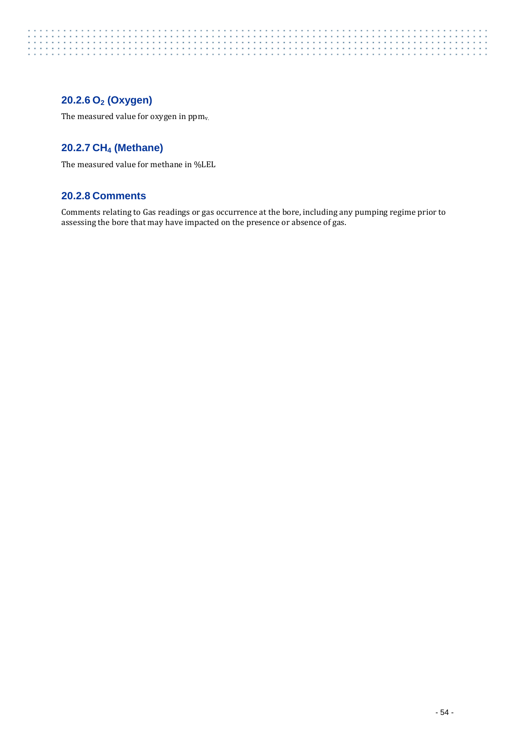# . . . . . . . . . .

#### <span id="page-61-0"></span>**20.2.6 O2 (Oxygen)**

The measured value for oxygen in  $ppm_v$ .

#### <span id="page-61-1"></span>**20.2.7 CH4 (Methane)**

The measured value for methane in %LEL

#### <span id="page-61-2"></span>**20.2.8 Comments**

Comments relating to Gas readings or gas occurrence at the bore, including any pumping regime prior to assessing the bore that may have impacted on the presence or absence of gas.